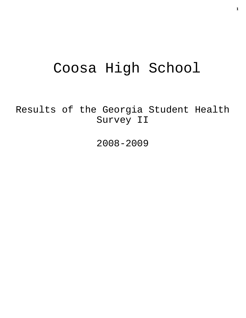# Coosa High School

Results of the Georgia Student Health Survey II

2008-2009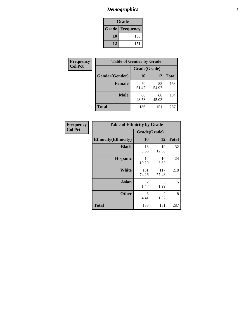# *Demographics* **2**

| Grade                    |     |  |  |  |
|--------------------------|-----|--|--|--|
| <b>Grade   Frequency</b> |     |  |  |  |
| 10                       | 136 |  |  |  |
| 12                       | 151 |  |  |  |

| Frequency      | <b>Table of Gender by Grade</b> |              |             |              |  |  |
|----------------|---------------------------------|--------------|-------------|--------------|--|--|
| <b>Col Pct</b> |                                 | Grade(Grade) |             |              |  |  |
|                | Gender(Gender)                  | 10           | 12          | <b>Total</b> |  |  |
|                | <b>Female</b>                   | 70<br>51.47  | 83<br>54.97 | 153          |  |  |
|                | <b>Male</b>                     | 66<br>48.53  | 68<br>45.03 | 134          |  |  |
|                | <b>Total</b>                    | 136          | 151         | 287          |  |  |

| Frequency<br>Col Pct |
|----------------------|

| <b>Table of Ethnicity by Grade</b> |              |              |              |  |  |  |
|------------------------------------|--------------|--------------|--------------|--|--|--|
|                                    | Grade(Grade) |              |              |  |  |  |
| <b>Ethnicity</b> (Ethnicity)       | 10           | 12           | <b>Total</b> |  |  |  |
| <b>Black</b>                       | 13<br>9.56   | 19<br>12.58  | 32           |  |  |  |
| <b>Hispanic</b>                    | 14<br>10.29  | 10<br>6.62   | 24           |  |  |  |
| <b>White</b>                       | 101<br>74.26 | 117<br>77.48 | 218          |  |  |  |
| <b>Asian</b>                       | 2<br>1.47    | 3<br>1.99    | 5            |  |  |  |
| <b>Other</b>                       | 6<br>4.41    | 2<br>1.32    | 8            |  |  |  |
| <b>Total</b>                       | 136          | 151          | 287          |  |  |  |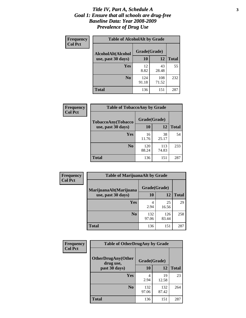#### *Title IV, Part A, Schedule A* **3** *Goal 1: Ensure that all schools are drug-free Baseline Data: Year 2008-2009 Prevalence of Drug Use*

| Frequency<br><b>Col Pct</b> | <b>Table of AlcoholAlt by Grade</b> |              |              |              |  |  |
|-----------------------------|-------------------------------------|--------------|--------------|--------------|--|--|
|                             | AlcoholAlt(Alcohol                  | Grade(Grade) |              |              |  |  |
|                             | use, past 30 days)                  | 10           | 12           | <b>Total</b> |  |  |
|                             | Yes                                 | 12<br>8.82   | 43<br>28.48  | 55           |  |  |
|                             | N <sub>0</sub>                      | 124<br>91.18 | 108<br>71.52 | 232          |  |  |
|                             | <b>Total</b>                        | 136          | 151          | 287          |  |  |

| Frequency<br><b>Col Pct</b> | <b>Table of TobaccoAny by Grade</b> |              |              |              |  |
|-----------------------------|-------------------------------------|--------------|--------------|--------------|--|
|                             | <b>TobaccoAny(Tobacco</b>           | Grade(Grade) |              |              |  |
|                             | use, past 30 days)                  | 10           | 12           | <b>Total</b> |  |
|                             | Yes                                 | 16<br>11.76  | 38<br>25.17  | 54           |  |
|                             | N <sub>0</sub>                      | 120<br>88.24 | 113<br>74.83 | 233          |  |
|                             | <b>Total</b>                        | 136          | 151          | 287          |  |

| Frequency<br><b>Col Pct</b> | <b>Table of MarijuanaAlt by Grade</b> |              |              |              |  |
|-----------------------------|---------------------------------------|--------------|--------------|--------------|--|
|                             | MarijuanaAlt(Marijuana                | Grade(Grade) |              |              |  |
|                             | use, past 30 days)                    | 10           | 12           | <b>Total</b> |  |
|                             | <b>Yes</b>                            | 4<br>2.94    | 25<br>16.56  | 29           |  |
|                             | N <sub>0</sub>                        | 132<br>97.06 | 126<br>83.44 | 258          |  |
|                             | <b>Total</b>                          | 136          | 151          | 287          |  |

| <b>Frequency</b> | <b>Table of OtherDrugAny by Grade</b>                  |              |              |              |  |  |
|------------------|--------------------------------------------------------|--------------|--------------|--------------|--|--|
| <b>Col Pct</b>   | <b>OtherDrugAny(Other</b><br>Grade(Grade)<br>drug use, |              |              |              |  |  |
|                  | past 30 days)                                          | 10           | 12           | <b>Total</b> |  |  |
|                  | Yes                                                    | 4<br>2.94    | 19<br>12.58  | 23           |  |  |
|                  | N <sub>0</sub>                                         | 132<br>97.06 | 132<br>87.42 | 264          |  |  |
|                  | <b>Total</b>                                           | 136          | 151          | 287          |  |  |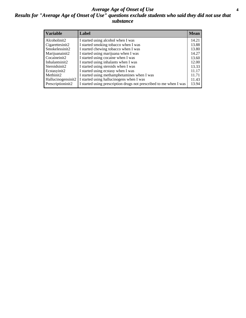### *Average Age of Onset of Use* **4** *Results for "Average Age of Onset of Use" questions exclude students who said they did not use that substance*

| <b>Variable</b>     | Label                                                              | <b>Mean</b> |
|---------------------|--------------------------------------------------------------------|-------------|
| Alcoholinit2        | I started using alcohol when I was                                 | 14.21       |
| Cigarettesinit2     | I started smoking tobacco when I was                               | 13.88       |
| Smokelessinit2      | I started chewing tobacco when I was                               | 13.80       |
| Marijuanainit2      | I started using marijuana when I was                               | 14.27       |
| Cocaineinit2        | I started using cocaine when I was                                 | 13.60       |
| Inhalantsinit2      | I started using inhalants when I was                               | 12.00       |
| Steroidsinit2       | I started using steroids when I was                                | 13.33       |
| Ecstasyinit2        | I started using ecstasy when I was                                 | 11.17       |
| Methinit2           | I started using methamphetamines when I was                        | 11.71       |
| Hallucinogensinit2  | I started using hallucinogens when I was                           | 11.43       |
| Prescription in it2 | I started using prescription drugs not prescribed to me when I was | 13.94       |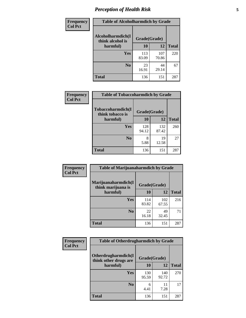# *Perception of Health Risk* **5**

| <b>Frequency</b> | <b>Table of Alcoholharmdich by Grade</b> |              |              |              |  |
|------------------|------------------------------------------|--------------|--------------|--------------|--|
| <b>Col Pct</b>   | Alcoholharmdich(I<br>think alcohol is    | Grade(Grade) |              |              |  |
|                  | harmful)                                 | 10           | 12           | <b>Total</b> |  |
|                  | <b>Yes</b>                               | 113<br>83.09 | 107<br>70.86 | 220          |  |
|                  | N <sub>0</sub>                           | 23<br>16.91  | 44<br>29.14  | 67           |  |
|                  | <b>Total</b>                             | 136          | 151          | 287          |  |

| Frequency      | <b>Table of Tobaccoharmdich by Grade</b> |              |              |              |  |
|----------------|------------------------------------------|--------------|--------------|--------------|--|
| <b>Col Pct</b> | Tobaccoharmdich(I<br>think tobacco is    | Grade(Grade) |              |              |  |
|                | harmful)                                 | 10           | 12           | <b>Total</b> |  |
|                | Yes                                      | 128<br>94.12 | 132<br>87.42 | 260          |  |
|                | N <sub>0</sub>                           | 8<br>5.88    | 19<br>12.58  | 27           |  |
|                | <b>Total</b>                             | 136          | 151          | 287          |  |

| Frequency      | <b>Table of Marijuanaharmdich by Grade</b> |              |              |              |  |
|----------------|--------------------------------------------|--------------|--------------|--------------|--|
| <b>Col Pct</b> | Marijuanaharmdich(I<br>think marijuana is  | Grade(Grade) |              |              |  |
|                | harmful)                                   | 10           | 12           | <b>Total</b> |  |
|                | Yes                                        | 114<br>83.82 | 102<br>67.55 | 216          |  |
|                | N <sub>0</sub>                             | 22<br>16.18  | 49<br>32.45  | 71           |  |
|                | <b>Total</b>                               | 136          | 151          | 287          |  |

| <b>Frequency</b><br><b>Col Pct</b> | <b>Table of Otherdrugharmdich by Grade</b>                   |              |              |              |  |
|------------------------------------|--------------------------------------------------------------|--------------|--------------|--------------|--|
|                                    | Otherdrugharmdich(I<br>Grade(Grade)<br>think other drugs are |              |              |              |  |
|                                    | harmful)                                                     | 10           | 12           | <b>Total</b> |  |
|                                    | <b>Yes</b>                                                   | 130<br>95.59 | 140<br>92.72 | 270          |  |
|                                    | N <sub>0</sub>                                               | 6<br>4.41    | 7.28         | 17           |  |
|                                    | <b>Total</b>                                                 | 136          | 151          | 287          |  |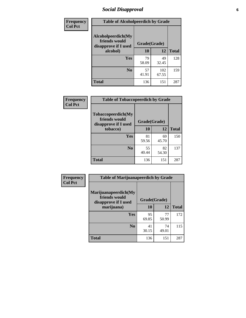# *Social Disapproval* **6**

| Frequency      | <b>Table of Alcoholpeerdich by Grade</b>                    |              |              |              |
|----------------|-------------------------------------------------------------|--------------|--------------|--------------|
| <b>Col Pct</b> | Alcoholpeerdich(My<br>friends would<br>disapprove if I used | Grade(Grade) |              |              |
|                | alcohol)                                                    | 10           | 12           | <b>Total</b> |
|                | <b>Yes</b>                                                  | 79<br>58.09  | 49<br>32.45  | 128          |
|                | N <sub>0</sub>                                              | 57<br>41.91  | 102<br>67.55 | 159          |
|                | <b>Total</b>                                                | 136          | 151          | 287          |

| <b>Frequency</b> |
|------------------|
| <b>Col Pct</b>   |

| <b>Table of Tobaccopeerdich by Grade</b>                            |              |             |              |  |
|---------------------------------------------------------------------|--------------|-------------|--------------|--|
| <b>Tobaccopeerdich</b> (My<br>friends would<br>disapprove if I used | Grade(Grade) |             |              |  |
| tobacco)                                                            | 10           | 12          | <b>Total</b> |  |
| Yes                                                                 | 81<br>59.56  | 69<br>45.70 | 150          |  |
| N <sub>0</sub>                                                      | 55<br>40.44  | 82<br>54.30 | 137          |  |
| <b>Total</b>                                                        | 136          | 151         | 287          |  |

| <b>Frequency</b> | <b>Table of Marijuanapeerdich by Grade</b>                    |              |             |              |  |  |
|------------------|---------------------------------------------------------------|--------------|-------------|--------------|--|--|
| <b>Col Pct</b>   | Marijuanapeerdich(My<br>friends would<br>disapprove if I used | Grade(Grade) |             |              |  |  |
|                  | marijuana)                                                    | 10           | 12          | <b>Total</b> |  |  |
|                  | <b>Yes</b>                                                    | 95<br>69.85  | 77<br>50.99 | 172          |  |  |
|                  | N <sub>0</sub>                                                | 41<br>30.15  | 74<br>49.01 | 115          |  |  |
|                  | <b>Total</b>                                                  | 136          | 151         | 287          |  |  |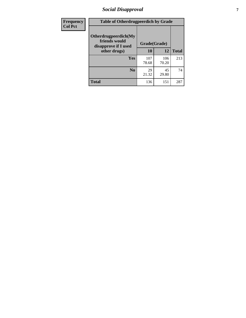# *Social Disapproval* **7**

| Frequency      | <b>Table of Otherdrugpeerdich by Grade</b>                    |              |              |              |  |  |
|----------------|---------------------------------------------------------------|--------------|--------------|--------------|--|--|
| <b>Col Pct</b> | Otherdrugpeerdich(My<br>friends would<br>disapprove if I used | Grade(Grade) |              |              |  |  |
|                | other drugs)                                                  | 10           | 12           | <b>Total</b> |  |  |
|                | Yes                                                           | 107<br>78.68 | 106<br>70.20 | 213          |  |  |
|                | N <sub>0</sub>                                                | 29<br>21.32  | 45<br>29.80  | 74           |  |  |
|                | <b>Total</b>                                                  | 136          | 151          | 287          |  |  |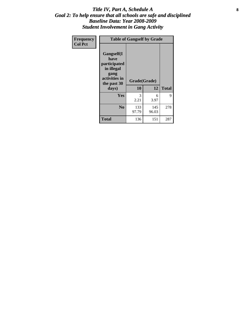### Title IV, Part A, Schedule A **8** *Goal 2: To help ensure that all schools are safe and disciplined Baseline Data: Year 2008-2009 Student Involvement in Gang Activity*

| Frequency      | <b>Table of Gangself by Grade</b>                                                                 |                          |              |              |
|----------------|---------------------------------------------------------------------------------------------------|--------------------------|--------------|--------------|
| <b>Col Pct</b> | Gangself(I<br>have<br>participated<br>in illegal<br>gang<br>activities in<br>the past 30<br>days) | Grade(Grade)<br>10<br>12 |              | <b>Total</b> |
|                | Yes                                                                                               | 3<br>2.21                | 6<br>3.97    | 9            |
|                | N <sub>0</sub>                                                                                    | 133<br>97.79             | 145<br>96.03 | 278          |
|                | Total                                                                                             | 136                      | 151          | 287          |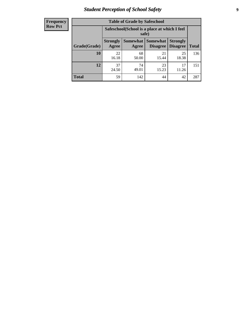# *Student Perception of School Safety* **9**

| <b>Frequency</b><br>Row Pct |
|-----------------------------|
|                             |

| <b>Table of Grade by Safeschool</b> |                          |                                                        |                                    |                                    |              |  |
|-------------------------------------|--------------------------|--------------------------------------------------------|------------------------------------|------------------------------------|--------------|--|
|                                     |                          | Safeschool (School is a place at which I feel<br>safe) |                                    |                                    |              |  |
| Grade(Grade)                        | <b>Strongly</b><br>Agree | Somewhat  <br>Agree                                    | <b>Somewhat</b><br><b>Disagree</b> | <b>Strongly</b><br><b>Disagree</b> | <b>Total</b> |  |
| 10                                  | 22<br>16.18              | 68<br>50.00                                            | 21<br>15.44                        | 25<br>18.38                        | 136          |  |
| 12                                  | 37<br>24.50              | 74<br>49.01                                            | 23<br>15.23                        | 17<br>11.26                        | 151          |  |
| <b>Total</b>                        | 59                       | 142                                                    | 44                                 | 42                                 | 287          |  |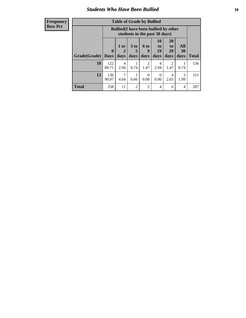### *Students Who Have Been Bullied* **10**

#### **Frequency Row Pct**

| <b>Table of Grade by Bullied</b> |                            |                                                                               |                              |                   |                        |                        |                   |              |
|----------------------------------|----------------------------|-------------------------------------------------------------------------------|------------------------------|-------------------|------------------------|------------------------|-------------------|--------------|
|                                  |                            | <b>Bullied</b> (I have been bullied by other<br>students in the past 30 days) |                              |                   |                        |                        |                   |              |
| Grade(Grade)                     | $\mathbf 0$<br><b>Days</b> | 1 or<br>2<br>days                                                             | 3 <sub>to</sub><br>5<br>days | 6 to<br>9<br>days | 10<br>to<br>19<br>days | 20<br>to<br>29<br>days | All<br>30<br>days | <b>Total</b> |
| 10                               | 122<br>89.71               | $\overline{4}$<br>2.94                                                        | 0.74                         | 2<br>1.47         | 4<br>2.94              | $\overline{2}$<br>1.47 | 0.74              | 136          |
| 12                               | 136<br>90.07               | $\overline{7}$<br>4.64                                                        | 0.66                         | $\Omega$<br>0.00  | 0<br>0.00              | 4<br>2.65              | 3<br>1.99         | 151          |
| <b>Total</b>                     | 258                        | 11                                                                            | 2                            | $\overline{2}$    | 4                      | 6                      | 4                 | 287          |

 $\blacksquare$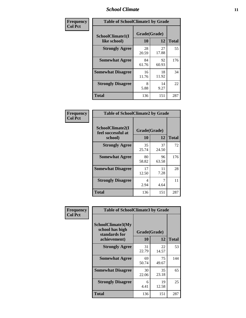### *School Climate* **11**

| <b>Frequency</b> | <b>Table of SchoolClimate1 by Grade</b> |                    |             |              |  |
|------------------|-----------------------------------------|--------------------|-------------|--------------|--|
| <b>Col Pct</b>   | SchoolClimate1(I<br>like school)        | Grade(Grade)<br>10 | 12          | <b>Total</b> |  |
|                  | <b>Strongly Agree</b>                   | 28<br>20.59        | 27<br>17.88 | 55           |  |
|                  | <b>Somewhat Agree</b>                   | 84<br>61.76        | 92<br>60.93 | 176          |  |
|                  | <b>Somewhat Disagree</b>                | 16<br>11.76        | 18<br>11.92 | 34           |  |
|                  | <b>Strongly Disagree</b>                | 8<br>5.88          | 14<br>9.27  | 22           |  |
|                  | <b>Total</b>                            | 136                | 151         | 287          |  |

| Frequency      | <b>Table of SchoolClimate2 by Grade</b>           |                    |             |              |  |
|----------------|---------------------------------------------------|--------------------|-------------|--------------|--|
| <b>Col Pct</b> | SchoolClimate2(I<br>feel successful at<br>school) | Grade(Grade)<br>10 | 12          | <b>Total</b> |  |
|                | <b>Strongly Agree</b>                             | 35<br>25.74        | 37<br>24.50 | 72           |  |
|                | <b>Somewhat Agree</b>                             | 80<br>58.82        | 96<br>63.58 | 176          |  |
|                | <b>Somewhat Disagree</b>                          | 17<br>12.50        | 11<br>7.28  | 28           |  |
|                | <b>Strongly Disagree</b>                          | 4<br>2.94          | 4.64        | 11           |  |
|                | <b>Total</b>                                      | 136                | 151         | 287          |  |

| Frequency      | <b>Table of SchoolClimate3 by Grade</b>                                      |                           |             |              |  |
|----------------|------------------------------------------------------------------------------|---------------------------|-------------|--------------|--|
| <b>Col Pct</b> | <b>SchoolClimate3(My</b><br>school has high<br>standards for<br>achievement) | Grade(Grade)<br><b>10</b> | 12          | <b>Total</b> |  |
|                |                                                                              |                           |             |              |  |
|                | <b>Strongly Agree</b>                                                        | 31<br>22.79               | 22<br>14.57 | 53           |  |
|                | <b>Somewhat Agree</b>                                                        | 69<br>50.74               | 75<br>49.67 | 144          |  |
|                | <b>Somewhat Disagree</b>                                                     | 30<br>22.06               | 35<br>23.18 | 65           |  |
|                | <b>Strongly Disagree</b>                                                     | 6<br>4.41                 | 19<br>12.58 | 25           |  |
|                | Total                                                                        | 136                       | 151         | 287          |  |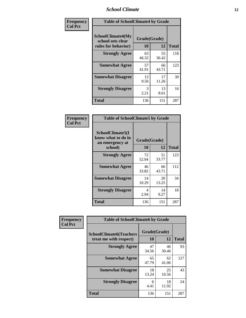### *School Climate* **12**

| Frequency      | <b>Table of SchoolClimate4 by Grade</b>                       |                    |             |              |
|----------------|---------------------------------------------------------------|--------------------|-------------|--------------|
| <b>Col Pct</b> | SchoolClimate4(My<br>school sets clear<br>rules for behavior) | Grade(Grade)<br>10 | 12          | <b>Total</b> |
|                | <b>Strongly Agree</b>                                         | 63<br>46.32        | 55<br>36.42 | 118          |
|                | <b>Somewhat Agree</b>                                         | 57<br>41.91        | 66<br>43.71 | 123          |
|                | <b>Somewhat Disagree</b>                                      | 13<br>9.56         | 17<br>11.26 | 30           |
|                | <b>Strongly Disagree</b>                                      | 3<br>2.21          | 13<br>8.61  | 16           |
|                | <b>Total</b>                                                  | 136                | 151         | 287          |

| <b>Table of SchoolClimate5 by Grade</b>                   |              |             |              |  |  |
|-----------------------------------------------------------|--------------|-------------|--------------|--|--|
| SchoolClimate5(I<br>know what to do in<br>an emergency at | Grade(Grade) |             |              |  |  |
| school)                                                   | 10           | 12          | <b>Total</b> |  |  |
| <b>Strongly Agree</b>                                     | 72<br>52.94  | 51<br>33.77 | 123          |  |  |
| <b>Somewhat Agree</b>                                     | 46<br>33.82  | 66<br>43.71 | 112          |  |  |
| <b>Somewhat Disagree</b>                                  | 14<br>10.29  | 20<br>13.25 | 34           |  |  |
| <b>Strongly Disagree</b>                                  | 4<br>2.94    | 14<br>9.27  | 18           |  |  |
| <b>Total</b>                                              | 136          | 151         | 287          |  |  |

| Frequency      | <b>Table of SchoolClimate6 by Grade</b>                  |                    |             |              |  |
|----------------|----------------------------------------------------------|--------------------|-------------|--------------|--|
| <b>Col Pct</b> | <b>SchoolClimate6(Teachers</b><br>treat me with respect) | Grade(Grade)<br>10 | 12          | <b>Total</b> |  |
|                | <b>Strongly Agree</b>                                    | 47<br>34.56        | 46<br>30.46 | 93           |  |
|                | <b>Somewhat Agree</b>                                    | 65<br>47.79        | 62<br>41.06 | 127          |  |
|                | <b>Somewhat Disagree</b>                                 | 18<br>13.24        | 25<br>16.56 | 43           |  |
|                | <b>Strongly Disagree</b>                                 | 6<br>4.41          | 18<br>11.92 | 24           |  |
|                | <b>Total</b>                                             | 136                | 151         | 287          |  |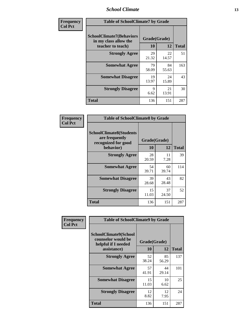### *School Climate* **13**

| Frequency      | <b>Table of SchoolClimate7 by Grade</b>                                       |                           |             |              |
|----------------|-------------------------------------------------------------------------------|---------------------------|-------------|--------------|
| <b>Col Pct</b> | <b>SchoolClimate7(Behaviors</b><br>in my class allow the<br>teacher to teach) | Grade(Grade)<br><b>10</b> | 12          | <b>Total</b> |
|                | <b>Strongly Agree</b>                                                         | 29<br>21.32               | 22<br>14.57 | 51           |
|                | <b>Somewhat Agree</b>                                                         | 79<br>58.09               | 84<br>55.63 | 163          |
|                | <b>Somewhat Disagree</b>                                                      | 19<br>13.97               | 24<br>15.89 | 43           |
|                | <b>Strongly Disagree</b>                                                      | $\mathbf Q$<br>6.62       | 21<br>13.91 | 30           |
|                | <b>Total</b>                                                                  | 136                       | 151         | 287          |

| Frequency      | <b>Table of SchoolClimate8 by Grade</b>                                              |                    |             |              |
|----------------|--------------------------------------------------------------------------------------|--------------------|-------------|--------------|
| <b>Col Pct</b> | <b>SchoolClimate8(Students</b><br>are frequently<br>recognized for good<br>behavior) | Grade(Grade)<br>10 | 12          | <b>Total</b> |
|                | <b>Strongly Agree</b>                                                                | 28<br>20.59        | 11<br>7.28  | 39           |
|                | <b>Somewhat Agree</b>                                                                | 54<br>39.71        | 60<br>39.74 | 114          |
|                | <b>Somewhat Disagree</b>                                                             | 39<br>28.68        | 43<br>28.48 | 82           |
|                | <b>Strongly Disagree</b>                                                             | 15<br>11.03        | 37<br>24.50 | 52           |
|                | <b>Total</b>                                                                         | 136                | 151         | 287          |

| Frequency<br><b>Col Pct</b> | <b>Table of SchoolClimate9 by Grade</b>                                           |                    |             |              |
|-----------------------------|-----------------------------------------------------------------------------------|--------------------|-------------|--------------|
|                             | SchoolClimate9(School<br>counselor would be<br>helpful if I needed<br>assistance) | Grade(Grade)<br>10 | 12          | <b>Total</b> |
|                             | <b>Strongly Agree</b>                                                             | 52<br>38.24        | 85<br>56.29 | 137          |
|                             | <b>Somewhat Agree</b>                                                             | 57<br>41.91        | 44<br>29.14 | 101          |
|                             | <b>Somewhat Disagree</b>                                                          | 15<br>11.03        | 10<br>6.62  | 25           |
|                             | <b>Strongly Disagree</b>                                                          | 12<br>8.82         | 12<br>7.95  | 24           |
|                             | <b>Total</b>                                                                      | 136                | 151         | 287          |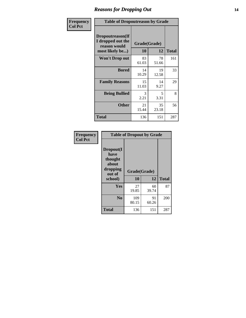### *Reasons for Dropping Out* **14**

| Frequency      | <b>Table of Dropoutreason by Grade</b>                                   |                    |             |              |
|----------------|--------------------------------------------------------------------------|--------------------|-------------|--------------|
| <b>Col Pct</b> | Dropoutreason(If<br>I dropped out the<br>reason would<br>most likely be) | Grade(Grade)<br>10 | 12          | <b>Total</b> |
|                | <b>Won't Drop out</b>                                                    | 83<br>61.03        | 78<br>51.66 | 161          |
|                | <b>Bored</b>                                                             | 14<br>10.29        | 19<br>12.58 | 33           |
|                | <b>Family Reasons</b>                                                    | 15<br>11.03        | 14<br>9.27  | 29           |
|                | <b>Being Bullied</b>                                                     | 3<br>2.21          | 5<br>3.31   | 8            |
|                | <b>Other</b>                                                             | 21<br>15.44        | 35<br>23.18 | 56           |
|                | Total                                                                    | 136                | 151         | 287          |

| <b>Frequency</b> | <b>Table of Dropout by Grade</b>                                       |                    |             |              |  |
|------------------|------------------------------------------------------------------------|--------------------|-------------|--------------|--|
| <b>Col Pct</b>   | Dropout(I<br>have<br>thought<br>about<br>dropping<br>out of<br>school) | Grade(Grade)<br>10 | 12          | <b>Total</b> |  |
|                  | Yes                                                                    | 27<br>19.85        | 60<br>39.74 | 87           |  |
|                  | N <sub>0</sub>                                                         | 109<br>80.15       | 91<br>60.26 | 200          |  |
|                  | <b>Total</b>                                                           | 136                | 151         | 287          |  |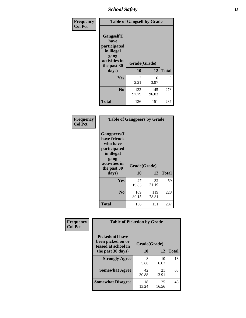*School Safety* **15**

| Frequency      | <b>Table of Gangself by Grade</b>                                                                 |                    |              |              |
|----------------|---------------------------------------------------------------------------------------------------|--------------------|--------------|--------------|
| <b>Col Pct</b> | Gangself(I<br>have<br>participated<br>in illegal<br>gang<br>activities in<br>the past 30<br>days) | Grade(Grade)<br>10 | 12           | <b>Total</b> |
|                | Yes                                                                                               | 3<br>2.21          | 6<br>3.97    | 9            |
|                | N <sub>0</sub>                                                                                    | 133<br>97.79       | 145<br>96.03 | 278          |
|                | <b>Total</b>                                                                                      | 136                | 151          | 287          |

| Frequency<br><b>Col Pct</b> | <b>Table of Gangpeers by Grade</b>                                                                                             |                    |              |              |
|-----------------------------|--------------------------------------------------------------------------------------------------------------------------------|--------------------|--------------|--------------|
|                             | <b>Gangpeers</b> (I<br>have friends<br>who have<br>participated<br>in illegal<br>gang<br>activities in<br>the past 30<br>days) | Grade(Grade)<br>10 | 12           | <b>Total</b> |
|                             | Yes                                                                                                                            | 27<br>19.85        | 32<br>21.19  | 59           |
|                             | N <sub>0</sub>                                                                                                                 | 109<br>80.15       | 119<br>78.81 | 228          |
|                             | <b>Total</b>                                                                                                                   | 136                | 151          | 287          |

| Frequency      | <b>Table of Pickedon by Grade</b>                                  |              |             |              |
|----------------|--------------------------------------------------------------------|--------------|-------------|--------------|
| <b>Col Pct</b> | <b>Pickedon(I have</b><br>been picked on or<br>teased at school in | Grade(Grade) |             |              |
|                | the past 30 days)                                                  | 10           | 12          | <b>Total</b> |
|                | <b>Strongly Agree</b>                                              | 8<br>5.88    | 10<br>6.62  | 18           |
|                | <b>Somewhat Agree</b>                                              | 42<br>30.88  | 21<br>13.91 | 63           |
|                | <b>Somewhat Disagree</b>                                           | 18<br>13.24  | 25<br>16.56 | 43           |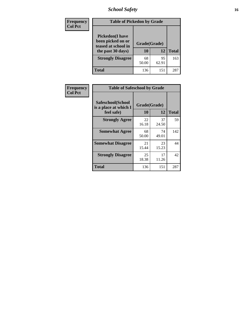# *School Safety* **16**

| <b>Frequency</b> | <b>Table of Pickedon by Grade</b>                                                        |                    |             |              |
|------------------|------------------------------------------------------------------------------------------|--------------------|-------------|--------------|
| <b>Col Pct</b>   | <b>Pickedon</b> (I have<br>been picked on or<br>teased at school in<br>the past 30 days) | Grade(Grade)<br>10 | 12          | <b>Total</b> |
|                  | <b>Strongly Disagree</b>                                                                 | 68<br>50.00        | 95<br>62.91 | 163          |
|                  | Total                                                                                    | 136                | 151         | 287          |

| Frequency      |                                                          | <b>Table of Safeschool by Grade</b> |              |     |  |  |  |  |  |  |  |
|----------------|----------------------------------------------------------|-------------------------------------|--------------|-----|--|--|--|--|--|--|--|
| <b>Col Pct</b> | Safeschool(School<br>is a place at which I<br>feel safe) | Grade(Grade)<br>10                  | <b>Total</b> |     |  |  |  |  |  |  |  |
|                | <b>Strongly Agree</b>                                    | 22<br>16.18                         | 37<br>24.50  | 59  |  |  |  |  |  |  |  |
|                | <b>Somewhat Agree</b>                                    | 68<br>50.00                         | 74<br>49.01  | 142 |  |  |  |  |  |  |  |
|                | <b>Somewhat Disagree</b>                                 | 21<br>15.44                         | 23<br>15.23  | 44  |  |  |  |  |  |  |  |
|                | <b>Strongly Disagree</b>                                 | 25<br>18.38                         | 17<br>11.26  | 42  |  |  |  |  |  |  |  |
|                | <b>Total</b>                                             | 136                                 | 151          | 287 |  |  |  |  |  |  |  |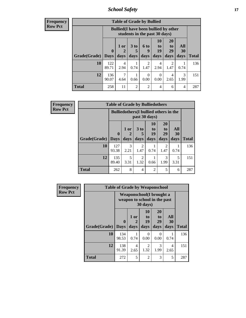*School Safety* **17**

| <b>Frequency</b> |
|------------------|
| Row Pct          |

| <b>Table of Grade by Bullied</b> |                                 |                                                                               |                         |                          |                        |                        |                          |              |  |  |  |
|----------------------------------|---------------------------------|-------------------------------------------------------------------------------|-------------------------|--------------------------|------------------------|------------------------|--------------------------|--------------|--|--|--|
|                                  |                                 | <b>Bullied</b> (I have been bullied by other<br>students in the past 30 days) |                         |                          |                        |                        |                          |              |  |  |  |
| Grade(Grade)                     | $\boldsymbol{0}$<br><b>Days</b> | 1 or<br>2<br>days                                                             | 3 <sub>to</sub><br>days | <b>6 to</b><br>9<br>days | 10<br>to<br>19<br>days | 20<br>to<br>29<br>days | All<br><b>30</b><br>days | <b>Total</b> |  |  |  |
| 10                               | 122<br>89.71                    | 4<br>2.94                                                                     | 0.74                    | $\mathcal{L}$<br>1.47    | 4<br>2.94              | 2<br>1.47              | 0.74                     | 136          |  |  |  |
| 12                               | 136<br>90.07                    | 7<br>4.64                                                                     | 0.66                    | $\Omega$<br>0.00         | 0<br>0.00              | 4<br>2.65              | 3<br>1.99                | 151          |  |  |  |
| <b>Total</b>                     | 258                             | 11                                                                            | $\mathfrak{D}$          | $\overline{2}$           | 4                      | 6                      | 4                        | 287          |  |  |  |

| Frequency      |                           | <b>Table of Grade by Bulliedothers</b> |                                                                |                        |                        |                               |                   |              |  |  |
|----------------|---------------------------|----------------------------------------|----------------------------------------------------------------|------------------------|------------------------|-------------------------------|-------------------|--------------|--|--|
| <b>Row Pct</b> |                           |                                        | <b>Bulliedothers</b> (I bullied others in the<br>past 30 days) |                        |                        |                               |                   |              |  |  |
|                | <b>Grade</b> (Grade) Days | $\mathbf{0}$                           | 1 or<br>days                                                   | 3 to<br>days           | 10<br>to<br>19<br>days | <b>20</b><br>to<br>29<br>days | All<br>30<br>days | <b>Total</b> |  |  |
|                | 10                        | 127<br>93.38                           | 3<br>2.21                                                      | $\mathfrak{D}$<br>1.47 | 0.74                   | 2<br>1.47                     | 0.74              | 136          |  |  |
|                | 12                        | 135<br>89.40                           | 5<br>3.31                                                      | $\overline{c}$<br>1.32 | 0.66                   | 3<br>1.99                     | 5<br>3.31         | 151          |  |  |
|                | <b>Total</b>              | 262                                    | 8                                                              | 4                      | $\overline{2}$         | 5                             | 6                 | 287          |  |  |

| <b>Frequency</b> |                     | <b>Table of Grade by Weaponschool</b>                     |                              |                        |                        |                          |              |  |  |  |  |
|------------------|---------------------|-----------------------------------------------------------|------------------------------|------------------------|------------------------|--------------------------|--------------|--|--|--|--|
| <b>Row Pct</b>   |                     | Weaponschool (I brought a<br>weapon to school in the past |                              |                        |                        |                          |              |  |  |  |  |
|                  | Grade(Grade)   Days | $\mathbf{0}$                                              | 1 or<br>$\mathbf{2}$<br>days | 10<br>to<br>19<br>days | 20<br>to<br>29<br>days | All<br><b>30</b><br>days | <b>Total</b> |  |  |  |  |
|                  | 10                  | 134<br>98.53                                              | 0.74                         | 0<br>0.00              | 0<br>0.00              | 0.74                     | 136          |  |  |  |  |
|                  | 12                  | 138<br>91.39                                              | 4<br>2.65                    | 2<br>1.32              | 3<br>1.99              | 4<br>2.65                | 151          |  |  |  |  |
|                  | <b>Total</b>        | 272                                                       | 5                            | $\overline{2}$         | 3                      | 5                        | 287          |  |  |  |  |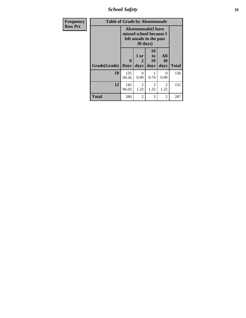*School Safety* **18**

| <b>Frequency</b> | <b>Table of Grade by Absentunsafe</b> |                  |                                                                                              |                        |                   |              |  |  |  |  |  |
|------------------|---------------------------------------|------------------|----------------------------------------------------------------------------------------------|------------------------|-------------------|--------------|--|--|--|--|--|
| <b>Row Pct</b>   |                                       |                  | <b>Absentunsafe(I have</b><br>missed school because I<br>felt unsafe in the past<br>30 days) |                        |                   |              |  |  |  |  |  |
|                  | Grade(Grade)                          | 0<br><b>Days</b> | $1$ or<br>2<br>days                                                                          | 10<br>to<br>19<br>days | All<br>30<br>days | <b>Total</b> |  |  |  |  |  |
|                  | 10                                    | 135<br>99.26     | 0<br>0.00                                                                                    | 0.74                   | $\Omega$<br>0.00  | 136          |  |  |  |  |  |
|                  | 12                                    | 145<br>96.03     | $\mathfrak{D}$<br>1.32                                                                       | 2<br>1.32              | 2<br>1.32         | 151          |  |  |  |  |  |
|                  | <b>Total</b>                          | 280              | $\mathfrak{D}$                                                                               | 3                      | $\overline{2}$    | 287          |  |  |  |  |  |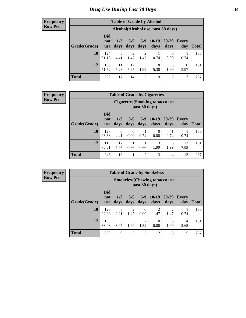# *Drug Use During Last 30 Days* **19**

#### **Frequency Row Pct**

| <b>Table of Grade by Alcohol</b> |                                 |                                    |                        |                        |                 |               |              |       |  |  |  |
|----------------------------------|---------------------------------|------------------------------------|------------------------|------------------------|-----------------|---------------|--------------|-------|--|--|--|
|                                  |                                 | Alcohol(Alcohol use, past 30 days) |                        |                        |                 |               |              |       |  |  |  |
| Grade(Grade)                     | <b>Did</b><br>not<br><b>use</b> | $1 - 2$<br>days                    | $3 - 5$<br>days        | $6 - 9$<br>days        | $10-19$<br>days | 20-29<br>days | Every<br>day | Total |  |  |  |
| 10                               | 124<br>91.18                    | 6<br>4.41                          | $\overline{2}$<br>1.47 | $\overline{2}$<br>1.47 | 0.74            | 0<br>0.00     | 0.74         | 136   |  |  |  |
| 12                               | 108<br>71.52                    | 11<br>7.28                         | 12<br>7.95             | 3<br>1.99              | 8<br>5.30       | 3<br>1.99     | 6<br>3.97    | 151   |  |  |  |
| <b>Total</b>                     | 232                             | 17                                 | 14                     | 5                      | 9               | 3             | 7            | 287   |  |  |  |

#### **Frequency Row Pct**

| <b>Table of Grade by Cigarettes</b> |                                 |                                                          |                  |                 |                  |                   |                     |              |  |  |  |
|-------------------------------------|---------------------------------|----------------------------------------------------------|------------------|-----------------|------------------|-------------------|---------------------|--------------|--|--|--|
|                                     |                                 | <b>Cigarettes</b> (Smoking tobacco use,<br>past 30 days) |                  |                 |                  |                   |                     |              |  |  |  |
| Grade(Grade)                        | <b>Did</b><br>not<br><b>use</b> | $1 - 2$<br>days                                          | $3 - 5$<br>days  | $6 - 9$<br>days | $10-19$<br>days  | $20 - 29$<br>days | <b>Every</b><br>day | <b>Total</b> |  |  |  |
| 10                                  | 127<br>93.38                    | 6<br>4.41                                                | $\Omega$<br>0.00 | 0.74            | $\theta$<br>0.00 | 0.74              | 0.74                | 136          |  |  |  |
| 12                                  | 119<br>78.81                    | 12<br>7.95                                               | 0.66             | 0.66            | 3<br>1.99        | 3<br>1.99         | 12<br>7.95          | 151          |  |  |  |
| <b>Total</b>                        | 246                             | 18                                                       | 1                | $\overline{2}$  | 3                | 4                 | 13                  | 287          |  |  |  |

**Frequency Row Pct**

| <b>Table of Grade by Smokeless</b> |                                 |                                                        |                 |                  |                 |                   |                     |              |  |  |  |
|------------------------------------|---------------------------------|--------------------------------------------------------|-----------------|------------------|-----------------|-------------------|---------------------|--------------|--|--|--|
|                                    |                                 | <b>Smokeless</b> (Chewing tobaccouse,<br>past 30 days) |                 |                  |                 |                   |                     |              |  |  |  |
| Grade(Grade)                       | <b>Did</b><br>not<br><b>use</b> | $1 - 2$<br>days                                        | $3 - 5$<br>days | $6-9$<br>days    | $10-19$<br>days | $20 - 29$<br>days | <b>Every</b><br>day | <b>Total</b> |  |  |  |
| 10                                 | 126<br>92.65                    | 3<br>2.21                                              | 2<br>1.47       | $\Omega$<br>0.00 | 2<br>1.47       | っ<br>1.47         | 0.74                | 136          |  |  |  |
| 12                                 | 133<br>88.08                    | 6<br>3.97                                              | 3<br>1.99       | 2<br>1.32        | 0<br>0.00       | 3<br>1.99         | 4<br>2.65           | 151          |  |  |  |
| <b>Total</b>                       | 259                             | 9                                                      | 5               | $\overline{2}$   | $\overline{2}$  | 5                 | 5                   | 287          |  |  |  |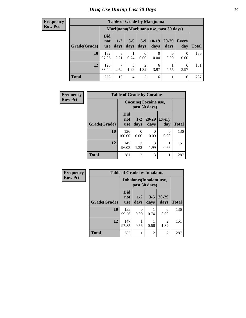#### **Frequency Row Pct**

| <b>Table of Grade by Marijuana</b> |                                 |                                         |                 |                        |                 |               |              |       |  |  |  |
|------------------------------------|---------------------------------|-----------------------------------------|-----------------|------------------------|-----------------|---------------|--------------|-------|--|--|--|
|                                    |                                 | Marijuana (Marijuana use, past 30 days) |                 |                        |                 |               |              |       |  |  |  |
| Grade(Grade)                       | <b>Did</b><br>not<br><b>use</b> | $1 - 2$<br>days                         | $3 - 5$<br>days | $6-9$<br>days          | $10-19$<br>days | 20-29<br>days | Every<br>day | Total |  |  |  |
| 10                                 | 132<br>97.06                    | 3<br>2.21                               | 0.74            | 0<br>0.00              | 0<br>0.00       | 0<br>0.00     | 0<br>0.00    | 136   |  |  |  |
| 12                                 | 126<br>83.44                    | $\mathcal{I}$<br>4.64                   | 3<br>1.99       | $\overline{2}$<br>1.32 | 6<br>3.97       | 0.66          | 6<br>3.97    | 151   |  |  |  |
| <b>Total</b>                       | 258                             | 10                                      | 4               | $\overline{2}$         | 6               |               | 6            | 287   |  |  |  |

| Frequency      |              | <b>Table of Grade by Cocaine</b> |                        |                   |                     |              |  |  |  |  |  |
|----------------|--------------|----------------------------------|------------------------|-------------------|---------------------|--------------|--|--|--|--|--|
| <b>Row Pct</b> |              | Cocaine (Cocaine use,            |                        |                   |                     |              |  |  |  |  |  |
|                | Grade(Grade) | <b>Did</b><br>not<br><b>use</b>  | $1-2$<br>days          | $20 - 29$<br>days | <b>Every</b><br>day | <b>Total</b> |  |  |  |  |  |
|                | 10           | 136<br>100.00                    | $\Omega$<br>0.00       | ∩<br>0.00         | 0<br>0.00           | 136          |  |  |  |  |  |
|                | 12           | 145<br>96.03                     | $\overline{2}$<br>1.32 | 3<br>1.99         | 0.66                | 151          |  |  |  |  |  |
|                | <b>Total</b> | 281                              | $\overline{2}$         | 3                 |                     | 287          |  |  |  |  |  |

| <b>Frequency</b> | <b>Table of Grade by Inhalants</b> |                          |                 |                 |                        |              |  |
|------------------|------------------------------------|--------------------------|-----------------|-----------------|------------------------|--------------|--|
| <b>Row Pct</b>   |                                    | Inhalants (Inhalant use, |                 |                 |                        |              |  |
|                  | Grade(Grade)                       | <b>Did</b><br>not<br>use | $1 - 2$<br>days | $3 - 5$<br>days | $20 - 29$<br>days      | <b>Total</b> |  |
|                  | 10                                 | 135<br>99.26             | 0<br>0.00       | 0.74            | 0<br>0.00              | 136          |  |
|                  | 12                                 | 147<br>97.35             | 0.66            | 0.66            | $\overline{2}$<br>1.32 | 151          |  |
|                  | <b>Total</b>                       | 282                      |                 | $\overline{c}$  | $\overline{2}$         | 287          |  |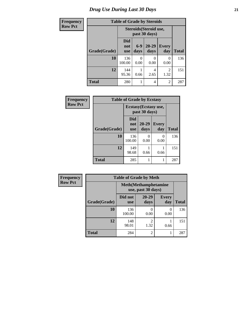# *Drug Use During Last 30 Days* **21**

| <b>Frequency</b> | <b>Table of Grade by Steroids</b> |                                 |               |                                         |                        |              |
|------------------|-----------------------------------|---------------------------------|---------------|-----------------------------------------|------------------------|--------------|
| <b>Row Pct</b>   |                                   |                                 |               | Steroids (Steroid use,<br>past 30 days) |                        |              |
|                  | Grade(Grade)                      | <b>Did</b><br>not<br><b>use</b> | $6-9$<br>days | $20 - 29$<br>days                       | <b>Every</b><br>day    | <b>Total</b> |
|                  | 10                                | 136<br>100.00                   | 0<br>0.00     | 0<br>0.00                               | $\Omega$<br>0.00       | 136          |
|                  | 12                                | 144<br>95.36                    | 0.66          | 4<br>2.65                               | $\overline{2}$<br>1.32 | 151          |
|                  | <b>Total</b>                      | 280                             |               | 4                                       | $\overline{2}$         | 287          |

| Frequency      | <b>Table of Grade by Ecstasy</b> |                                 |                                        |              |              |
|----------------|----------------------------------|---------------------------------|----------------------------------------|--------------|--------------|
| <b>Row Pct</b> |                                  |                                 | Ecstasy (Ecstasy use,<br>past 30 days) |              |              |
|                | Grade(Grade)                     | <b>Did</b><br>not<br><b>use</b> | $20 - 29$<br>days                      | Every<br>day | <b>Total</b> |
|                | 10                               | 136<br>100.00                   | $\mathcal{O}$<br>0.00                  | 0<br>0.00    | 136          |
|                | 12                               | 149<br>98.68                    | 0.66                                   | 0.66         | 151          |
|                | <b>Total</b>                     | 285                             |                                        | 1            | 287          |

| Frequency      | <b>Table of Grade by Meth</b>                      |                       |                        |                     |              |  |
|----------------|----------------------------------------------------|-----------------------|------------------------|---------------------|--------------|--|
| <b>Row Pct</b> | <b>Meth</b> (Methamphetamine<br>use, past 30 days) |                       |                        |                     |              |  |
|                | Grade(Grade)                                       | Did not<br><b>use</b> | $20 - 29$<br>days      | <b>Every</b><br>day | <b>Total</b> |  |
|                | 10                                                 | 136<br>100.00         | 0.00                   | 0<br>0.00           | 136          |  |
|                | 12                                                 | 148<br>98.01          | $\mathfrak{D}$<br>1.32 | 0.66                | 151          |  |
|                | <b>Total</b>                                       | 284                   | $\mathfrak{D}$         |                     | 287          |  |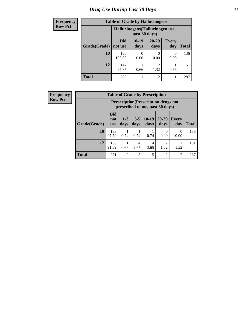# *Drug Use During Last 30 Days* **22**

| <b>Frequency</b> | <b>Table of Grade by Hallucinogens</b> |                                  |                 |                        |                     |              |  |
|------------------|----------------------------------------|----------------------------------|-----------------|------------------------|---------------------|--------------|--|
| <b>Row Pct</b>   |                                        | Hallucinogens (Hallucinogen use, |                 |                        |                     |              |  |
|                  | Grade(Grade)                           | Did<br>not use                   | $10-19$<br>days | $20 - 29$<br>days      | <b>Every</b><br>day | <b>Total</b> |  |
|                  | 10                                     | 136<br>100.00                    | 0.00            | 0<br>0.00              | $\left($<br>0.00    | 136          |  |
|                  | 12                                     | 147<br>97.35                     | 0.66            | $\mathfrak{D}$<br>1.32 | 0.66                | 151          |  |
|                  | <b>Total</b>                           | 283                              |                 | $\overline{2}$         |                     | 287          |  |

| Frequency      | <b>Table of Grade by Prescription</b> |                                                                                |                |                 |                 |                   |                        |              |
|----------------|---------------------------------------|--------------------------------------------------------------------------------|----------------|-----------------|-----------------|-------------------|------------------------|--------------|
| <b>Row Pct</b> |                                       | <b>Prescription</b> (Prescription drugs not<br>prescribed to me, past 30 days) |                |                 |                 |                   |                        |              |
|                | Grade(Grade)                          | <b>Did</b><br>not<br><b>use</b>                                                | $1-2$<br>days  | $3 - 5$<br>days | $10-19$<br>days | $20 - 29$<br>days | Every<br>day           | <b>Total</b> |
|                | 10                                    | 133<br>97.79                                                                   | 0.74           | 0.74            | 0.74            | $\Omega$<br>0.00  | $\Omega$<br>0.00       | 136          |
|                | 12                                    | 138<br>91.39                                                                   | 0.66           | 4<br>2.65       | 4<br>2.65       | 2<br>1.32         | $\overline{c}$<br>1.32 | 151          |
|                | <b>Total</b>                          | 271                                                                            | $\overline{2}$ | 5               | 5               | $\overline{2}$    | $\overline{2}$         | 287          |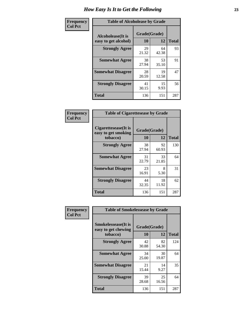| Frequency      | <b>Table of Alcoholease by Grade</b>              |                    |             |              |  |
|----------------|---------------------------------------------------|--------------------|-------------|--------------|--|
| <b>Col Pct</b> | <b>Alcoholease</b> (It is<br>easy to get alcohol) | Grade(Grade)<br>10 | 12          | <b>Total</b> |  |
|                | <b>Strongly Agree</b>                             | 29<br>21.32        | 64<br>42.38 | 93           |  |
|                | <b>Somewhat Agree</b>                             | 38<br>27.94        | 53<br>35.10 | 91           |  |
|                | <b>Somewhat Disagree</b>                          | 28<br>20.59        | 19<br>12.58 | 47           |  |
|                | <b>Strongly Disagree</b>                          | 41<br>30.15        | 15<br>9.93  | 56           |  |
|                | <b>Total</b>                                      | 136                | 151         | 287          |  |

| Frequency      | <b>Table of Cigarettesease by Grade</b>                  |                    |             |              |  |
|----------------|----------------------------------------------------------|--------------------|-------------|--------------|--|
| <b>Col Pct</b> | Cigarettesease (It is<br>easy to get smoking<br>tobacco) | Grade(Grade)<br>10 | 12          | <b>Total</b> |  |
|                | <b>Strongly Agree</b>                                    | 38<br>27.94        | 92<br>60.93 | 130          |  |
|                | <b>Somewhat Agree</b>                                    | 31<br>22.79        | 33<br>21.85 | 64           |  |
|                | <b>Somewhat Disagree</b>                                 | 23<br>16.91        | 8<br>5.30   | 31           |  |
|                | <b>Strongly Disagree</b>                                 | 44<br>32.35        | 18<br>11.92 | 62           |  |
|                | <b>Total</b>                                             | 136                | 151         | 287          |  |

| Frequency      | <b>Table of Smokelessease by Grade</b>                         |                    |             |              |
|----------------|----------------------------------------------------------------|--------------------|-------------|--------------|
| <b>Col Pct</b> | <b>Smokelessease</b> (It is<br>easy to get chewing<br>tobacco) | Grade(Grade)<br>10 | 12          | <b>Total</b> |
|                | <b>Strongly Agree</b>                                          | 42<br>30.88        | 82<br>54.30 | 124          |
|                | <b>Somewhat Agree</b>                                          | 34<br>25.00        | 30<br>19.87 | 64           |
|                | <b>Somewhat Disagree</b>                                       | 21<br>15.44        | 14<br>9.27  | 35           |
|                | <b>Strongly Disagree</b>                                       | 39<br>28.68        | 25<br>16.56 | 64           |
|                | <b>Total</b>                                                   | 136                | 151         | 287          |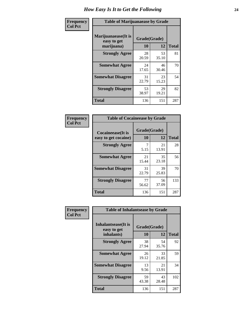| Frequency      | <b>Table of Marijuanaease by Grade</b>           |                    |             |              |  |
|----------------|--------------------------------------------------|--------------------|-------------|--------------|--|
| <b>Col Pct</b> | Marijuanaease(It is<br>easy to get<br>marijuana) | Grade(Grade)<br>10 | 12          | <b>Total</b> |  |
|                | <b>Strongly Agree</b>                            | 28<br>20.59        | 53<br>35.10 | 81           |  |
|                | <b>Somewhat Agree</b>                            | 24<br>17.65        | 46<br>30.46 | 70           |  |
|                | <b>Somewhat Disagree</b>                         | 31<br>22.79        | 23<br>15.23 | 54           |  |
|                | <b>Strongly Disagree</b>                         | 53<br>38.97        | 29<br>19.21 | 82           |  |
|                | <b>Total</b>                                     | 136                | 151         | 287          |  |

| <b>Table of Cocaineease by Grade</b>              |                    |                   |     |  |  |  |
|---------------------------------------------------|--------------------|-------------------|-----|--|--|--|
| <b>Cocaineease</b> (It is<br>easy to get cocaine) | Grade(Grade)<br>10 | <b>Total</b>      |     |  |  |  |
| <b>Strongly Agree</b>                             | 5.15               | 12<br>21<br>13.91 | 28  |  |  |  |
| <b>Somewhat Agree</b>                             | 21<br>15.44        | 35<br>23.18       | 56  |  |  |  |
| <b>Somewhat Disagree</b>                          | 31<br>22.79        | 39<br>25.83       | 70  |  |  |  |
| <b>Strongly Disagree</b>                          | 77<br>56.62        | 56<br>37.09       | 133 |  |  |  |
| <b>Total</b>                                      | 136                | 151               | 287 |  |  |  |

| Frequency      | <b>Table of Inhalantsease by Grade</b>                   |                           |             |              |  |
|----------------|----------------------------------------------------------|---------------------------|-------------|--------------|--|
| <b>Col Pct</b> | <b>Inhalantsease</b> (It is<br>easy to get<br>inhalants) | Grade(Grade)<br><b>10</b> | 12          | <b>Total</b> |  |
|                | <b>Strongly Agree</b>                                    | 38<br>27.94               | 54<br>35.76 | 92           |  |
|                | <b>Somewhat Agree</b>                                    | 26<br>19.12               | 33<br>21.85 | 59           |  |
|                | <b>Somewhat Disagree</b>                                 | 13<br>9.56                | 21<br>13.91 | 34           |  |
|                | <b>Strongly Disagree</b>                                 | 59<br>43.38               | 43<br>28.48 | 102          |  |
|                | <b>Total</b>                                             | 136                       | 151         | 287          |  |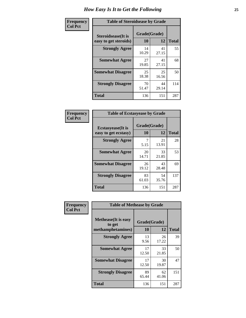| Frequency      | <b>Table of Steroidsease by Grade</b>               |                    |             |              |  |  |  |  |  |  |  |
|----------------|-----------------------------------------------------|--------------------|-------------|--------------|--|--|--|--|--|--|--|
| <b>Col Pct</b> | <b>Steroidsease</b> (It is<br>easy to get steroids) | Grade(Grade)<br>10 | 12          | <b>Total</b> |  |  |  |  |  |  |  |
|                | <b>Strongly Agree</b>                               | 14<br>10.29        | 41<br>27.15 | 55           |  |  |  |  |  |  |  |
|                | <b>Somewhat Agree</b>                               | 27<br>19.85        | 41<br>27.15 | 68           |  |  |  |  |  |  |  |
|                | <b>Somewhat Disagree</b>                            | 25<br>18.38        | 25<br>16.56 | 50           |  |  |  |  |  |  |  |
|                | <b>Strongly Disagree</b>                            | 70<br>51.47        | 44<br>29.14 | 114          |  |  |  |  |  |  |  |
|                | <b>Total</b>                                        | 136                | 151         | 287          |  |  |  |  |  |  |  |

| Frequency      | <b>Table of Ecstasyease by Grade</b>              |                           |             |              |  |  |  |  |  |  |  |  |
|----------------|---------------------------------------------------|---------------------------|-------------|--------------|--|--|--|--|--|--|--|--|
| <b>Col Pct</b> | <b>Ecstasyease</b> (It is<br>easy to get ecstasy) | Grade(Grade)<br><b>10</b> | 12          | <b>Total</b> |  |  |  |  |  |  |  |  |
|                | <b>Strongly Agree</b>                             | 7<br>5.15                 | 21<br>13.91 | 28           |  |  |  |  |  |  |  |  |
|                | <b>Somewhat Agree</b>                             | 20<br>14.71               | 33<br>21.85 | 53           |  |  |  |  |  |  |  |  |
|                | <b>Somewhat Disagree</b>                          | 26<br>19.12               | 43<br>28.48 | 69           |  |  |  |  |  |  |  |  |
|                | <b>Strongly Disagree</b>                          | 83<br>61.03               | 54<br>35.76 | 137          |  |  |  |  |  |  |  |  |
|                | <b>Total</b>                                      | 136                       | 151         | 287          |  |  |  |  |  |  |  |  |

| Frequency      | <b>Table of Methease by Grade</b>                          |                    |             |              |
|----------------|------------------------------------------------------------|--------------------|-------------|--------------|
| <b>Col Pct</b> | <b>Methease</b> (It is easy<br>to get<br>methamphetamines) | Grade(Grade)<br>10 | 12          | <b>Total</b> |
|                | <b>Strongly Agree</b>                                      | 13<br>9.56         | 26<br>17.22 | 39           |
|                | <b>Somewhat Agree</b>                                      | 17<br>12.50        | 33<br>21.85 | 50           |
|                | <b>Somewhat Disagree</b>                                   | 17<br>12.50        | 30<br>19.87 | 47           |
|                | <b>Strongly Disagree</b>                                   | 89<br>65.44        | 62<br>41.06 | 151          |
|                | <b>Total</b>                                               | 136                | 151         | 287          |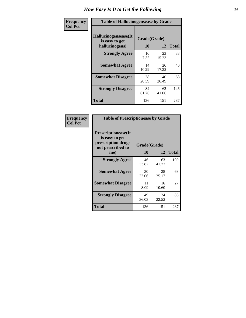| Frequency      |                                                          | <b>Table of Hallucinogensease by Grade</b> |             |              |  |  |  |  |  |  |  |  |  |
|----------------|----------------------------------------------------------|--------------------------------------------|-------------|--------------|--|--|--|--|--|--|--|--|--|
| <b>Col Pct</b> | Hallucinogensease(It<br>is easy to get<br>hallucinogens) | Grade(Grade)<br>10                         | 12          | <b>Total</b> |  |  |  |  |  |  |  |  |  |
|                | <b>Strongly Agree</b>                                    | 10<br>7.35                                 | 23<br>15.23 | 33           |  |  |  |  |  |  |  |  |  |
|                | <b>Somewhat Agree</b>                                    | 14<br>10.29                                | 26<br>17.22 | 40           |  |  |  |  |  |  |  |  |  |
|                | <b>Somewhat Disagree</b>                                 | 28<br>20.59                                | 40<br>26.49 | 68           |  |  |  |  |  |  |  |  |  |
|                | <b>Strongly Disagree</b>                                 | 84<br>61.76                                | 62<br>41.06 | 146          |  |  |  |  |  |  |  |  |  |
|                | <b>Total</b>                                             | 136                                        | 151         | 287          |  |  |  |  |  |  |  |  |  |

| Frequency<br>  Col Pct |
|------------------------|
|                        |

| <b>Table of Prescriptionease by Grade</b>                                                |             |              |              |  |  |  |  |  |  |  |
|------------------------------------------------------------------------------------------|-------------|--------------|--------------|--|--|--|--|--|--|--|
| <b>Prescriptionease</b> (It<br>is easy to get<br>prescription drugs<br>not prescribed to |             | Grade(Grade) |              |  |  |  |  |  |  |  |
| me)                                                                                      | 10          | 12           | <b>Total</b> |  |  |  |  |  |  |  |
| <b>Strongly Agree</b>                                                                    | 46<br>33.82 | 63<br>41.72  | 109          |  |  |  |  |  |  |  |
| <b>Somewhat Agree</b>                                                                    | 30<br>22.06 | 38<br>25.17  | 68           |  |  |  |  |  |  |  |
| <b>Somewhat Disagree</b>                                                                 | 11<br>8.09  | 16<br>10.60  | 27           |  |  |  |  |  |  |  |
| <b>Strongly Disagree</b>                                                                 | 49<br>36.03 | 34<br>22.52  | 83           |  |  |  |  |  |  |  |
| Total                                                                                    | 136         | 151          | 287          |  |  |  |  |  |  |  |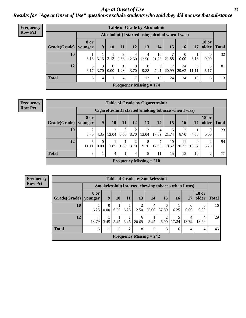*Age at Onset of Use* **27** *Results for "Age at Onset of Use" questions exclude students who said they did not use that substance*

| Frequency      | <b>Table of Grade by Alcoholinit</b> |                        |                                                  |                  |           |                                |            |             |             |             |            |                       |              |  |
|----------------|--------------------------------------|------------------------|--------------------------------------------------|------------------|-----------|--------------------------------|------------|-------------|-------------|-------------|------------|-----------------------|--------------|--|
| <b>Row Pct</b> |                                      |                        | Alcoholinit (I started using alcohol when I was) |                  |           |                                |            |             |             |             |            |                       |              |  |
|                | Grade(Grade)                         | <b>8 or</b><br>younger | 9 <sup>°</sup>                                   | <b>10</b>        | 11        | <b>12</b>                      | 13         | 14          | 15          | <b>16</b>   | 17         | <b>18 or</b><br>older | <b>Total</b> |  |
|                | 10                                   | 3.13                   | $3.13$ 3.13                                      |                  | 3<br>9.38 | 4<br>12.50                     | 4<br>12.50 | 10<br>31.25 | 21.88       | 0.00        | 3.13       | 0.00                  | 32           |  |
|                | 12                                   | 5.<br>6.17             | 3<br>3.70                                        | $\Omega$<br>0.00 | 1.23      | 3<br>3.70                      | 8<br>9.88  | 6<br>7.41   | 17<br>20.99 | 24<br>29.63 | 9<br>11.11 | 6.17                  | 81           |  |
|                | <b>Total</b>                         | 6                      | 4                                                |                  | 4         | ⇁                              | 12         | 16          | 24          | 24          | 10         | 5                     | 113          |  |
|                |                                      |                        |                                                  |                  |           | <b>Frequency Missing = 174</b> |            |             |             |             |            |                       |              |  |

#### **Frequency Row Pct**

|                                                                                         | <b>Table of Grade by Cigarettesinit</b>                                                                              |           |            |                      |           |                           |            |             |             |            |           |    |  |
|-----------------------------------------------------------------------------------------|----------------------------------------------------------------------------------------------------------------------|-----------|------------|----------------------|-----------|---------------------------|------------|-------------|-------------|------------|-----------|----|--|
|                                                                                         | Cigarettesinit(I started smoking tobacco when I was)                                                                 |           |            |                      |           |                           |            |             |             |            |           |    |  |
| Grade(Grade)                                                                            | <b>18 or</b><br>8 or<br>older<br>12<br>13<br>9<br><b>10</b><br>15<br><b>Total</b><br>11<br>14<br>16<br>17<br>vounger |           |            |                      |           |                           |            |             |             |            |           |    |  |
| 10                                                                                      | っ<br>8.70                                                                                                            | 4.35      | 3<br>13.04 | $\theta$<br>$0.00\,$ | 2<br>8.70 | 3<br>13.04                | 4<br>17.39 | 5<br>21.74  | 8.70        | 4.35       | 0<br>0.00 | 23 |  |
| 12                                                                                      | 6<br>11.11                                                                                                           | 0<br>0.00 | 1.85       | 1.85                 | ↑<br>3.70 | 5<br>9.26                 | 7<br>12.96 | 10<br>18.52 | 11<br>20.37 | q<br>16.67 | 2<br>3.70 | 54 |  |
| <b>Total</b><br>8<br>8<br>15<br>$\overline{2}$<br>13<br>10<br>$\overline{4}$<br>11<br>4 |                                                                                                                      |           |            |                      |           |                           |            |             |             |            |           | 77 |  |
|                                                                                         |                                                                                                                      |           |            |                      |           | Frequency Missing $= 210$ |            |             |             |            |           |    |  |

**Frequency Row Pct**

|                                                                                                                                      | <b>Table of Grade by Smokelessinit</b>               |                   |      |      |                           |            |            |            |            |            |    |  |
|--------------------------------------------------------------------------------------------------------------------------------------|------------------------------------------------------|-------------------|------|------|---------------------------|------------|------------|------------|------------|------------|----|--|
|                                                                                                                                      | Smokelessinit (I started chewing tobacco when I was) |                   |      |      |                           |            |            |            |            |            |    |  |
| <b>18 or</b><br>8 or<br>13<br>15<br>9<br>older<br>10<br><b>11</b><br>14<br>Grade(Grade)   younger<br><b>16</b><br><b>Total</b><br>17 |                                                      |                   |      |      |                           |            |            |            |            |            |    |  |
| 10                                                                                                                                   | 6.25                                                 | $\Omega$<br>0.001 | 6.25 | 6.25 | 2<br>12.50                | 4<br>25.00 | 6<br>37.50 | 6.25       | 0.00       | 0<br>0.00  | 16 |  |
| 12                                                                                                                                   | 4<br>13.79                                           | 3.45              | 3.45 | 3.45 | 6<br>20.69                | 3.45       | 6.90       | 5<br>17.24 | 4<br>13.79 | 4<br>13.79 | 29 |  |
| <b>Total</b><br>$\overline{2}$<br>2<br>8<br>5<br>8<br>6<br>4<br>4                                                                    |                                                      |                   |      |      |                           |            |            |            |            |            |    |  |
|                                                                                                                                      |                                                      |                   |      |      | Frequency Missing $= 242$ |            |            |            |            |            |    |  |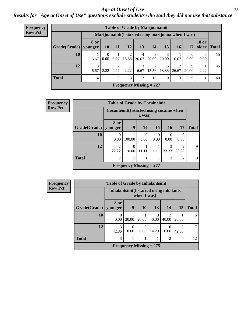#### *Age at Onset of Use* **28**

*Results for "Age at Onset of Use" questions exclude students who said they did not use that substance*

| Frequency      | <b>Table of Grade by Marijuanainit</b> |                                                      |           |           |            |               |                           |            |             |                  |                       |              |
|----------------|----------------------------------------|------------------------------------------------------|-----------|-----------|------------|---------------|---------------------------|------------|-------------|------------------|-----------------------|--------------|
| <b>Row Pct</b> |                                        | Marijuanainit (I started using marijuana when I was) |           |           |            |               |                           |            |             |                  |                       |              |
|                | Grade(Grade)   younger                 | <b>8 or</b>                                          | 10        | 11        | <b>12</b>  | 13            | 14                        | 15         | <b>16</b>   | 17               | <b>18 or</b><br>older | <b>Total</b> |
|                | 10                                     | 6.67                                                 | 0<br>0.00 | 6.67      | 2<br>13.33 | 4<br>26.67    | 3<br>20.00                | 3<br>20.00 | 6.67        | $\theta$<br>0.00 | 0<br>0.00             | 15           |
|                | 12                                     | 6.67                                                 | 2.22      | ∍<br>4.44 | 2.22       | 6.67          | 15.56                     | 6<br>13.33 | 12<br>26.67 | 9<br>20.00       | 2.22                  | 45           |
|                | <b>Total</b>                           | 4                                                    |           | 3         | 3          | $\mathcal{I}$ | 10                        | 9          | 13          | 9                |                       | 60           |
|                |                                        |                                                      |           |           |            |               | Frequency Missing $= 227$ |            |             |                  |                       |              |

| <b>Frequency</b> |              | <b>Table of Grade by Cocaineinit</b> |                                                     |                  |                  |                  |                          |              |  |  |  |  |  |
|------------------|--------------|--------------------------------------|-----------------------------------------------------|------------------|------------------|------------------|--------------------------|--------------|--|--|--|--|--|
| <b>Row Pct</b>   |              |                                      | Cocaineinit (I started using cocaine when<br>I was) |                  |                  |                  |                          |              |  |  |  |  |  |
|                  | Grade(Grade) | 8 or<br>younger                      | 9                                                   | 14               | <b>15</b>        | <b>16</b>        | <b>17</b>                | <b>Total</b> |  |  |  |  |  |
|                  | 10           | $\Omega$<br>0.00                     | 100.00                                              | $\Omega$<br>0.00 | $\theta$<br>0.00 | $\theta$<br>0.00 | $\left( \right)$<br>0.00 |              |  |  |  |  |  |
|                  | 12           | ာ<br>22.22                           | $\theta$<br>0.00                                    | 11.11            | 11.11            | 3<br>33.33       | $\mathfrak{D}$<br>22.22  | $\mathbf Q$  |  |  |  |  |  |
|                  | <b>Total</b> | $\overline{2}$                       | 3<br>$\overline{2}$<br>1                            |                  |                  |                  |                          |              |  |  |  |  |  |
|                  |              |                                      | Frequency Missing $= 277$                           |                  |                  |                  |                          |              |  |  |  |  |  |

| <b>Frequency</b> |              | <b>Table of Grade by Inhalantsinit</b> |                                                         |                           |           |                         |            |              |  |  |  |  |  |
|------------------|--------------|----------------------------------------|---------------------------------------------------------|---------------------------|-----------|-------------------------|------------|--------------|--|--|--|--|--|
| <b>Row Pct</b>   |              |                                        | Inhalantsinit (I started using inhalants<br>when I was) |                           |           |                         |            |              |  |  |  |  |  |
|                  | Grade(Grade) | 8 or<br>younger                        | 9                                                       | 10                        | 13        | 14                      | <b>15</b>  | <b>Total</b> |  |  |  |  |  |
|                  | 10           | 0<br>0.00                              | 20.00                                                   | 20.00                     | 0<br>0.00 | $\overline{c}$<br>40.00 | 20.00      | 5            |  |  |  |  |  |
|                  | 12           | 3<br>42.86                             | 0<br>0.00                                               | $\theta$<br>0.00          | 14.29     | 0<br>0.00               | 3<br>42.86 |              |  |  |  |  |  |
|                  | <b>Total</b> | 3                                      | $\overline{2}$<br>4                                     |                           |           |                         |            |              |  |  |  |  |  |
|                  |              |                                        |                                                         | Frequency Missing $= 275$ |           |                         |            |              |  |  |  |  |  |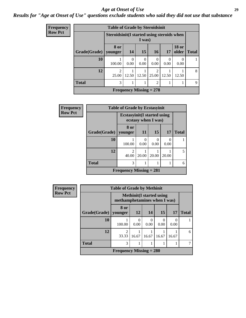#### *Age at Onset of Use* **29**

### *Results for "Age at Onset of Use" questions exclude students who said they did not use that substance*

| Frequency      |                                                      |                         | <b>Table of Grade by Steroidsinit</b> |                           |                         |           |                          |              |
|----------------|------------------------------------------------------|-------------------------|---------------------------------------|---------------------------|-------------------------|-----------|--------------------------|--------------|
| <b>Row Pct</b> | Steroidsinit(I started using steroids when<br>I was) |                         |                                       |                           |                         |           |                          |              |
|                | Grade(Grade)                                         | 8 or<br>  younger       | <b>14</b>                             | 15                        | <b>16</b>               | 17        | <b>18 or</b><br>older    | <b>Total</b> |
|                | 10                                                   | 100.00                  | $\Omega$<br>0.00                      | 0<br>0.00                 | $\Omega$<br>0.00        | 0<br>0.00 | $\left( \right)$<br>0.00 |              |
|                | 12                                                   | $\overline{2}$<br>25.00 | 12.50                                 | 12.50                     | $\overline{2}$<br>25.00 | 12.50     | 12.50                    | 8            |
|                | <b>Total</b>                                         | 3                       |                                       |                           | $\overline{2}$          |           |                          | 9            |
|                |                                                      |                         |                                       | Frequency Missing $= 278$ |                         |           |                          |              |

| Frequency      | <b>Table of Grade by Ecstasyinit</b> |                                     |                     |       |           |              |  |  |
|----------------|--------------------------------------|-------------------------------------|---------------------|-------|-----------|--------------|--|--|
| <b>Row Pct</b> |                                      | <b>Ecstasyinit</b> (I started using | ecstasy when I was) |       |           |              |  |  |
|                | Grade(Grade)                         | 8 or<br>vounger                     | 11                  | 15    | 17        | <b>Total</b> |  |  |
|                | 10                                   | 100.00                              | 0<br>0.00           | 0.00  | 0<br>0.00 |              |  |  |
|                | 12                                   | $\overline{2}$<br>40.00             | 20.00               | 20.00 | 20.00     | 5            |  |  |
|                | <b>Total</b>                         | 3                                   |                     |       |           | 6            |  |  |
|                |                                      | <b>Frequency Missing = 281</b>      |                     |       |           |              |  |  |

| <b>Frequency</b> | <b>Table of Grade by Methinit</b> |                              |                  |                                  |       |       |              |
|------------------|-----------------------------------|------------------------------|------------------|----------------------------------|-------|-------|--------------|
| <b>Row Pct</b>   |                                   | methamphetamines when I was) |                  | <b>Methinit</b> (I started using |       |       |              |
|                  | Grade(Grade)                      | 8 or<br>younger              | 12               | 14                               | 15    | 17    | <b>Total</b> |
|                  | 10                                | 100.00                       | $\theta$<br>0.00 | $\Omega$<br>0.00                 | 0.00  | 0.00  |              |
|                  | 12                                | 2<br>33.33                   | 16.67            | 16.67                            | 16.67 | 16.67 | 6            |
|                  | <b>Total</b>                      | 3                            |                  |                                  |       |       |              |
|                  |                                   | Frequency Missing $= 280$    |                  |                                  |       |       |              |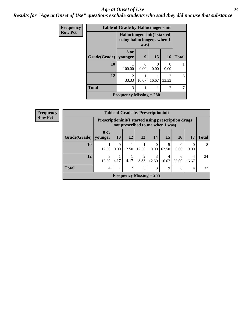#### Age at Onset of Use **30**

*Results for "Age at Onset of Use" questions exclude students who said they did not use that substance*

| Frequency      |              | <b>Table of Grade by Hallucinogensinit</b>                 |           |                  |                        |              |
|----------------|--------------|------------------------------------------------------------|-----------|------------------|------------------------|--------------|
| <b>Row Pct</b> |              | Hallucinogensinit (I started<br>using hallucinogens when I | was)      |                  |                        |              |
|                | Grade(Grade) | 8 or<br>younger                                            | 9         | 15               | 16                     | <b>Total</b> |
|                | 10           | 100.00                                                     | 0<br>0.00 | $\Omega$<br>0.00 | 0.00                   |              |
|                | 12           | $\mathfrak{D}$<br>33.33                                    | 16.67     | 16.67            | $\mathcal{D}$<br>33.33 | 6            |
|                | <b>Total</b> | 3                                                          | 1         |                  | 2                      |              |
|                |              | <b>Frequency Missing = 280</b>                             |           |                  |                        |              |

| Frequency      |              | <b>Table of Grade by Prescriptioninit</b> |                                                                                                  |       |       |                                |            |                  |                |              |
|----------------|--------------|-------------------------------------------|--------------------------------------------------------------------------------------------------|-------|-------|--------------------------------|------------|------------------|----------------|--------------|
| <b>Row Pct</b> |              |                                           | <b>Prescriptioninit (I started using prescription drugs)</b><br>not prescribed to me when I was) |       |       |                                |            |                  |                |              |
|                | Grade(Grade) | 8 or<br>younger                           | <b>10</b>                                                                                        | 12    | 13    | 14                             | <b>15</b>  | <b>16</b>        | 17             | <b>Total</b> |
|                | 10           | 12.50                                     | 0.00                                                                                             | 12.50 | 12.50 | 0.00                           | 5<br>62.50 | $\theta$<br>0.00 | 0.00           | 8            |
|                | 12           | $\mathcal{E}$<br>12.50                    | 4.17                                                                                             | 4.17  | 8.33  | $\mathcal{R}$<br>12.50         | 4<br>16.67 | 6<br>25.00       | 4<br>16.67     | 24           |
|                | <b>Total</b> | $\overline{4}$                            |                                                                                                  | 2     | 3     | 3                              | 9          | 6                | $\overline{4}$ | 32           |
|                |              |                                           |                                                                                                  |       |       | <b>Frequency Missing = 255</b> |            |                  |                |              |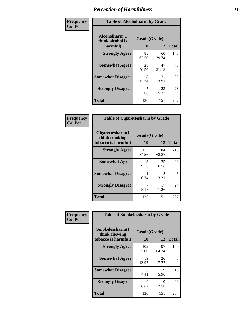| Frequency      | <b>Table of Alcoholharm by Grade</b>          |                    |             |              |  |
|----------------|-----------------------------------------------|--------------------|-------------|--------------|--|
| <b>Col Pct</b> | Alcoholharm(I<br>think alcohol is<br>harmful) | Grade(Grade)<br>10 | 12          | <b>Total</b> |  |
|                | <b>Strongly Agree</b>                         | 85<br>62.50        | 60<br>39.74 | 145          |  |
|                | <b>Somewhat Agree</b>                         | 28<br>20.59        | 47<br>31.13 | 75           |  |
|                | <b>Somewhat Disagree</b>                      | 18<br>13.24        | 21<br>13.91 | 39           |  |
|                | <b>Strongly Disagree</b>                      | 5<br>3.68          | 23<br>15.23 | 28           |  |
|                | <b>Total</b>                                  | 136                | 151         | 287          |  |

|                                                          | <b>Table of Cigarettesharm by Grade</b> |              |              |  |  |  |
|----------------------------------------------------------|-----------------------------------------|--------------|--------------|--|--|--|
| Cigarettesharm(I<br>think smoking<br>tobacco is harmful) | Grade(Grade)<br>10                      | 12           | <b>Total</b> |  |  |  |
| <b>Strongly Agree</b>                                    | 115<br>84.56                            | 104<br>68.87 | 219          |  |  |  |
| <b>Somewhat Agree</b>                                    | 13<br>9.56                              | 25<br>16.56  | 38           |  |  |  |
| <b>Somewhat Disagree</b>                                 | 1<br>0.74                               | 5<br>3.31    | 6            |  |  |  |
| <b>Strongly Disagree</b>                                 | 7<br>5.15                               | 17<br>11.26  | 24           |  |  |  |
| <b>Total</b>                                             | 136                                     | 151          | 287          |  |  |  |

| Frequency      | <b>Table of Smokelessharm by Grade</b>                  |                    |             |              |
|----------------|---------------------------------------------------------|--------------------|-------------|--------------|
| <b>Col Pct</b> | Smokelessharm(I<br>think chewing<br>tobacco is harmful) | Grade(Grade)<br>10 | 12          | <b>Total</b> |
|                | <b>Strongly Agree</b>                                   | 102<br>75.00       | 97<br>64.24 | 199          |
|                | <b>Somewhat Agree</b>                                   | 19<br>13.97        | 26<br>17.22 | 45           |
|                | <b>Somewhat Disagree</b>                                | 6<br>4.41          | 9<br>5.96   | 15           |
|                | <b>Strongly Disagree</b>                                | 9<br>6.62          | 19<br>12.58 | 28           |
|                | <b>Total</b>                                            | 136                | 151         | 287          |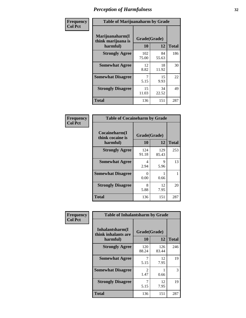| Frequency      | <b>Table of Marijuanaharm by Grade</b>            |                    |             |              |  |
|----------------|---------------------------------------------------|--------------------|-------------|--------------|--|
| <b>Col Pct</b> | Marijuanaharm(I<br>think marijuana is<br>harmful) | Grade(Grade)<br>10 | 12          | <b>Total</b> |  |
|                | <b>Strongly Agree</b>                             | 102<br>75.00       | 84<br>55.63 | 186          |  |
|                | <b>Somewhat Agree</b>                             | 12<br>8.82         | 18<br>11.92 | 30           |  |
|                | <b>Somewhat Disagree</b>                          | 7<br>5.15          | 15<br>9.93  | 22           |  |
|                | <b>Strongly Disagree</b>                          | 15<br>11.03        | 34<br>22.52 | 49           |  |
|                | <b>Total</b>                                      | 136                | 151         | 287          |  |

|                                               | <b>Table of Cocaineharm by Grade</b> |              |     |  |  |  |  |
|-----------------------------------------------|--------------------------------------|--------------|-----|--|--|--|--|
| Cocaineharm(I<br>think cocaine is<br>harmful) | Grade(Grade)<br>10                   | <b>Total</b> |     |  |  |  |  |
| <b>Strongly Agree</b>                         | 124<br>91.18                         | 129<br>85.43 | 253 |  |  |  |  |
| <b>Somewhat Agree</b>                         | 4<br>2.94                            | 9<br>5.96    | 13  |  |  |  |  |
| <b>Somewhat Disagree</b>                      | 0<br>0.00                            | 0.66         |     |  |  |  |  |
| <b>Strongly Disagree</b>                      | 8<br>5.88                            | 12<br>7.95   | 20  |  |  |  |  |
| <b>Total</b>                                  | 136                                  | 151          | 287 |  |  |  |  |

| Frequency      | <b>Table of Inhalantsharm by Grade</b>             |                           |              |              |
|----------------|----------------------------------------------------|---------------------------|--------------|--------------|
| <b>Col Pct</b> | Inhalantsharm(I<br>think inhalants are<br>harmful) | Grade(Grade)<br><b>10</b> | 12           | <b>Total</b> |
|                | <b>Strongly Agree</b>                              | 120<br>88.24              | 126<br>83.44 | 246          |
|                | <b>Somewhat Agree</b>                              | 7<br>5.15                 | 12<br>7.95   | 19           |
|                | <b>Somewhat Disagree</b>                           | 2<br>1.47                 | 0.66         | 3            |
|                | <b>Strongly Disagree</b>                           | 5.15                      | 12<br>7.95   | 19           |
|                | <b>Total</b>                                       | 136                       | 151          | 287          |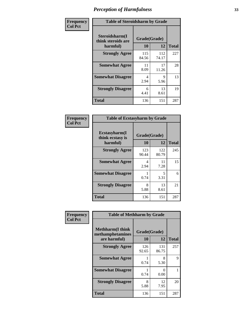| Frequency      | <b>Table of Steroidsharm by Grade</b>            |                    |              |              |
|----------------|--------------------------------------------------|--------------------|--------------|--------------|
| <b>Col Pct</b> | Steroidsharm(I<br>think steroids are<br>harmful) | Grade(Grade)<br>10 | 12           | <b>Total</b> |
|                | <b>Strongly Agree</b>                            | 115<br>84.56       | 112<br>74.17 | 227          |
|                | <b>Somewhat Agree</b>                            | 11<br>8.09         | 17<br>11.26  | 28           |
|                | <b>Somewhat Disagree</b>                         | 4<br>2.94          | 9<br>5.96    | 13           |
|                | <b>Strongly Disagree</b>                         | 6<br>4.41          | 13<br>8.61   | 19           |
|                | <b>Total</b>                                     | 136                | 151          | 287          |

| <b>Table of Ecstasyharm by Grade</b>          |                    |              |              |  |  |
|-----------------------------------------------|--------------------|--------------|--------------|--|--|
| Ecstasyharm(I<br>think ecstasy is<br>harmful) | Grade(Grade)<br>10 | 12           | <b>Total</b> |  |  |
| <b>Strongly Agree</b>                         | 123<br>90.44       | 122<br>80.79 | 245          |  |  |
| <b>Somewhat Agree</b>                         | 4<br>2.94          | 11<br>7.28   | 15           |  |  |
| <b>Somewhat Disagree</b>                      | 1<br>0.74          | 5<br>3.31    | 6            |  |  |
| <b>Strongly Disagree</b>                      | 8<br>5.88          | 13<br>8.61   | 21           |  |  |
| <b>Total</b>                                  | 136                | 151          | 287          |  |  |

| Frequency      | <b>Table of Methharm by Grade</b>                            |                           |              |              |
|----------------|--------------------------------------------------------------|---------------------------|--------------|--------------|
| <b>Col Pct</b> | <b>Methharm</b> (I think<br>methamphetamines<br>are harmful) | Grade(Grade)<br><b>10</b> | 12           | <b>Total</b> |
|                | <b>Strongly Agree</b>                                        | 126<br>92.65              | 131<br>86.75 | 257          |
|                | <b>Somewhat Agree</b>                                        | 0.74                      | 8<br>5.30    | 9            |
|                | <b>Somewhat Disagree</b>                                     | 0.74                      | 0<br>0.00    |              |
|                | <b>Strongly Disagree</b>                                     | 8<br>5.88                 | 12<br>7.95   | 20           |
|                | <b>Total</b>                                                 | 136                       | 151          | 287          |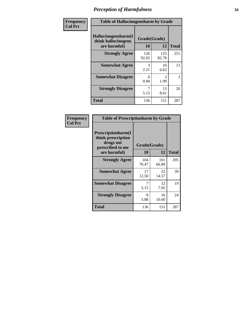| Frequency      | <b>Table of Hallucinogensharm by Grade</b>                 |                    |              |              |
|----------------|------------------------------------------------------------|--------------------|--------------|--------------|
| <b>Col Pct</b> | Hallucinogensharm(I<br>think hallucinogens<br>are harmful) | Grade(Grade)<br>10 | 12           | <b>Total</b> |
|                | <b>Strongly Agree</b>                                      | 126<br>92.65       | 125<br>82.78 | 251          |
|                | <b>Somewhat Agree</b>                                      | 3<br>2.21          | 10<br>6.62   | 13           |
|                | <b>Somewhat Disagree</b>                                   | 0<br>0.00          | 3<br>1.99    | 3            |
|                | <b>Strongly Disagree</b>                                   | 5.15               | 13<br>8.61   | 20           |
|                | <b>Total</b>                                               | 136                | 151          | 287          |

| <b>Table of Prescriptionharm by Grade</b>                                 |              |              |              |  |  |
|---------------------------------------------------------------------------|--------------|--------------|--------------|--|--|
| Prescriptionharm(I<br>think prescription<br>drugs not<br>prescribed to me | Grade(Grade) |              |              |  |  |
| are harmful)                                                              | 10           | 12           | <b>Total</b> |  |  |
| <b>Strongly Agree</b>                                                     | 104<br>76.47 | 101<br>66.89 | 205          |  |  |
| <b>Somewhat Agree</b>                                                     | 17<br>12.50  | 22<br>14.57  | 39           |  |  |
| <b>Somewhat Disagree</b>                                                  | 5.15         | 12<br>7.95   | 19           |  |  |
| <b>Strongly Disagree</b>                                                  | 8<br>5.88    | 16<br>10.60  | 24           |  |  |
| <b>Total</b>                                                              | 136          | 151          | 287          |  |  |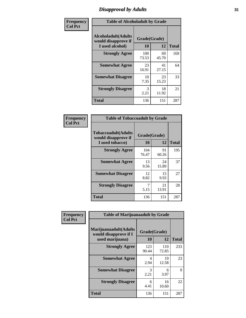# *Disapproval by Adults* **35**

| Frequency      | <b>Table of Alcoholadult by Grade</b>                                 |                       |             |              |
|----------------|-----------------------------------------------------------------------|-----------------------|-------------|--------------|
| <b>Col Pct</b> | <b>Alcoholadult</b> (Adults<br>would disapprove if<br>I used alcohol) | Grade(Grade)<br>10    | 12          | <b>Total</b> |
|                | <b>Strongly Agree</b>                                                 | 100<br>73.53          | 69<br>45.70 | 169          |
|                | <b>Somewhat Agree</b>                                                 | 23<br>16.91           | 41<br>27.15 | 64           |
|                | <b>Somewhat Disagree</b>                                              | 10<br>7.35            | 23<br>15.23 | 33           |
|                | <b>Strongly Disagree</b>                                              | $\mathcal{R}$<br>2.21 | 18<br>11.92 | 21           |
|                | <b>Total</b>                                                          | 136                   | 151         | 287          |

| <b>Table of Tobaccoadult by Grade</b>                                |                    |             |              |  |  |
|----------------------------------------------------------------------|--------------------|-------------|--------------|--|--|
| <b>Tobaccoadult(Adults</b><br>would disapprove if<br>I used tobacco) | Grade(Grade)<br>10 | 12          | <b>Total</b> |  |  |
| <b>Strongly Agree</b>                                                | 104<br>76.47       | 91<br>60.26 | 195          |  |  |
| <b>Somewhat Agree</b>                                                | 13<br>9.56         | 24<br>15.89 | 37           |  |  |
| <b>Somewhat Disagree</b>                                             | 12<br>8.82         | 15<br>9.93  | 27           |  |  |
| <b>Strongly Disagree</b>                                             | 7<br>5.15          | 21<br>13.91 | 28           |  |  |
| <b>Total</b>                                                         | 136                | 151         | 287          |  |  |

| Frequency      | <b>Table of Marijuanaadult by Grade</b>                           |                    |              |              |
|----------------|-------------------------------------------------------------------|--------------------|--------------|--------------|
| <b>Col Pct</b> | Marijuanaadult(Adults<br>would disapprove if I<br>used marijuana) | Grade(Grade)<br>10 | 12           | <b>Total</b> |
|                | <b>Strongly Agree</b>                                             | 123<br>90.44       | 110<br>72.85 | 233          |
|                | <b>Somewhat Agree</b>                                             | 4<br>2.94          | 19<br>12.58  | 23           |
|                | <b>Somewhat Disagree</b>                                          | 3<br>2.21          | 6<br>3.97    | 9            |
|                | <b>Strongly Disagree</b>                                          | 6<br>4.41          | 16<br>10.60  | 22           |
|                | <b>Total</b>                                                      | 136                | 151          | 287          |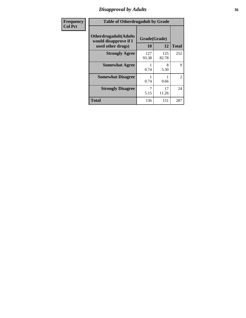### *Disapproval by Adults* **36**

| <b>Frequency</b> | <b>Table of Otherdrugadult by Grade</b>                                     |                    |              |                |
|------------------|-----------------------------------------------------------------------------|--------------------|--------------|----------------|
| <b>Col Pct</b>   | <b>Otherdrugadult</b> (Adults<br>would disapprove if I<br>used other drugs) | Grade(Grade)<br>10 | 12           | <b>Total</b>   |
|                  | <b>Strongly Agree</b>                                                       | 127<br>93.38       | 125<br>82.78 | 252            |
|                  | <b>Somewhat Agree</b>                                                       | 0.74               | 8<br>5.30    | 9              |
|                  | <b>Somewhat Disagree</b>                                                    | 0.74               | 0.66         | $\overline{2}$ |
|                  | <b>Strongly Disagree</b>                                                    | 5.15               | 17<br>11.26  | 24             |
|                  | <b>Total</b>                                                                | 136                | 151          | 287            |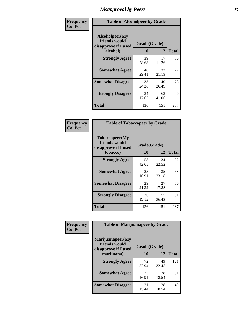# *Disapproval by Peers* **37**

| Frequency      | <b>Table of Alcoholpeer by Grade</b>                    |              |             |              |
|----------------|---------------------------------------------------------|--------------|-------------|--------------|
| <b>Col Pct</b> | Alcoholpeer(My<br>friends would<br>disapprove if I used | Grade(Grade) |             |              |
|                | alcohol)                                                | 10           | 12          | <b>Total</b> |
|                | <b>Strongly Agree</b>                                   | 39<br>28.68  | 17<br>11.26 | 56           |
|                | <b>Somewhat Agree</b>                                   | 40<br>29.41  | 32<br>21.19 | 72           |
|                | <b>Somewhat Disagree</b>                                | 33<br>24.26  | 40<br>26.49 | 73           |
|                | <b>Strongly Disagree</b>                                | 24<br>17.65  | 62<br>41.06 | 86           |
|                | Total                                                   | 136          | 151         | 287          |

| Frequency      | <b>Table of Tobaccopeer by Grade</b>                                |                           |             |              |
|----------------|---------------------------------------------------------------------|---------------------------|-------------|--------------|
| <b>Col Pct</b> | Tobaccopeer(My<br>friends would<br>disapprove if I used<br>tobacco) | Grade(Grade)<br><b>10</b> | 12          | <b>Total</b> |
|                | <b>Strongly Agree</b>                                               | 58<br>42.65               | 34<br>22.52 | 92           |
|                | <b>Somewhat Agree</b>                                               | 23<br>16.91               | 35<br>23.18 | 58           |
|                | <b>Somewhat Disagree</b>                                            | 29<br>21.32               | 27<br>17.88 | 56           |
|                | <b>Strongly Disagree</b>                                            | 26<br>19.12               | 55<br>36.42 | 81           |
|                | Total                                                               | 136                       | 151         | 287          |

| Frequency      | <b>Table of Marijuanapeer by Grade</b>                    |              |             |              |
|----------------|-----------------------------------------------------------|--------------|-------------|--------------|
| <b>Col Pct</b> | Marijuanapeer(My<br>friends would<br>disapprove if I used | Grade(Grade) |             |              |
|                | marijuana)                                                | 10           | 12          | <b>Total</b> |
|                | <b>Strongly Agree</b>                                     | 72<br>52.94  | 49<br>32.45 | 121          |
|                | <b>Somewhat Agree</b>                                     | 23<br>16.91  | 28<br>18.54 | 51           |
|                | <b>Somewhat Disagree</b>                                  | 21<br>15.44  | 28<br>18.54 | 49           |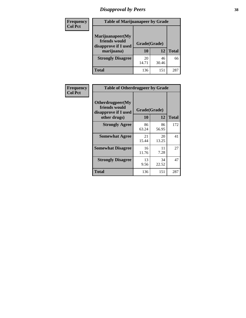# *Disapproval by Peers* **38**

| <b>Frequency</b> | <b>Table of Marijuanapeer by Grade</b>                                  |                           |             |              |  |
|------------------|-------------------------------------------------------------------------|---------------------------|-------------|--------------|--|
| <b>Col Pct</b>   | Marijuanapeer(My<br>friends would<br>disapprove if I used<br>marijuana) | Grade(Grade)<br><b>10</b> | 12          | <b>Total</b> |  |
|                  | <b>Strongly Disagree</b>                                                | 20<br>14.71               | 46<br>30.46 | 66           |  |
|                  | <b>Total</b>                                                            | 136                       | 151         | 287          |  |

| <b>Frequency</b> | <b>Table of Otherdrugpeer by Grade</b>                                    |                    |             |              |
|------------------|---------------------------------------------------------------------------|--------------------|-------------|--------------|
| <b>Col Pct</b>   | Otherdrugpeer(My<br>friends would<br>disapprove if I used<br>other drugs) | Grade(Grade)<br>10 | 12          | <b>Total</b> |
|                  |                                                                           |                    |             |              |
|                  | <b>Strongly Agree</b>                                                     | 86<br>63.24        | 86<br>56.95 | 172          |
|                  | <b>Somewhat Agree</b>                                                     | 21<br>15.44        | 20<br>13.25 | 41           |
|                  | <b>Somewhat Disagree</b>                                                  | 16<br>11.76        | 11<br>7.28  | 27           |
|                  | <b>Strongly Disagree</b>                                                  | 13<br>9.56         | 34<br>22.52 | 47           |
|                  | <b>Total</b>                                                              | 136                | 151         | 287          |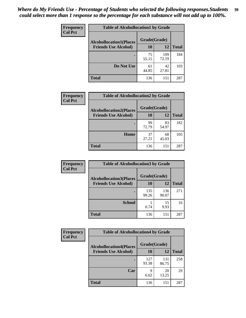| Frequency      | <b>Table of Alcohollocation1 by Grade</b> |              |              |              |
|----------------|-------------------------------------------|--------------|--------------|--------------|
| <b>Col Pct</b> | <b>Alcohollocation1(Places</b>            | Grade(Grade) |              |              |
|                | <b>Friends Use Alcohol)</b>               | 10           | 12           | <b>Total</b> |
|                |                                           | 75<br>55.15  | 109<br>72.19 | 184          |
|                | Do Not Use                                | 61<br>44.85  | 42<br>27.81  | 103          |
|                | <b>Total</b>                              | 136          | 151          | 287          |

| Frequency      | <b>Table of Alcohollocation2 by Grade</b>                     |                    |             |              |
|----------------|---------------------------------------------------------------|--------------------|-------------|--------------|
| <b>Col Pct</b> | <b>Alcohollocation2(Places</b><br><b>Friends Use Alcohol)</b> | Grade(Grade)<br>10 | <b>12</b>   | <b>Total</b> |
|                |                                                               | 99<br>72.79        | 83<br>54.97 | 182          |
|                | Home                                                          | 37<br>27.21        | 68<br>45.03 | 105          |
|                | <b>Total</b>                                                  | 136                | 151         | 287          |

| Frequency<br><b>Col Pct</b> | <b>Table of Alcohollocation 3 by Grade</b>                    |                    |              |              |
|-----------------------------|---------------------------------------------------------------|--------------------|--------------|--------------|
|                             | <b>Alcohollocation3(Places</b><br><b>Friends Use Alcohol)</b> | Grade(Grade)<br>10 | 12           | <b>Total</b> |
|                             |                                                               | 135<br>99.26       | 136<br>90.07 | 271          |
|                             | <b>School</b>                                                 | 0.74               | 15<br>9.93   | 16           |
|                             | <b>Total</b>                                                  | 136                | 151          | 287          |

| Frequency      | <b>Table of Alcohollocation4 by Grade</b> |              |              |              |
|----------------|-------------------------------------------|--------------|--------------|--------------|
| <b>Col Pct</b> | <b>Alcohollocation4(Places</b>            | Grade(Grade) |              |              |
|                | <b>Friends Use Alcohol)</b>               | 10           | 12           | <b>Total</b> |
|                |                                           | 127<br>93.38 | 131<br>86.75 | 258          |
|                | Car                                       | Q<br>6.62    | 20<br>13.25  | 29           |
|                | <b>Total</b>                              | 136          | 151          | 287          |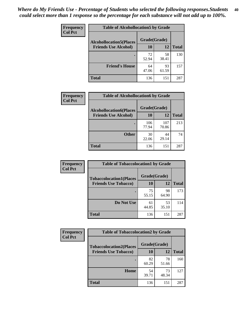| Frequency<br><b>Col Pct</b> | <b>Table of Alcohollocation5 by Grade</b> |              |             |              |  |
|-----------------------------|-------------------------------------------|--------------|-------------|--------------|--|
|                             | <b>Alcohollocation5(Places</b>            | Grade(Grade) |             |              |  |
|                             | <b>Friends Use Alcohol)</b>               | 10           | 12          | <b>Total</b> |  |
|                             |                                           | 72<br>52.94  | 58<br>38.41 | 130          |  |
|                             | <b>Friend's House</b>                     | 64<br>47.06  | 93<br>61.59 | 157          |  |
|                             | <b>Total</b>                              | 136          | 151         | 287          |  |

| <b>Frequency</b> | <b>Table of Alcohollocation6 by Grade</b>                     |                           |              |              |
|------------------|---------------------------------------------------------------|---------------------------|--------------|--------------|
| <b>Col Pct</b>   | <b>Alcohollocation6(Places</b><br><b>Friends Use Alcohol)</b> | Grade(Grade)<br><b>10</b> | 12           | <b>Total</b> |
|                  |                                                               | 106<br>77.94              | 107<br>70.86 | 213          |
|                  | <b>Other</b>                                                  | 30<br>22.06               | 44<br>29.14  | 74           |
|                  | Total                                                         | 136                       | 151          | 287          |

| Frequency      | <b>Table of Tobaccolocation1 by Grade</b> |              |             |              |
|----------------|-------------------------------------------|--------------|-------------|--------------|
| <b>Col Pct</b> | <b>Tobaccolocation1(Places</b>            | Grade(Grade) |             |              |
|                | <b>Friends Use Tobacco)</b>               | 10           | 12          | <b>Total</b> |
|                |                                           | 75<br>55.15  | 98<br>64.90 | 173          |
|                | Do Not Use                                | 61<br>44.85  | 53<br>35.10 | 114          |
|                | <b>Total</b>                              | 136          | 151         | 287          |

| <b>Frequency</b> | <b>Table of Tobaccolocation2 by Grade</b> |              |             |              |  |
|------------------|-------------------------------------------|--------------|-------------|--------------|--|
| <b>Col Pct</b>   | <b>Tobaccolocation2(Places</b>            | Grade(Grade) |             |              |  |
|                  | <b>Friends Use Tobacco)</b>               | 10           | 12          | <b>Total</b> |  |
|                  |                                           | 82<br>60.29  | 78<br>51.66 | 160          |  |
|                  | Home                                      | 54<br>39.71  | 73<br>48.34 | 127          |  |
|                  | <b>Total</b>                              | 136          | 151         | 287          |  |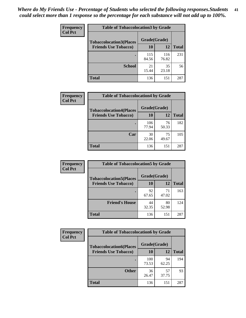| Frequency      | <b>Table of Tobaccolocation 3 by Grade</b> |              |              |              |
|----------------|--------------------------------------------|--------------|--------------|--------------|
| <b>Col Pct</b> | <b>Tobaccolocation3(Places</b>             | Grade(Grade) |              |              |
|                | <b>Friends Use Tobacco)</b>                | 10           | 12           | <b>Total</b> |
|                |                                            | 115<br>84.56 | 116<br>76.82 | 231          |
|                | <b>School</b>                              | 21<br>15.44  | 35<br>23.18  | 56           |
|                | <b>Total</b>                               | 136          | 151          | 287          |

| Frequency      | <b>Table of Tobaccolocation4 by Grade</b>                     |                    |             |              |
|----------------|---------------------------------------------------------------|--------------------|-------------|--------------|
| <b>Col Pct</b> | <b>Tobaccolocation4(Places</b><br><b>Friends Use Tobacco)</b> | Grade(Grade)<br>10 | 12          | <b>Total</b> |
|                |                                                               |                    |             |              |
|                |                                                               | 106<br>77.94       | 76<br>50.33 | 182          |
|                | Car                                                           | 30<br>22.06        | 75<br>49.67 | 105          |
|                | <b>Total</b>                                                  | 136                | 151         | 287          |

| Frequency<br><b>Col Pct</b> | <b>Table of Tobaccolocation5 by Grade</b>                     |                    |             |              |
|-----------------------------|---------------------------------------------------------------|--------------------|-------------|--------------|
|                             | <b>Tobaccolocation5(Places</b><br><b>Friends Use Tobacco)</b> | Grade(Grade)<br>10 | <b>12</b>   | <b>Total</b> |
|                             |                                                               | 92<br>67.65        | 71<br>47.02 | 163          |
|                             | <b>Friend's House</b>                                         | 44<br>32.35        | 80<br>52.98 | 124          |
|                             | <b>Total</b>                                                  | 136                | 151         | 287          |

| Frequency      | <b>Table of Tobaccolocation6 by Grade</b> |              |             |              |  |
|----------------|-------------------------------------------|--------------|-------------|--------------|--|
| <b>Col Pct</b> | <b>Tobaccolocation6(Places</b>            | Grade(Grade) |             |              |  |
|                | <b>Friends Use Tobacco)</b>               | 10           | 12          | <b>Total</b> |  |
|                |                                           | 100<br>73.53 | 94<br>62.25 | 194          |  |
|                | <b>Other</b>                              | 36<br>26.47  | 57<br>37.75 | 93           |  |
|                | <b>Total</b>                              | 136          | 151         | 287          |  |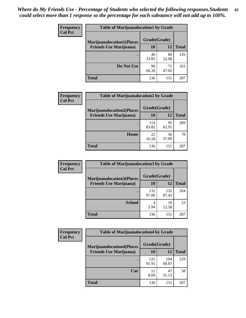| <b>Frequency</b> | <b>Table of Marijuanalocation1 by Grade</b> |              |             |              |
|------------------|---------------------------------------------|--------------|-------------|--------------|
| <b>Col Pct</b>   | <b>Marijuanalocation1(Places</b>            | Grade(Grade) |             |              |
|                  | <b>Friends Use Marijuana</b> )              | 10           | 12          | <b>Total</b> |
|                  |                                             | 46<br>33.82  | 80<br>52.98 | 126          |
|                  | Do Not Use                                  | 90<br>66.18  | 71<br>47.02 | 161          |
|                  | Total                                       | 136          | 151         | 287          |

| <b>Frequency</b> | <b>Table of Marijuanalocation2 by Grade</b>                        |                    |             |              |
|------------------|--------------------------------------------------------------------|--------------------|-------------|--------------|
| <b>Col Pct</b>   | <b>Marijuanalocation2(Places</b><br><b>Friends Use Marijuana</b> ) | Grade(Grade)<br>10 | 12          | <b>Total</b> |
|                  |                                                                    | 114<br>83.82       | 95<br>62.91 | 209          |
|                  | Home                                                               | 22<br>16.18        | 56<br>37.09 | 78           |
|                  | <b>Total</b>                                                       | 136                | 151         | 287          |

| Frequency<br><b>Col Pct</b> | <b>Table of Marijuanalocation3 by Grade</b> |              |              |              |
|-----------------------------|---------------------------------------------|--------------|--------------|--------------|
|                             | <b>Marijuanalocation3</b> (Places           | Grade(Grade) |              |              |
|                             | <b>Friends Use Marijuana</b> )              | 10           | 12           | <b>Total</b> |
|                             |                                             | 132<br>97.06 | 132<br>87.42 | 264          |
|                             | <b>School</b>                               | 4<br>2.94    | 19<br>12.58  | 23           |
|                             | <b>Total</b>                                | 136          | 151          | 287          |

| <b>Frequency</b> | <b>Table of Marijuanalocation4 by Grade</b> |              |              |              |
|------------------|---------------------------------------------|--------------|--------------|--------------|
| <b>Col Pct</b>   | <b>Marijuanalocation4(Places</b>            | Grade(Grade) |              |              |
|                  | <b>Friends Use Marijuana</b> )              | <b>10</b>    | 12           | <b>Total</b> |
|                  |                                             | 125<br>91.91 | 104<br>68.87 | 229          |
|                  | Car                                         | 11<br>8.09   | 47<br>31.13  | 58           |
|                  | <b>Total</b>                                | 136          | 151          | 287          |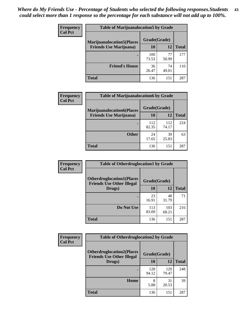| <b>Frequency</b> | <b>Table of Marijuanalocation5 by Grade</b> |              |             |              |
|------------------|---------------------------------------------|--------------|-------------|--------------|
| <b>Col Pct</b>   | <b>Marijuanalocation5</b> (Places           | Grade(Grade) |             |              |
|                  | <b>Friends Use Marijuana</b> )              | 10           | 12          | <b>Total</b> |
|                  |                                             | 100<br>73.53 | 77<br>50.99 | 177          |
|                  | <b>Friend's House</b>                       | 36<br>26.47  | 74<br>49.01 | 110          |
|                  | <b>Total</b>                                | 136          | 151         | 287          |

| <b>Frequency</b> | <b>Table of Marijuanalocation6 by Grade</b>                        |                    |              |              |
|------------------|--------------------------------------------------------------------|--------------------|--------------|--------------|
| <b>Col Pct</b>   | <b>Marijuanalocation6(Places</b><br><b>Friends Use Marijuana</b> ) | Grade(Grade)<br>10 | 12           | <b>Total</b> |
|                  |                                                                    | 112<br>82.35       | 112<br>74.17 | 224          |
|                  | <b>Other</b>                                                       | 24<br>17.65        | 39<br>25.83  | 63           |
|                  | <b>Total</b>                                                       | 136                | 151          | 287          |

| <b>Frequency</b> | <b>Table of Otherdruglocation1 by Grade</b>                          |              |              |              |
|------------------|----------------------------------------------------------------------|--------------|--------------|--------------|
| <b>Col Pct</b>   | <b>Otherdruglocation1(Places</b><br><b>Friends Use Other Illegal</b> | Grade(Grade) |              |              |
|                  | Drugs)                                                               | 10           | 12           | <b>Total</b> |
|                  |                                                                      | 23<br>16.91  | 48<br>31.79  | 71           |
|                  | Do Not Use                                                           | 113<br>83.09 | 103<br>68.21 | 216          |
|                  | <b>Total</b>                                                         | 136          | 151          | 287          |

| <b>Frequency</b> | <b>Table of Otherdruglocation2 by Grade</b>                          |              |              |              |
|------------------|----------------------------------------------------------------------|--------------|--------------|--------------|
| <b>Col Pct</b>   | <b>Otherdruglocation2(Places</b><br><b>Friends Use Other Illegal</b> | Grade(Grade) |              |              |
|                  | Drugs)                                                               | 10           | 12           | <b>Total</b> |
|                  |                                                                      | 128<br>94.12 | 120<br>79.47 | 248          |
|                  | <b>Home</b>                                                          | 8<br>5.88    | 31<br>20.53  | 39           |
|                  | <b>Total</b>                                                         | 136          | 151          | 287          |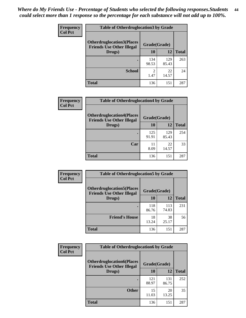| <b>Frequency</b> | <b>Table of Otherdruglocation3 by Grade</b>                           |                        |              |              |
|------------------|-----------------------------------------------------------------------|------------------------|--------------|--------------|
| <b>Col Pct</b>   | <b>Otherdruglocation3(Places)</b><br><b>Friends Use Other Illegal</b> | Grade(Grade)           |              |              |
|                  | Drugs)                                                                | 10                     | 12           | <b>Total</b> |
|                  |                                                                       | 134<br>98.53           | 129<br>85.43 | 263          |
|                  | <b>School</b>                                                         | $\mathfrak{D}$<br>1.47 | 22<br>14.57  | 24           |
|                  | <b>Total</b>                                                          | 136                    | 151          | 287          |

| <b>Frequency</b> | <b>Table of Otherdruglocation4 by Grade</b>                          |              |              |              |
|------------------|----------------------------------------------------------------------|--------------|--------------|--------------|
| <b>Col Pct</b>   | <b>Otherdruglocation4(Places</b><br><b>Friends Use Other Illegal</b> | Grade(Grade) |              |              |
|                  | Drugs)                                                               | <b>10</b>    | 12           | <b>Total</b> |
|                  |                                                                      | 125<br>91.91 | 129<br>85.43 | 254          |
|                  | Car                                                                  | 11<br>8.09   | 22<br>14.57  | 33           |
|                  | <b>Total</b>                                                         | 136          | 151          | 287          |

| <b>Frequency</b> | <b>Table of Otherdruglocation5 by Grade</b>                          |              |              |              |
|------------------|----------------------------------------------------------------------|--------------|--------------|--------------|
| <b>Col Pct</b>   | <b>Otherdruglocation5(Places</b><br><b>Friends Use Other Illegal</b> | Grade(Grade) |              |              |
|                  | Drugs)                                                               | <b>10</b>    | 12           | <b>Total</b> |
|                  |                                                                      | 118<br>86.76 | 113<br>74.83 | 231          |
|                  | <b>Friend's House</b>                                                | 18<br>13.24  | 38<br>25.17  | 56           |
|                  | <b>Total</b>                                                         | 136          | 151          | 287          |

| <b>Frequency</b> | <b>Table of Otherdruglocation6 by Grade</b>                           |              |              |              |
|------------------|-----------------------------------------------------------------------|--------------|--------------|--------------|
| <b>Col Pct</b>   | <b>Otherdruglocation6(Places)</b><br><b>Friends Use Other Illegal</b> | Grade(Grade) |              |              |
|                  | Drugs)                                                                | 10           | 12           | <b>Total</b> |
|                  |                                                                       | 121<br>88.97 | 131<br>86.75 | 252          |
|                  | <b>Other</b>                                                          | 15<br>11.03  | 20<br>13.25  | 35           |
|                  | <b>Total</b>                                                          | 136          | 151          | 287          |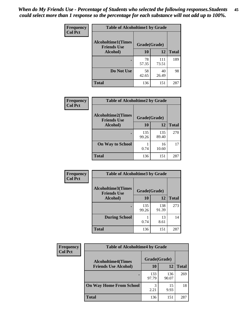| Frequency      | <b>Table of Alcoholtime1 by Grade</b>           |              |              |              |
|----------------|-------------------------------------------------|--------------|--------------|--------------|
| <b>Col Pct</b> | <b>Alcoholtime1(Times</b><br><b>Friends Use</b> | Grade(Grade) |              |              |
|                | Alcohol)                                        | 10           | 12           | <b>Total</b> |
|                |                                                 | 78<br>57.35  | 111<br>73.51 | 189          |
|                | Do Not Use                                      | 58<br>42.65  | 40<br>26.49  | 98           |
|                | <b>Total</b>                                    | 136          | 151          | 287          |

| Frequency      | <b>Table of Alcoholtime2 by Grade</b>           |              |              |              |
|----------------|-------------------------------------------------|--------------|--------------|--------------|
| <b>Col Pct</b> | <b>Alcoholtime2(Times</b><br><b>Friends Use</b> | Grade(Grade) |              |              |
|                | Alcohol)                                        | 10           | 12           | <b>Total</b> |
|                |                                                 | 135<br>99.26 | 135<br>89.40 | 270          |
|                | <b>On Way to School</b>                         | 0.74         | 16<br>10.60  | 17           |
|                | <b>Total</b>                                    | 136          | 151          | 287          |

| Frequency      | <b>Table of Alcoholtime3 by Grade</b>           |              |              |              |
|----------------|-------------------------------------------------|--------------|--------------|--------------|
| <b>Col Pct</b> | <b>Alcoholtime3(Times</b><br><b>Friends Use</b> | Grade(Grade) |              |              |
|                | Alcohol)                                        | 10           | 12           | <b>Total</b> |
|                |                                                 | 135<br>99.26 | 138<br>91.39 | 273          |
|                | <b>During School</b>                            | 0.74         | 13<br>8.61   | 14           |
|                | Total                                           | 136          | 151          | 287          |

| <b>Frequency</b><br><b>Col Pct</b> | <b>Table of Alcoholtime4 by Grade</b> |              |              |              |
|------------------------------------|---------------------------------------|--------------|--------------|--------------|
|                                    | <b>Alcoholtime4(Times</b>             | Grade(Grade) |              |              |
|                                    | <b>Friends Use Alcohol)</b>           | 10           | 12           | <b>Total</b> |
|                                    |                                       | 133<br>97.79 | 136<br>90.07 | 269          |
|                                    | <b>On Way Home From School</b>        | 3<br>2.21    | 15<br>9.93   | 18           |
|                                    | <b>Total</b>                          | 136          | 151          | 287          |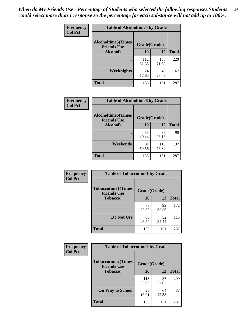*When do My Friends Use - Percentage of Students who selected the following responses.Students could select more than 1 response so the percentage for each substance will not add up to 100%.* **46**

| Frequency      | <b>Table of Alcoholtime5 by Grade</b>           |              |              |              |
|----------------|-------------------------------------------------|--------------|--------------|--------------|
| <b>Col Pct</b> | <b>Alcoholtime5(Times</b><br><b>Friends Use</b> | Grade(Grade) |              |              |
|                | Alcohol)                                        | 10           | 12           | <b>Total</b> |
|                |                                                 | 112<br>82.35 | 108<br>71.52 | 220          |
|                | Weeknights                                      | 24<br>17.65  | 43<br>28.48  | 67           |
|                | <b>Total</b>                                    | 136          | 151          | 287          |

| Frequency      | <b>Table of Alcoholtime6 by Grade</b>           |              |              |              |
|----------------|-------------------------------------------------|--------------|--------------|--------------|
| <b>Col Pct</b> | <b>Alcoholtime6(Times</b><br><b>Friends Use</b> | Grade(Grade) |              |              |
|                | Alcohol)                                        | 10           | 12           | <b>Total</b> |
|                | ٠                                               | 55<br>40.44  | 35<br>23.18  | 90           |
|                | Weekends                                        | 81<br>59.56  | 116<br>76.82 | 197          |
|                | <b>Total</b>                                    | 136          | 151          | 287          |

| Frequency      | <b>Table of Tobaccotime1 by Grade</b>           |              |             |              |
|----------------|-------------------------------------------------|--------------|-------------|--------------|
| <b>Col Pct</b> | <b>Tobaccotime1(Times</b><br><b>Friends Use</b> | Grade(Grade) |             |              |
|                | <b>Tobacco</b> )                                | 10           | 12          | <b>Total</b> |
|                | ٠                                               | 73<br>53.68  | 99<br>65.56 | 172          |
|                | Do Not Use                                      | 63<br>46.32  | 52<br>34.44 | 115          |
|                | <b>Total</b>                                    | 136          | 151         | 287          |

| <b>Frequency</b> | <b>Table of Tobaccotime2 by Grade</b>           |              |              |     |
|------------------|-------------------------------------------------|--------------|--------------|-----|
| <b>Col Pct</b>   | <b>Tobaccotime2(Times</b><br><b>Friends Use</b> | Grade(Grade) |              |     |
| <b>Tobacco</b> ) | 10                                              | 12           | <b>Total</b> |     |
|                  |                                                 | 113<br>83.09 | 87<br>57.62  | 200 |
|                  | <b>On Way to School</b>                         | 23<br>16.91  | 64<br>42.38  | 87  |
|                  | <b>Total</b>                                    | 136          | 151          | 287 |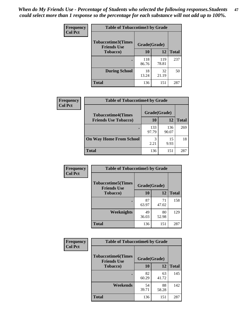*When do My Friends Use - Percentage of Students who selected the following responses.Students could select more than 1 response so the percentage for each substance will not add up to 100%.* **47**

| <b>Frequency</b> | <b>Table of Tobaccotime3 by Grade</b>           |              |              |              |  |
|------------------|-------------------------------------------------|--------------|--------------|--------------|--|
| <b>Col Pct</b>   | <b>Tobaccotime3(Times</b><br><b>Friends Use</b> |              | Grade(Grade) |              |  |
|                  | <b>Tobacco</b> )                                | 10           | 12           | <b>Total</b> |  |
|                  |                                                 | 118<br>86.76 | 119<br>78.81 | 237          |  |
|                  | <b>During School</b>                            | 18<br>13.24  | 32<br>21.19  | 50           |  |
|                  | <b>Total</b>                                    | 136          | 151          | 287          |  |

| <b>Frequency</b><br><b>Col Pct</b> | <b>Table of Tobaccotime4 by Grade</b><br>Grade(Grade)<br><b>Tobaccotime4(Times</b> |              |              |              |
|------------------------------------|------------------------------------------------------------------------------------|--------------|--------------|--------------|
|                                    |                                                                                    |              |              |              |
|                                    | <b>Friends Use Tobacco)</b>                                                        | 10           | 12           | <b>Total</b> |
|                                    |                                                                                    | 133<br>97.79 | 136<br>90.07 | 269          |
|                                    | <b>On Way Home From School</b>                                                     | 3<br>2.21    | 15<br>9.93   | 18           |
|                                    | <b>Total</b>                                                                       | 136          | 151          | 287          |

| <b>Frequency</b> | <b>Table of Tobaccotime5 by Grade</b>                           |             |             |              |
|------------------|-----------------------------------------------------------------|-------------|-------------|--------------|
| <b>Col Pct</b>   | <b>Tobaccotime5(Times</b><br>Grade(Grade)<br><b>Friends Use</b> |             |             |              |
|                  | <b>Tobacco</b> )                                                | 10          | 12          | <b>Total</b> |
|                  |                                                                 | 87<br>63.97 | 71<br>47.02 | 158          |
|                  | Weeknights                                                      | 49<br>36.03 | 80<br>52.98 | 129          |
|                  | <b>Total</b>                                                    | 136         | 151         | 287          |

| Frequency        | <b>Table of Tobaccotime6 by Grade</b>                           |             |             |              |
|------------------|-----------------------------------------------------------------|-------------|-------------|--------------|
| <b>Col Pct</b>   | <b>Tobaccotime6(Times</b><br>Grade(Grade)<br><b>Friends Use</b> |             |             |              |
| <b>Tobacco</b> ) |                                                                 | 10          | 12          | <b>Total</b> |
|                  | ٠                                                               | 82<br>60.29 | 63<br>41.72 | 145          |
|                  | Weekends                                                        | 54<br>39.71 | 88<br>58.28 | 142          |
|                  | <b>Total</b>                                                    | 136         | 151         | 287          |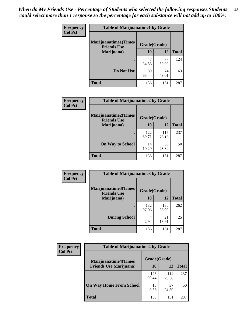| Frequency      | <b>Table of Marijuanatime1 by Grade</b>           |              |             |              |
|----------------|---------------------------------------------------|--------------|-------------|--------------|
| <b>Col Pct</b> | <b>Marijuanatime1(Times</b><br><b>Friends Use</b> | Grade(Grade) |             |              |
|                | Marijuana)                                        | 10           | 12          | <b>Total</b> |
|                |                                                   | 47<br>34.56  | 77<br>50.99 | 124          |
|                | Do Not Use                                        | 89<br>65.44  | 74<br>49.01 | 163          |
|                | <b>Total</b>                                      | 136          | 151         | 287          |

| Frequency      | <b>Table of Marijuanatime2 by Grade</b>           |              |              |              |
|----------------|---------------------------------------------------|--------------|--------------|--------------|
| <b>Col Pct</b> | <b>Marijuanatime2(Times</b><br><b>Friends Use</b> | Grade(Grade) |              |              |
|                | Marijuana)                                        | 10           | 12           | <b>Total</b> |
|                |                                                   | 122<br>89.71 | 115<br>76.16 | 237          |
|                | <b>On Way to School</b>                           | 14<br>10.29  | 36<br>23.84  | 50           |
|                | <b>Total</b>                                      | 136          | 151          | 287          |

| Frequency<br><b>Col Pct</b> | <b>Table of Marijuanatime3 by Grade</b>                    |              |              |              |
|-----------------------------|------------------------------------------------------------|--------------|--------------|--------------|
|                             | Marijuanatime3(Times<br>Grade(Grade)<br><b>Friends Use</b> |              |              |              |
|                             | Marijuana)                                                 | 10           | 12           | <b>Total</b> |
|                             |                                                            | 132<br>97.06 | 130<br>86.09 | 262          |
|                             | <b>During School</b>                                       | 4<br>2.94    | 21<br>13.91  | 25           |
|                             | <b>Total</b>                                               | 136          | 151          | 287          |

| <b>Frequency</b><br><b>Col Pct</b> | <b>Table of Marijuanatime4 by Grade</b> |              |              |       |
|------------------------------------|-----------------------------------------|--------------|--------------|-------|
|                                    | <b>Marijuanatime4(Times</b>             | Grade(Grade) |              |       |
|                                    | <b>Friends Use Marijuana</b> )          | 10           | 12           | Total |
|                                    |                                         | 123<br>90.44 | 114<br>75.50 | 237   |
|                                    | <b>On Way Home From School</b>          | 13<br>9.56   | 37<br>24.50  | 50    |
|                                    | <b>Total</b>                            | 136          | 151          | 287   |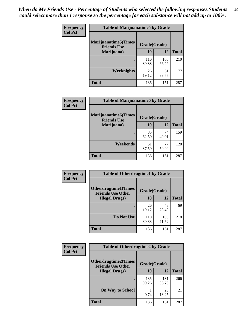| Frequency      | <b>Table of Marijuanatime5 by Grade</b>            |              |              |              |
|----------------|----------------------------------------------------|--------------|--------------|--------------|
| <b>Col Pct</b> | <b>Marijuanatime5</b> (Times<br><b>Friends Use</b> | Grade(Grade) |              |              |
|                | Marijuana)                                         | 10           | 12           | <b>Total</b> |
|                |                                                    | 110<br>80.88 | 100<br>66.23 | 210          |
|                | Weeknights                                         | 26<br>19.12  | 51<br>33.77  | 77           |
|                | <b>Total</b>                                       | 136          | 151          | 287          |

| Frequency      | <b>Table of Marijuanatime6 by Grade</b>    |              |             |              |
|----------------|--------------------------------------------|--------------|-------------|--------------|
| <b>Col Pct</b> | Marijuanatime6(Times<br><b>Friends Use</b> | Grade(Grade) |             |              |
|                | Marijuana)                                 | 10           | 12          | <b>Total</b> |
|                |                                            | 85<br>62.50  | 74<br>49.01 | 159          |
|                | Weekends                                   | 51<br>37.50  | 77<br>50.99 | 128          |
|                | <b>Total</b>                               | 136          | 151         | 287          |

| <b>Frequency</b> | <b>Table of Otherdrugtime1 by Grade</b>                 |              |              |              |
|------------------|---------------------------------------------------------|--------------|--------------|--------------|
| <b>Col Pct</b>   | <b>Otherdrugtime1(Times</b><br><b>Friends Use Other</b> | Grade(Grade) |              |              |
|                  | <b>Illegal Drugs)</b>                                   | 10           | 12           | <b>Total</b> |
|                  |                                                         | 26<br>19.12  | 43<br>28.48  | 69           |
|                  | Do Not Use                                              | 110<br>80.88 | 108<br>71.52 | 218          |
|                  | <b>Total</b>                                            | 136          | 151          | 287          |

| <b>Frequency</b> | <b>Table of Otherdrugtime2 by Grade</b>                 |              |              |              |  |  |
|------------------|---------------------------------------------------------|--------------|--------------|--------------|--|--|
| <b>Col Pct</b>   | <b>Otherdrugtime2(Times</b><br><b>Friends Use Other</b> | Grade(Grade) |              |              |  |  |
|                  | <b>Illegal Drugs</b> )                                  | 10           | 12           | <b>Total</b> |  |  |
|                  |                                                         | 135<br>99.26 | 131<br>86.75 | 266          |  |  |
|                  | <b>On Way to School</b>                                 | 0.74         | 20<br>13.25  | 21           |  |  |
|                  | <b>Total</b>                                            | 136          | 151          | 287          |  |  |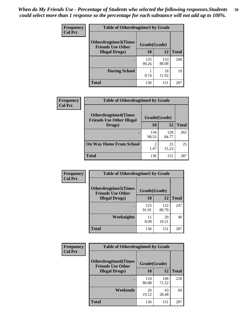| <b>Frequency</b> | <b>Table of Otherdrugtime3 by Grade</b>                          |              |              |              |  |  |
|------------------|------------------------------------------------------------------|--------------|--------------|--------------|--|--|
| <b>Col Pct</b>   | Otherdrugtime3(Times<br>Grade(Grade)<br><b>Friends Use Other</b> |              |              |              |  |  |
|                  | <b>Illegal Drugs</b> )                                           |              | 12           | <b>Total</b> |  |  |
|                  |                                                                  | 135<br>99.26 | 133<br>88.08 | 268          |  |  |
|                  | <b>During School</b>                                             | 0.74         | 18<br>11.92  | 19           |  |  |
|                  | Total                                                            | 136          | 151          | 287          |  |  |

| Frequency      | <b>Table of Otherdrugtime4 by Grade</b>                         |              |              |              |  |  |
|----------------|-----------------------------------------------------------------|--------------|--------------|--------------|--|--|
| <b>Col Pct</b> | <b>Otherdrugtime4(Times</b><br><b>Friends Use Other Illegal</b> | Grade(Grade) |              |              |  |  |
|                | Drugs)                                                          | 10           | 12           | <b>Total</b> |  |  |
|                | ٠                                                               | 134<br>98.53 | 128<br>84.77 | 262          |  |  |
|                | <b>On Way Home From School</b>                                  | 2<br>1.47    | 23<br>15.23  | 25           |  |  |
|                | Total                                                           | 136          | 151          | 287          |  |  |

| <b>Frequency</b><br><b>Col Pct</b> | <b>Table of Otherdrugtime5 by Grade</b>                  |              |              |              |  |  |
|------------------------------------|----------------------------------------------------------|--------------|--------------|--------------|--|--|
|                                    | <b>Otherdrugtime5</b> (Times<br><b>Friends Use Other</b> | Grade(Grade) |              |              |  |  |
|                                    | <b>Illegal Drugs</b> )                                   | 10           | 12           | <b>Total</b> |  |  |
|                                    |                                                          | 125<br>91.91 | 122<br>80.79 | 247          |  |  |
|                                    | Weeknights                                               | 11<br>8.09   | 29<br>19.21  | 40           |  |  |
|                                    | Total                                                    | 136          | 151          | 287          |  |  |

| <b>Frequency</b><br><b>Col Pct</b> | <b>Table of Otherdrugtime6 by Grade</b>                 |              |              |              |  |  |
|------------------------------------|---------------------------------------------------------|--------------|--------------|--------------|--|--|
|                                    | <b>Otherdrugtime6(Times</b><br><b>Friends Use Other</b> | Grade(Grade) |              |              |  |  |
|                                    | <b>Illegal Drugs</b> )                                  | 10           | 12           | <b>Total</b> |  |  |
|                                    |                                                         | 110<br>80.88 | 108<br>71.52 | 218          |  |  |
|                                    | Weekends                                                | 26<br>19.12  | 43<br>28.48  | 69           |  |  |
|                                    | <b>Total</b>                                            | 136          | 151          | 287          |  |  |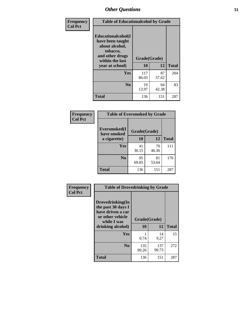| Frequency<br><b>Col Pct</b> | <b>Table of Educationalcohol by Grade</b>                                                                  |              |             |              |  |  |
|-----------------------------|------------------------------------------------------------------------------------------------------------|--------------|-------------|--------------|--|--|
|                             | Educationalcohol(I<br>have been taught<br>about alcohol,<br>tobacco,<br>and other drugs<br>within the last | Grade(Grade) |             |              |  |  |
|                             | year at school)                                                                                            | 10           | 12          | <b>Total</b> |  |  |
|                             | Yes                                                                                                        | 117<br>86.03 | 87<br>57.62 | 204          |  |  |
|                             | N <sub>0</sub>                                                                                             | 19<br>13.97  | 64<br>42.38 | 83           |  |  |
|                             | <b>Total</b>                                                                                               | 136          | 151         | 287          |  |  |

| Frequency      | <b>Table of Eversmoked by Grade</b> |              |             |              |  |  |  |
|----------------|-------------------------------------|--------------|-------------|--------------|--|--|--|
| <b>Col Pct</b> | Eversmoked(I<br>have smoked         | Grade(Grade) |             |              |  |  |  |
|                | a cigarette)                        | 10           | 12          | <b>Total</b> |  |  |  |
|                | <b>Yes</b>                          | 41<br>30.15  | 70<br>46.36 | 111          |  |  |  |
|                | N <sub>0</sub>                      | 95<br>69.85  | 81<br>53.64 | 176          |  |  |  |
|                | <b>Total</b>                        | 136          | 151         | 287          |  |  |  |

| Frequency<br><b>Col Pct</b> | <b>Table of Drovedrinking by Grade</b>                                                                              |                    |              |              |
|-----------------------------|---------------------------------------------------------------------------------------------------------------------|--------------------|--------------|--------------|
|                             | Drovedrinking(In<br>the past 30 days I<br>have driven a car<br>or other vehicle<br>while I was<br>drinking alcohol) | Grade(Grade)<br>10 | 12           | <b>Total</b> |
|                             | <b>Yes</b>                                                                                                          | 0.74               | 14<br>9.27   | 15           |
|                             | N <sub>0</sub>                                                                                                      | 135<br>99.26       | 137<br>90.73 | 272          |
|                             | <b>Total</b>                                                                                                        | 136                | 151          | 287          |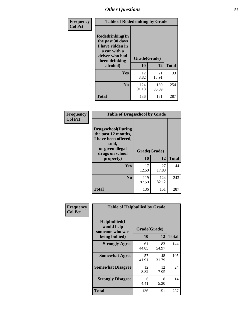| Frequency<br><b>Col Pct</b> | <b>Table of Rodedrinking by Grade</b>                                                                                      |              |              |              |  |  |  |
|-----------------------------|----------------------------------------------------------------------------------------------------------------------------|--------------|--------------|--------------|--|--|--|
|                             | Rodedrinking(In<br>the past 30 days<br>I have ridden in<br>a car with a<br>driver who had<br>Grade(Grade)<br>been drinking |              |              |              |  |  |  |
|                             | alcohol)                                                                                                                   | 10           | 12           | <b>Total</b> |  |  |  |
|                             | Yes                                                                                                                        | 12<br>8.82   | 21<br>13.91  | 33           |  |  |  |
|                             | N <sub>0</sub>                                                                                                             | 124<br>91.18 | 130<br>86.09 | 254          |  |  |  |
|                             | <b>Total</b>                                                                                                               | 136          | 151          | 287          |  |  |  |

#### **Frequency Col Pct**

| <b>Table of Drugsschool by Grade</b>                                                                                      |              |              |              |  |  |  |
|---------------------------------------------------------------------------------------------------------------------------|--------------|--------------|--------------|--|--|--|
| <b>Drugsschool</b> (During<br>the past 12 months,<br>I have been offered,<br>sold,<br>or given illegal<br>drugs on school | Grade(Grade) |              |              |  |  |  |
| property)                                                                                                                 | 10           | 12           | <b>Total</b> |  |  |  |
| Yes                                                                                                                       | 17<br>12.50  | 27<br>17.88  | 44           |  |  |  |
| N <sub>0</sub>                                                                                                            | 119<br>87.50 | 124<br>82.12 | 243          |  |  |  |
|                                                                                                                           |              |              |              |  |  |  |

| Frequency      | <b>Table of Helpbullied by Grade</b>           |                           |             |              |  |  |  |
|----------------|------------------------------------------------|---------------------------|-------------|--------------|--|--|--|
| <b>Col Pct</b> | Helpbullied(I<br>would help<br>someone who was | Grade(Grade)<br><b>10</b> |             |              |  |  |  |
|                | being bullied)                                 |                           | 12          | <b>Total</b> |  |  |  |
|                | <b>Strongly Agree</b>                          | 61<br>44.85               | 83<br>54.97 | 144          |  |  |  |
|                | <b>Somewhat Agree</b>                          | 57<br>41.91               | 48<br>31.79 | 105          |  |  |  |
|                | <b>Somewhat Disagree</b>                       | 12<br>8.82                | 12<br>7.95  | 24           |  |  |  |
|                | <b>Strongly Disagree</b>                       | 6<br>4.41                 | 8<br>5.30   | 14           |  |  |  |
|                | <b>Total</b>                                   | 136                       | 151         | 287          |  |  |  |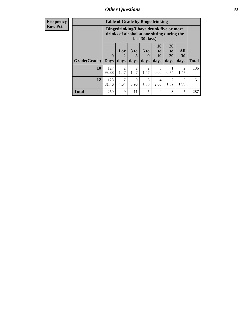| <b>Frequency</b><br><b>Row Pct</b> |              | <b>Table of Grade by Bingedrinking</b><br>Bingedrinking(I have drunk five or more<br>drinks of alcohol at one sitting during the<br>last 30 days) |                        |                              |                        |                          |                               |                          |              |
|------------------------------------|--------------|---------------------------------------------------------------------------------------------------------------------------------------------------|------------------------|------------------------------|------------------------|--------------------------|-------------------------------|--------------------------|--------------|
|                                    | Grade(Grade) | $\mathbf{0}$<br><b>Days</b>                                                                                                                       | 1 or<br>2<br>days      | 3 <sub>to</sub><br>5<br>days | 6 to<br>9<br>days      | 10<br>to  <br>19<br>days | <b>20</b><br>to<br>29<br>days | All<br><b>30</b><br>days | <b>Total</b> |
|                                    | 10           | 127<br>93.38                                                                                                                                      | $\overline{2}$<br>1.47 | $\overline{2}$<br>1.47       | $\overline{2}$<br>1.47 | 0<br>0.00                | 0.74                          | 2<br>1.47                | 136          |
|                                    | 12           | 123<br>81.46                                                                                                                                      | 7<br>4.64              | 9<br>5.96                    | 3<br>1.99              | 4<br>2.65                | $\mathfrak{D}$<br>1.32        | 3<br>1.99                | 151          |
|                                    | <b>Total</b> | 250                                                                                                                                               | 9                      | 11                           | 5                      | 4                        | 3                             | 5                        | 287          |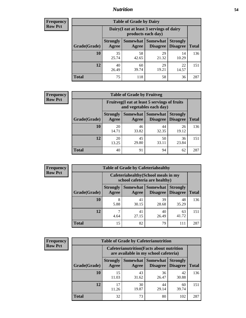### *Nutrition* **54**

| <b>Frequency</b><br>Row Pct |
|-----------------------------|
|                             |

| <b>Table of Grade by Dairy</b> |                                                                                                                                           |                                                                 |             |             |     |  |  |  |
|--------------------------------|-------------------------------------------------------------------------------------------------------------------------------------------|-----------------------------------------------------------------|-------------|-------------|-----|--|--|--|
|                                |                                                                                                                                           | Dairy (I eat at least 3 servings of dairy<br>products each day) |             |             |     |  |  |  |
| Grade(Grade)                   | Somewhat<br><b>Somewhat</b><br><b>Strongly</b><br><b>Strongly</b><br><b>Disagree</b><br><b>Disagree</b><br><b>Total</b><br>Agree<br>Agree |                                                                 |             |             |     |  |  |  |
| 10                             | 35<br>25.74                                                                                                                               | 58<br>42.65                                                     | 29<br>21.32 | 14<br>10.29 | 136 |  |  |  |
| 12                             | 40<br>26.49                                                                                                                               | 60<br>39.74                                                     | 29<br>19.21 | 22<br>14.57 | 151 |  |  |  |
| <b>Total</b>                   | 75                                                                                                                                        | 118                                                             | 58          | 36          | 287 |  |  |  |

| <b>Frequency</b> |  |
|------------------|--|
| <b>Row Pct</b>   |  |

| <b>Table of Grade by Fruitveg</b> |                          |                                                                          |                                    |                                    |              |  |  |  |
|-----------------------------------|--------------------------|--------------------------------------------------------------------------|------------------------------------|------------------------------------|--------------|--|--|--|
|                                   |                          | Fruitveg(I eat at least 5 servings of fruits<br>and vegetables each day) |                                    |                                    |              |  |  |  |
| Grade(Grade)                      | <b>Strongly</b><br>Agree | Somewhat  <br>Agree                                                      | <b>Somewhat</b><br><b>Disagree</b> | <b>Strongly</b><br><b>Disagree</b> | <b>Total</b> |  |  |  |
| 10                                | 20<br>14.71              | 46<br>33.82                                                              | 44<br>32.35                        | 26<br>19.12                        | 136          |  |  |  |
| 12                                | 20<br>13.25              | 45<br>29.80                                                              | 50<br>33.11                        | 36<br>23.84                        | 151          |  |  |  |
| <b>Total</b>                      | 40                       | 91                                                                       | 94                                 | 62                                 | 287          |  |  |  |

| <b>Frequency</b> | <b>Table of Grade by Cafeteriahealthy</b> |                                                                       |                     |                      |                                    |              |  |  |
|------------------|-------------------------------------------|-----------------------------------------------------------------------|---------------------|----------------------|------------------------------------|--------------|--|--|
| <b>Row Pct</b>   |                                           | Cafeteriahealthy (School meals in my<br>school cafeteria are healthy) |                     |                      |                                    |              |  |  |
|                  | Grade(Grade)                              | <b>Strongly</b><br>Agree                                              | Somewhat  <br>Agree | Somewhat<br>Disagree | <b>Strongly</b><br><b>Disagree</b> | <b>Total</b> |  |  |
|                  | 10                                        | 8<br>5.88                                                             | 41<br>30.15         | 39<br>28.68          | 48<br>35.29                        | 136          |  |  |
|                  | 12                                        | 4.64                                                                  | 41<br>27.15         | 40<br>26.49          | 63<br>41.72                        | 151          |  |  |
|                  | Total                                     | 15                                                                    | 82                  | 79                   | 111                                | 287          |  |  |

| <b>Frequency</b> |
|------------------|
| <b>Row Pct</b>   |

| <b>Table of Grade by Cafeterianutrition</b>                                               |                          |                     |                                    |                                    |              |  |  |
|-------------------------------------------------------------------------------------------|--------------------------|---------------------|------------------------------------|------------------------------------|--------------|--|--|
| <b>Cafeterianutrition</b> (Facts about nutrition<br>are available in my school cafeteria) |                          |                     |                                    |                                    |              |  |  |
| Grade(Grade)                                                                              | <b>Strongly</b><br>Agree | Somewhat  <br>Agree | <b>Somewhat</b><br><b>Disagree</b> | <b>Strongly</b><br><b>Disagree</b> | <b>Total</b> |  |  |
| 10                                                                                        | 15<br>11.03              | 43<br>31.62         | 36<br>26.47                        | 42<br>30.88                        | 136          |  |  |
| 12                                                                                        | 17<br>11.26              | 30<br>19.87         | 44<br>29.14                        | 60<br>39.74                        | 151          |  |  |
| <b>Total</b>                                                                              | 32                       | 73                  | 80                                 | 102                                | 287          |  |  |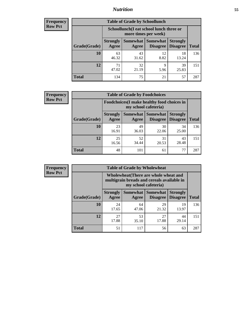### *Nutrition* **55**

| <b>Frequency</b> |
|------------------|
| <b>Row Pct</b>   |

| <b>Table of Grade by Schoollunch</b> |                                                                                                                                             |                                                                 |            |             |     |  |  |  |
|--------------------------------------|---------------------------------------------------------------------------------------------------------------------------------------------|-----------------------------------------------------------------|------------|-------------|-----|--|--|--|
|                                      |                                                                                                                                             | Schoollunch(I eat school lunch three or<br>more times per week) |            |             |     |  |  |  |
| Grade(Grade)                         | Somewhat  <br><b>Somewhat</b><br><b>Strongly</b><br><b>Strongly</b><br><b>Disagree</b><br><b>Disagree</b><br><b>Total</b><br>Agree<br>Agree |                                                                 |            |             |     |  |  |  |
| 10                                   | 63<br>46.32                                                                                                                                 | 43<br>31.62                                                     | 12<br>8.82 | 18<br>13.24 | 136 |  |  |  |
| 12                                   | 71<br>47.02                                                                                                                                 | 32<br>21.19                                                     | 9<br>5.96  | 39<br>25.83 | 151 |  |  |  |
| <b>Total</b>                         | 134                                                                                                                                         | 75                                                              | 21         | 57          | 287 |  |  |  |

| <b>Frequency</b> |  |
|------------------|--|
| <b>Row Pct</b>   |  |

| <b>Table of Grade by Foodchoices</b>                                       |                          |             |                                      |                                    |              |  |  |
|----------------------------------------------------------------------------|--------------------------|-------------|--------------------------------------|------------------------------------|--------------|--|--|
| <b>Foodchoices</b> (I make healthy food choices in<br>my school cafeteria) |                          |             |                                      |                                    |              |  |  |
| Grade(Grade)                                                               | <b>Strongly</b><br>Agree | Agree       | Somewhat Somewhat<br><b>Disagree</b> | <b>Strongly</b><br><b>Disagree</b> | <b>Total</b> |  |  |
| 10                                                                         | 23<br>16.91              | 49<br>36.03 | 30<br>22.06                          | 34<br>25.00                        | 136          |  |  |
| 12                                                                         | 25<br>16.56              | 52<br>34.44 | 31<br>20.53                          | 43<br>28.48                        | 151          |  |  |
| <b>Total</b>                                                               | 48                       | 101         | 61                                   | 77                                 | 287          |  |  |

| <b>Frequency</b> | <b>Table of Grade by Wholewheat</b> |                                                                                                             |             |                                        |                                    |              |  |
|------------------|-------------------------------------|-------------------------------------------------------------------------------------------------------------|-------------|----------------------------------------|------------------------------------|--------------|--|
| <b>Row Pct</b>   |                                     | Wholewheat (There are whole wheat and<br>multigrain breads and cereals available in<br>my school cafeteria) |             |                                        |                                    |              |  |
|                  | Grade(Grade)                        | <b>Strongly</b><br>Agree                                                                                    | Agree       | Somewhat   Somewhat<br><b>Disagree</b> | <b>Strongly</b><br><b>Disagree</b> | <b>Total</b> |  |
|                  | 10                                  | 24<br>17.65                                                                                                 | 64<br>47.06 | 29<br>21.32                            | 19<br>13.97                        | 136          |  |
|                  | 12                                  | 27<br>17.88                                                                                                 | 53<br>35.10 | 27<br>17.88                            | 44<br>29.14                        | 151          |  |
|                  | <b>Total</b>                        | 51                                                                                                          | 117         | 56                                     | 63                                 | 287          |  |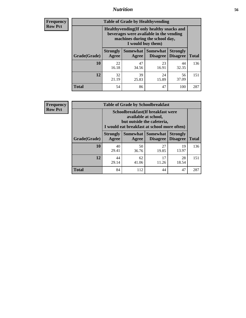### *Nutrition* **56**

**Frequency Row Pct**

| <b>Table of Grade by Healthyvending</b> |                                                                                                                                               |                          |                                    |                                    |              |  |
|-----------------------------------------|-----------------------------------------------------------------------------------------------------------------------------------------------|--------------------------|------------------------------------|------------------------------------|--------------|--|
|                                         | Healthyvending (If only healthy snacks and<br>beverages were available in the vending<br>machines during the school day,<br>I would buy them) |                          |                                    |                                    |              |  |
| Grade(Grade)                            | <b>Strongly</b><br>Agree                                                                                                                      | <b>Somewhat</b><br>Agree | <b>Somewhat</b><br><b>Disagree</b> | <b>Strongly</b><br><b>Disagree</b> | <b>Total</b> |  |
| 10                                      | 22<br>16.18                                                                                                                                   | 47<br>34.56              | 23<br>16.91                        | 44<br>32.35                        | 136          |  |
| 12                                      | 32<br>21.19                                                                                                                                   | 39<br>25.83              | 24<br>15.89                        | 56<br>37.09                        | 151          |  |
| <b>Total</b>                            | 54                                                                                                                                            | 86                       | 47                                 | 100                                | 287          |  |

**Frequency Row Pct**

| <b>Table of Grade by Schoolbreakfast</b> |                                                                                                                                         |             |                                        |                                    |              |  |
|------------------------------------------|-----------------------------------------------------------------------------------------------------------------------------------------|-------------|----------------------------------------|------------------------------------|--------------|--|
|                                          | Schoolbreakfast (If breakfast were<br>available at school,<br>but outside the cafeteria,<br>I would eat breakfast at school more often) |             |                                        |                                    |              |  |
| Grade(Grade)                             | <b>Strongly</b><br>Agree                                                                                                                | Agree       | Somewhat   Somewhat<br><b>Disagree</b> | <b>Strongly</b><br><b>Disagree</b> | <b>Total</b> |  |
| 10                                       | 40<br>29.41                                                                                                                             | 50<br>36.76 | 27<br>19.85                            | 19<br>13.97                        | 136          |  |
| 12                                       | 44<br>29.14                                                                                                                             | 62<br>41.06 | 17<br>11.26                            | 28<br>18.54                        | 151          |  |
| <b>Total</b>                             | 84                                                                                                                                      | 112         | 44                                     | 47                                 | 287          |  |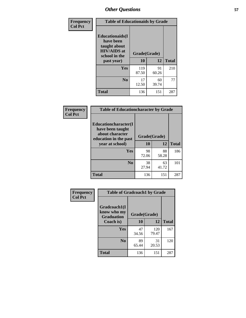| Frequency<br><b>Col Pct</b> | <b>Table of Educationaids by Grade</b>                                                                    |                    |             |              |
|-----------------------------|-----------------------------------------------------------------------------------------------------------|--------------------|-------------|--------------|
|                             | <b>Educationaids</b> (I<br>have been<br>taught about<br><b>HIV/AIDS</b> at<br>school in the<br>past year) | Grade(Grade)<br>10 | 12          | <b>Total</b> |
|                             | Yes                                                                                                       | 119<br>87.50       | 91<br>60.26 | 210          |
|                             | N <sub>0</sub>                                                                                            | 17<br>12.50        | 60<br>39.74 | 77           |
|                             | <b>Total</b>                                                                                              | 136                | 151         | 287          |

| <b>Frequency</b> |                                                                                      | <b>Table of Educationcharacter by Grade</b> |             |              |
|------------------|--------------------------------------------------------------------------------------|---------------------------------------------|-------------|--------------|
| <b>Col Pct</b>   | Educationcharacter(I<br>have been taught<br>about character<br>education in the past | Grade(Grade)                                |             |              |
|                  | year at school)                                                                      | 10                                          | 12          | <b>Total</b> |
|                  | <b>Yes</b>                                                                           | 98<br>72.06                                 | 88<br>58.28 | 186          |
|                  | N <sub>0</sub>                                                                       | 38<br>27.94                                 | 63<br>41.72 | 101          |
|                  | <b>Total</b>                                                                         | 136                                         | 151         | 287          |

| Frequency      | <b>Table of Gradcoach1 by Grade</b> |             |              |              |
|----------------|-------------------------------------|-------------|--------------|--------------|
| <b>Col Pct</b> | Gradcoach1(I                        |             |              |              |
|                | know who my<br><b>Graduation</b>    |             | Grade(Grade) |              |
|                | Coach is)                           | 10          | 12           | <b>Total</b> |
|                | <b>Yes</b>                          | 47<br>34.56 | 120<br>79.47 | 167          |
|                | N <sub>0</sub>                      | 89<br>65.44 | 31<br>20.53  | 120          |
|                | <b>Total</b>                        | 136         | 151          | 287          |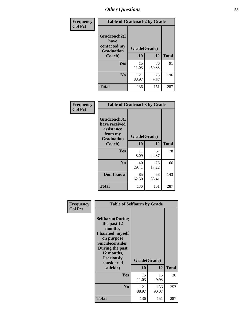| Frequency      | <b>Table of Gradcoach2 by Grade</b> |              |             |              |
|----------------|-------------------------------------|--------------|-------------|--------------|
| <b>Col Pct</b> | Gradcoach2(I<br>have                |              |             |              |
|                | contacted my<br><b>Graduation</b>   | Grade(Grade) |             |              |
|                | Coach)                              | 10           | 12          | <b>Total</b> |
|                | Yes                                 | 15<br>11.03  | 76<br>50.33 | 91           |
|                | N <sub>0</sub>                      | 121<br>88.97 | 75<br>49.67 | 196          |
|                | <b>Total</b>                        | 136          | 151         | 287          |

| Frequency<br><b>Col Pct</b> | <b>Table of Gradcoach3 by Grade</b>                                         |              |             |              |
|-----------------------------|-----------------------------------------------------------------------------|--------------|-------------|--------------|
|                             | Gradcoach3(I<br>have received<br>assistance<br>from my<br><b>Graduation</b> | Grade(Grade) |             |              |
|                             | Coach)                                                                      | 10           | 12          | <b>Total</b> |
|                             | Yes                                                                         | 11<br>8.09   | 67<br>44.37 | 78           |
|                             | N <sub>0</sub>                                                              | 40<br>29.41  | 26<br>17.22 | 66           |
|                             | Don't know                                                                  | 85<br>62.50  | 58<br>38.41 | 143          |
|                             | <b>Total</b>                                                                | 136          | 151         | 287          |

| Frequency<br><b>Col Pct</b> | <b>Table of Selfharm by Grade</b>                                                                                                                                          |              |              |              |
|-----------------------------|----------------------------------------------------------------------------------------------------------------------------------------------------------------------------|--------------|--------------|--------------|
|                             | <b>Selfharm</b> (During<br>the past 12<br>months,<br>I harmed myself<br>on purpose<br><b>Suicideconsider</b><br>During the past<br>12 months,<br>I seriously<br>considered | Grade(Grade) |              |              |
|                             | suicide)                                                                                                                                                                   | <b>10</b>    | 12           | <b>Total</b> |
|                             | Yes                                                                                                                                                                        | 15<br>11.03  | 15<br>9.93   | 30           |
|                             | N <sub>0</sub>                                                                                                                                                             | 121<br>88.97 | 136<br>90.07 | 257          |
|                             | Total                                                                                                                                                                      | 136          | 151          | 287          |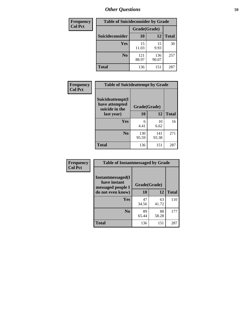| <b>Frequency</b> | <b>Table of Suicideconsider by Grade</b> |              |              |              |  |  |
|------------------|------------------------------------------|--------------|--------------|--------------|--|--|
| <b>Col Pct</b>   |                                          | Grade(Grade) |              |              |  |  |
|                  | Suicideconsider                          | <b>10</b>    | 12           | <b>Total</b> |  |  |
|                  | Yes                                      | 15<br>11.03  | 15<br>9.93   | 30           |  |  |
|                  | N <sub>0</sub>                           | 121<br>88.97 | 136<br>90.07 | 257          |  |  |
|                  | <b>Total</b>                             | 136          | 151          | 287          |  |  |

| Frequency      | <b>Table of Suicideattempt by Grade</b>              |              |              |              |
|----------------|------------------------------------------------------|--------------|--------------|--------------|
| <b>Col Pct</b> | Suicideattempt(I<br>have attempted<br>suicide in the | Grade(Grade) |              |              |
|                | last year)                                           | 10           | 12           | <b>Total</b> |
|                | Yes                                                  | 6<br>4.41    | 10<br>6.62   | 16           |
|                | N <sub>0</sub>                                       | 130<br>95.59 | 141<br>93.38 | 271          |
|                | <b>Total</b>                                         | 136          | 151          | 287          |

| Frequency      | <b>Table of Instantmessaged by Grade</b>               |              |             |              |
|----------------|--------------------------------------------------------|--------------|-------------|--------------|
| <b>Col Pct</b> | Instantmessaged(I<br>have instant<br>messaged people I | Grade(Grade) |             |              |
|                | do not even know)                                      | 10           | 12          | <b>Total</b> |
|                | Yes                                                    | 47<br>34.56  | 63<br>41.72 | 110          |
|                | N <sub>0</sub>                                         | 89<br>65.44  | 88<br>58.28 | 177          |
|                | <b>Total</b>                                           | 136          | 151         | 287          |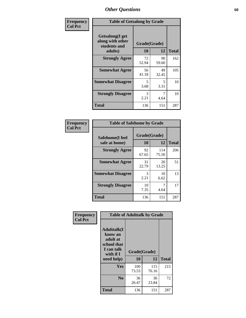| Frequency      | <b>Table of Getsalong by Grade</b>                          |              |             |              |
|----------------|-------------------------------------------------------------|--------------|-------------|--------------|
| <b>Col Pct</b> | <b>Getsalong</b> (I get<br>along with other<br>students and | Grade(Grade) |             |              |
|                | adults)                                                     | 10           | 12          | <b>Total</b> |
|                | <b>Strongly Agree</b>                                       | 72<br>52.94  | 90<br>59.60 | 162          |
|                | <b>Somewhat Agree</b>                                       | 56<br>41.18  | 49<br>32.45 | 105          |
|                | <b>Somewhat Disagree</b>                                    | 5<br>3.68    | 5<br>3.31   | 10           |
|                | <b>Strongly Disagree</b>                                    | 3<br>2.21    | 7<br>4.64   | 10           |
|                | <b>Total</b>                                                | 136          | 151         | 287          |

| Frequency      |                                  |                    | <b>Table of Safehome by Grade</b> |              |  |  |  |
|----------------|----------------------------------|--------------------|-----------------------------------|--------------|--|--|--|
| <b>Col Pct</b> | Safehome(I feel<br>safe at home) | Grade(Grade)<br>10 | 12                                | <b>Total</b> |  |  |  |
|                | <b>Strongly Agree</b>            | 92<br>67.65        | 114<br>75.50                      | 206          |  |  |  |
|                | <b>Somewhat Agree</b>            | 31<br>22.79        | 20<br>13.25                       | 51           |  |  |  |
|                | <b>Somewhat Disagree</b>         | 3<br>2.21          | 10<br>6.62                        | 13           |  |  |  |
|                | <b>Strongly Disagree</b>         | 10<br>7.35         | 4.64                              | 17           |  |  |  |
|                | <b>Total</b>                     | 136                | 151                               | 287          |  |  |  |

| Frequency      |                                                                                      | <b>Table of Adulttalk by Grade</b> |              |              |
|----------------|--------------------------------------------------------------------------------------|------------------------------------|--------------|--------------|
| <b>Col Pct</b> | <b>Adulttalk</b> (I<br>know an<br>adult at<br>school that<br>I can talk<br>with if I | Grade(Grade)                       |              |              |
|                | need help)                                                                           | 10                                 | 12           | <b>Total</b> |
|                | <b>Yes</b>                                                                           | 100<br>73.53                       | 115<br>76.16 | 215          |
|                | N <sub>0</sub>                                                                       | 36<br>26.47                        | 36<br>23.84  | 72           |
|                | <b>Total</b>                                                                         | 136                                | 151          | 287          |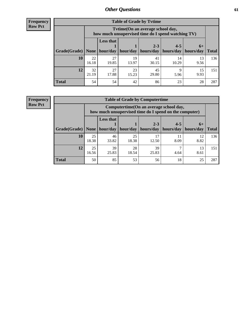**Frequency Row Pct**

| <b>Table of Grade by Tvtime</b> |             |                                                                                         |             |                                 |                       |            |              |  |  |
|---------------------------------|-------------|-----------------------------------------------------------------------------------------|-------------|---------------------------------|-----------------------|------------|--------------|--|--|
|                                 |             | Tytime (On an average school day,<br>how much unsupervised time do I spend watching TV) |             |                                 |                       |            |              |  |  |
|                                 |             | <b>Less that</b><br>$2 - 3$<br>$4 - 5$<br>$6+$                                          |             |                                 |                       |            |              |  |  |
| Grade(Grade)   None             |             |                                                                                         |             | hour/day   hour/day   hours/day | hours/day   hours/day |            | <b>Total</b> |  |  |
| 10                              | 22<br>16.18 | 27<br>19.85                                                                             | 19<br>13.97 | 41<br>30.15                     | 14<br>10.29           | 13<br>9.56 | 136          |  |  |
| 12                              | 32<br>21.19 | 27<br>17.88                                                                             | 23<br>15.23 | 45<br>29.80                     | Q<br>5.96             | 15<br>9.93 | 151          |  |  |
| <b>Total</b>                    | 54          | 54                                                                                      | 42          | 86                              | 23                    | 28         | 287          |  |  |

**Frequency Row Pct**

| <b>Table of Grade by Computertime</b> |             |                                                                                                                               |             |             |            |            |     |  |  |
|---------------------------------------|-------------|-------------------------------------------------------------------------------------------------------------------------------|-------------|-------------|------------|------------|-----|--|--|
|                                       |             | Computertime (On an average school day,<br>how much unsupervised time do I spend on the computer)                             |             |             |            |            |     |  |  |
| Grade(Grade)                          | None        | <b>Less that</b><br>$2 - 3$<br>$4 - 5$<br>$6+$<br>hour/day<br>hours/day<br>hour/day<br>hours/day<br>hours/day<br><b>Total</b> |             |             |            |            |     |  |  |
| 10                                    | 25<br>18.38 | 46<br>33.82                                                                                                                   | 25<br>18.38 | 17<br>12.50 | 11<br>8.09 | 12<br>8.82 | 136 |  |  |
| 12                                    | 25<br>16.56 | 39<br>25.83                                                                                                                   | 28<br>18.54 | 39<br>25.83 | 4.64       | 13<br>8.61 | 151 |  |  |
| <b>Total</b>                          | 50          | 85                                                                                                                            | 53          | 56          | 18         | 25         | 287 |  |  |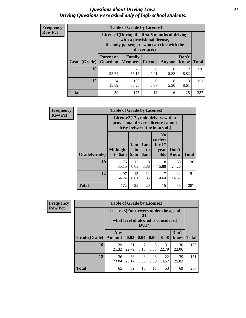#### *Questions about Driving Laws* **62** *Driving Questions were asked only of high school students.*

| <b>Frequency</b> |
|------------------|
| <b>Row Pct</b>   |

| <b>Table of Grade by License1</b> |                                                                     |                                                                                                                                           |           |           |            |     |  |  |  |
|-----------------------------------|---------------------------------------------------------------------|-------------------------------------------------------------------------------------------------------------------------------------------|-----------|-----------|------------|-----|--|--|--|
|                                   |                                                                     | License1(During the first 6 months of driving<br>with a provisional license,<br>the only passengers who can ride with the<br>driver are:) |           |           |            |     |  |  |  |
| Grade(Grade)                      | <b>Parent or</b>                                                    | Don't<br>Family<br><b>Guardian</b>   Members<br><b>Total</b><br><b>Friends</b><br>Know<br>Anyone                                          |           |           |            |     |  |  |  |
| 10                                | 35<br>25.74                                                         | 75<br>55.15                                                                                                                               | 6<br>4.41 | 8<br>5.88 | 12<br>8.82 | 136 |  |  |  |
| 12                                | 100<br>13<br>8<br>24<br>6<br>15.89<br>3.97<br>5.30<br>66.23<br>8.61 |                                                                                                                                           |           |           |            |     |  |  |  |
| Total                             | 59                                                                  | 175                                                                                                                                       | 12        | 16        | 25         | 287 |  |  |  |

| <b>Frequency</b> | <b>Table of Grade by License2</b> |                           |                                                                                                          |                              |                                                      |                      |              |  |  |
|------------------|-----------------------------------|---------------------------|----------------------------------------------------------------------------------------------------------|------------------------------|------------------------------------------------------|----------------------|--------------|--|--|
| <b>Row Pct</b>   |                                   |                           | License2(17 yr old drivers with a<br>provisional driver's license cannot<br>drive between the hours of:) |                              |                                                      |                      |              |  |  |
|                  | <b>Grade(Grade)</b>               | <b>Midnight</b><br>to 6am | 1am<br>to<br>5am                                                                                         | 1am<br>t <sub>0</sub><br>6am | N <sub>0</sub><br>curfew<br>for $17$<br>year<br>olds | Don't<br><b>Know</b> | <b>Total</b> |  |  |
|                  | 10                                | 75<br>55.15               | 12<br>8.82                                                                                               | 8<br>5.88                    | 8<br>5.88                                            | 33<br>24.26          | 136          |  |  |
|                  | 12                                | 97<br>64.24               | 13<br>8.61                                                                                               | 12<br>7.95                   | 7<br>4.64                                            | 22<br>14.57          | 151          |  |  |
|                  | <b>Total</b>                      | 172                       | 25                                                                                                       | 20                           | 15                                                   | 55                   | 287          |  |  |

| Frequency      | <b>Table of Grade by License3</b> |                                       |             |              |           |                                     |               |              |
|----------------|-----------------------------------|---------------------------------------|-------------|--------------|-----------|-------------------------------------|---------------|--------------|
| <b>Row Pct</b> |                                   | License3(For drivers under the age of |             | 21,<br>DUI?) |           | what level of alcohol is considered |               |              |
|                | Grade(Grade)                      | Any<br><b>Amount</b>                  | 0.02        | 0.04         | 0.06      | 0.08                                | Don't<br>know | <b>Total</b> |
|                | <b>10</b>                         | 29<br>21.32                           | 31<br>22.79 | 5.15         | 8<br>5.88 | 31<br>22.79                         | 30<br>22.06   | 136          |
|                | 12                                | 36<br>23.84                           | 38<br>25.17 | 8<br>5.30    | 8<br>5.30 | 22<br>14.57                         | 39<br>25.83   | 151          |
|                | <b>Total</b>                      | 65                                    | 69          | 15           | 16        | 53                                  | 69            | 287          |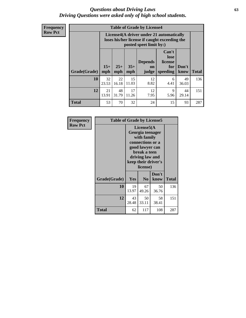#### *Questions about Driving Laws* **63** *Driving Questions were asked only of high school students.*

**Frequency Row Pct**

| <b>Table of Grade by License4</b> |              |                                                                                                                                      |             |            |           |             |     |  |
|-----------------------------------|--------------|--------------------------------------------------------------------------------------------------------------------------------------|-------------|------------|-----------|-------------|-----|--|
|                                   |              | License4(A driver under 21 automatically<br>loses his/her license if caught exceeding the<br>posted speet limit by:)                 |             |            |           |             |     |  |
| Grade(Grade)                      | $15+$<br>mph | Can't<br>lose<br><b>Depends</b><br>license<br>$25+$<br>$35+$<br>Don't<br>for<br><b>on</b><br>speeding<br>mph<br>know<br>mph<br>judge |             |            |           |             |     |  |
| 10                                | 32<br>23.53  | 22<br>16.18                                                                                                                          | 15<br>11.03 | 12<br>8.82 | 6<br>4.41 | 49<br>36.03 | 136 |  |
| 12                                | 21<br>13.91  | 48<br>31.79                                                                                                                          | 17<br>11.26 | 12<br>7.95 | 9<br>5.96 | 44<br>29.14 | 151 |  |
| <b>Total</b>                      | 53           | 70                                                                                                                                   | 32          | 24         | 15        | 93          | 287 |  |

| Frequency      | <b>Table of Grade by License5</b> |                                                                                                                                                             |                |               |              |  |
|----------------|-----------------------------------|-------------------------------------------------------------------------------------------------------------------------------------------------------------|----------------|---------------|--------------|--|
| <b>Row Pct</b> |                                   | License5(A)<br>Georgia teenager<br>with family<br>connections or a<br>good lawyer can<br>break a teen<br>driving law and<br>keep their driver's<br>license) |                |               |              |  |
|                | Grade(Grade)                      | Yes                                                                                                                                                         | N <sub>0</sub> | Don't<br>know | <b>Total</b> |  |
|                | 10                                | 19<br>13.97                                                                                                                                                 | 67<br>49.26    | 50<br>36.76   | 136          |  |
|                | 12                                | 43<br>28.48                                                                                                                                                 | 50<br>33.11    | 58<br>38.41   | 151          |  |
|                | Total                             | 62                                                                                                                                                          | 117            | 108           | 287          |  |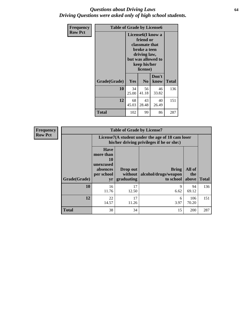#### *Questions about Driving Laws* **64** *Driving Questions were asked only of high school students.*

| <b>Frequency</b> | <b>Table of Grade by License6</b> |             |                                                                                                                           |                    |              |  |  |
|------------------|-----------------------------------|-------------|---------------------------------------------------------------------------------------------------------------------------|--------------------|--------------|--|--|
| <b>Row Pct</b>   |                                   |             | License <sub>6</sub> (I know a<br>friend or<br>classmate that<br>broke a teen<br>driving law,<br>keep his/her<br>license) | but was allowed to |              |  |  |
|                  | Grade(Grade)                      | <b>Yes</b>  | N <sub>0</sub>                                                                                                            | Don't<br>know      | <b>Total</b> |  |  |
|                  | 10                                | 34<br>25.00 | 56<br>41.18                                                                                                               | 46<br>33.82        | 136          |  |  |
|                  | 12                                | 68<br>45.03 | 43<br>28.48                                                                                                               | 40<br>26.49        | 151          |  |  |
|                  | <b>Total</b>                      | 102         | 99                                                                                                                        | 86                 | 287          |  |  |

| <b>Frequency</b> |              |                                                                             | <b>Table of Grade by License7</b>   |                                                                                               |                        |              |
|------------------|--------------|-----------------------------------------------------------------------------|-------------------------------------|-----------------------------------------------------------------------------------------------|------------------------|--------------|
| <b>Row Pct</b>   |              |                                                                             |                                     | License7(A student under the age of 18 cam loser<br>his/her driving privileges if he or she:) |                        |              |
|                  | Grade(Grade) | <b>Have</b><br>more than<br>10<br>unexcused<br>absences<br>per school<br>yr | Drop out<br>without  <br>graduating | <b>Bring</b><br>alcohol/drugs/weapon<br>to school                                             | All of<br>the<br>above | <b>Total</b> |
|                  | 10           | 16<br>11.76                                                                 | 17<br>12.50                         | 9<br>6.62                                                                                     | 94<br>69.12            | 136          |
|                  | 12           | 22<br>14.57                                                                 | 17<br>11.26                         | 6<br>3.97                                                                                     | 106<br>70.20           | 151          |
|                  | <b>Total</b> | 38                                                                          | 34                                  | 15                                                                                            | 200                    | 287          |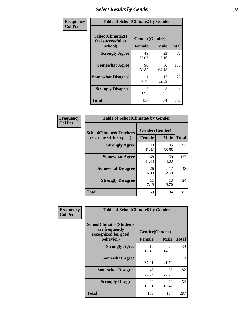# *Select Results by Gender* **65**

| Frequency      | <b>Table of SchoolClimate2 by Gender</b>          |                                 |             |              |  |
|----------------|---------------------------------------------------|---------------------------------|-------------|--------------|--|
| <b>Col Pct</b> | SchoolClimate2(I<br>feel successful at<br>school) | Gender(Gender)<br><b>Female</b> | <b>Male</b> | <b>Total</b> |  |
|                | <b>Strongly Agree</b>                             | 49<br>32.03                     | 23<br>17.16 | 72           |  |
|                | <b>Somewhat Agree</b>                             | 90<br>58.82                     | 86<br>64.18 | 176          |  |
|                | <b>Somewhat Disagree</b>                          | 11<br>7.19                      | 17<br>12.69 | 28           |  |
|                | <b>Strongly Disagree</b>                          | 3<br>1.96                       | 8<br>5.97   | 11           |  |
|                | <b>Total</b>                                      | 153                             | 134         | 287          |  |

| <b>Frequency</b> | <b>Table of SchoolClimate6 by Gender</b>                 |               |                               |              |  |
|------------------|----------------------------------------------------------|---------------|-------------------------------|--------------|--|
| <b>Col Pct</b>   | <b>SchoolClimate6(Teachers</b><br>treat me with respect) | <b>Female</b> | Gender(Gender)<br><b>Male</b> | <b>Total</b> |  |
|                  | <b>Strongly Agree</b>                                    | 48<br>31.37   | 45<br>33.58                   | 93           |  |
|                  | <b>Somewhat Agree</b>                                    | 68<br>44.44   | 59<br>44.03                   | 127          |  |
|                  | <b>Somewhat Disagree</b>                                 | 26<br>16.99   | 17<br>12.69                   | 43           |  |
|                  | <b>Strongly Disagree</b>                                 | 11<br>7.19    | 13<br>9.70                    | 24           |  |
|                  | <b>Total</b>                                             | 153           | 134                           | 287          |  |

| <b>Frequency</b> | <b>Table of SchoolClimate8 by Gender</b>                                             |               |                               |              |
|------------------|--------------------------------------------------------------------------------------|---------------|-------------------------------|--------------|
| <b>Col Pct</b>   | <b>SchoolClimate8(Students</b><br>are frequently<br>recognized for good<br>behavior) | <b>Female</b> | Gender(Gender)<br><b>Male</b> | <b>Total</b> |
|                  | <b>Strongly Agree</b>                                                                | 19<br>12.42   | 20<br>14.93                   | 39           |
|                  | <b>Somewhat Agree</b>                                                                | 58<br>37.91   | 56<br>41.79                   | 114          |
|                  | <b>Somewhat Disagree</b>                                                             | 46<br>30.07   | 36<br>26.87                   | 82           |
|                  | <b>Strongly Disagree</b>                                                             | 30<br>19.61   | 22<br>16.42                   | 52           |
|                  | Total                                                                                | 153           | 134                           | 287          |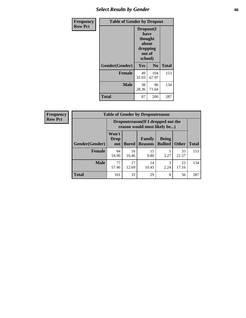# *Select Results by Gender* **66**

| Frequency      | <b>Table of Gender by Dropout</b> |                                                                        |                |              |
|----------------|-----------------------------------|------------------------------------------------------------------------|----------------|--------------|
| <b>Row Pct</b> |                                   | Dropout(I<br>have<br>thought<br>about<br>dropping<br>out of<br>school) |                |              |
|                | Gender(Gender)                    | Yes                                                                    | N <sub>0</sub> | <b>Total</b> |
|                | <b>Female</b>                     | 49<br>32.03                                                            | 104<br>67.97   | 153          |
|                | <b>Male</b>                       | 38<br>28.36                                                            | 96<br>71.64    | 134          |
|                | <b>Total</b>                      | 87                                                                     | 200            | 287          |

| <b>Frequency</b> | <b>Table of Gender by Dropoutreason</b> |                                                                    |              |                          |                                |              |              |
|------------------|-----------------------------------------|--------------------------------------------------------------------|--------------|--------------------------|--------------------------------|--------------|--------------|
| <b>Row Pct</b>   |                                         | Dropoutreason(If I dropped out the<br>reason would most likely be) |              |                          |                                |              |              |
|                  | Gender(Gender)                          | Won't<br><b>Drop</b><br>out                                        | <b>Bored</b> | Family<br><b>Reasons</b> | <b>Being</b><br><b>Bullied</b> | <b>Other</b> | <b>Total</b> |
|                  | Female                                  | 84<br>54.90                                                        | 16<br>10.46  | 15<br>9.80               | 3.27                           | 33<br>21.57  | 153          |
|                  | <b>Male</b>                             | 77<br>57.46                                                        | 17<br>12.69  | 14<br>10.45              | 3<br>2.24                      | 23<br>17.16  | 134          |
|                  | <b>Total</b>                            | 161                                                                | 33           | 29                       | 8                              | 56           | 287          |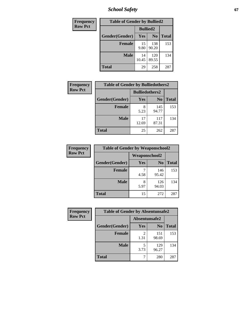*School Safety* **67**

| Frequency      | <b>Table of Gender by Bullied2</b> |                 |                |              |
|----------------|------------------------------------|-----------------|----------------|--------------|
| <b>Row Pct</b> |                                    | <b>Bullied2</b> |                |              |
|                | Gender(Gender)                     | Yes             | N <sub>0</sub> | <b>Total</b> |
|                | <b>Female</b>                      | 15<br>9.80      | 138<br>90.20   | 153          |
|                | <b>Male</b>                        | 14<br>10.45     | 120<br>89.55   | 134          |
|                | <b>Total</b>                       | 29              | 258            | 287          |

| Frequency      | <b>Table of Gender by Bulliedothers2</b> |                       |                |              |
|----------------|------------------------------------------|-----------------------|----------------|--------------|
| <b>Row Pct</b> |                                          | <b>Bulliedothers2</b> |                |              |
|                | Gender(Gender)                           | <b>Yes</b>            | N <sub>0</sub> | <b>Total</b> |
|                | <b>Female</b>                            | 8<br>5.23             | 145<br>94.77   | 153          |
|                | <b>Male</b>                              | 17<br>12.69           | 117<br>87.31   | 134          |
|                | <b>Total</b>                             | 25                    | 262            | 287          |

| Frequency      | <b>Table of Gender by Weaponschool2</b> |                      |                |              |
|----------------|-----------------------------------------|----------------------|----------------|--------------|
| <b>Row Pct</b> |                                         | <b>Weaponschool2</b> |                |              |
|                | Gender(Gender)                          | Yes                  | N <sub>0</sub> | <b>Total</b> |
|                | <b>Female</b>                           | 4.58                 | 146<br>95.42   | 153          |
|                | <b>Male</b>                             | 8<br>5.97            | 126<br>94.03   | 134          |
|                | <b>Total</b>                            | 15                   | 272            | 287          |

| Frequency      | <b>Table of Gender by Absentunsafe2</b> |               |                |              |
|----------------|-----------------------------------------|---------------|----------------|--------------|
| <b>Row Pct</b> |                                         | Absentunsafe2 |                |              |
|                | Gender(Gender)                          | Yes           | N <sub>0</sub> | <b>Total</b> |
|                | <b>Female</b>                           | 1.31          | 151<br>98.69   | 153          |
|                | <b>Male</b>                             | 3.73          | 129<br>96.27   | 134          |
|                | <b>Total</b>                            | ⇁             | 280            | 287          |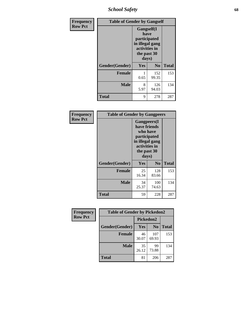*School Safety* **68**

| Frequency      | <b>Table of Gender by Gangself</b> |                                                                                                        |                |              |
|----------------|------------------------------------|--------------------------------------------------------------------------------------------------------|----------------|--------------|
| <b>Row Pct</b> |                                    | <b>Gangself</b> (I<br>have<br>participated<br>in illegal gang<br>activities in<br>the past 30<br>days) |                |              |
|                | Gender(Gender)                     | Yes                                                                                                    | N <sub>0</sub> | <b>Total</b> |
|                | <b>Female</b>                      | 0.65                                                                                                   | 152<br>99.35   | 153          |
|                | <b>Male</b>                        | 8<br>5.97                                                                                              | 126<br>94.03   | 134          |
|                | <b>Total</b>                       | 9                                                                                                      | 278            | 287          |

| Frequency      | <b>Table of Gender by Gangpeers</b> |                                                                                                                             |                |              |
|----------------|-------------------------------------|-----------------------------------------------------------------------------------------------------------------------------|----------------|--------------|
| <b>Row Pct</b> |                                     | <b>Gangpeers</b> (I<br>have friends<br>who have<br>participated<br>in illegal gang<br>activities in<br>the past 30<br>days) |                |              |
|                | Gender(Gender)                      | <b>Yes</b>                                                                                                                  | N <sub>0</sub> | <b>Total</b> |
|                | <b>Female</b>                       | 25<br>16.34                                                                                                                 | 128<br>83.66   | 153          |
|                | <b>Male</b>                         | 34<br>25.37                                                                                                                 | 100<br>74.63   | 134          |
|                | Total                               | 59                                                                                                                          | 228            | 287          |

| Frequency      | <b>Table of Gender by Pickedon2</b> |             |                |              |
|----------------|-------------------------------------|-------------|----------------|--------------|
| <b>Row Pct</b> |                                     | Pickedon2   |                |              |
|                | Gender(Gender)                      | Yes         | N <sub>0</sub> | <b>Total</b> |
|                | <b>Female</b>                       | 46<br>30.07 | 107<br>69.93   | 153          |
|                | <b>Male</b>                         | 35<br>26.12 | 99<br>73.88    | 134          |
|                | <b>Total</b>                        | 81          | 206            | 287          |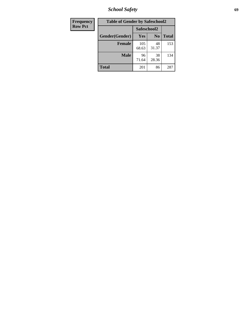*School Safety* **69**

| Frequency      | <b>Table of Gender by Safeschool2</b> |              |                |              |  |
|----------------|---------------------------------------|--------------|----------------|--------------|--|
| <b>Row Pct</b> | Safeschool2                           |              |                |              |  |
|                | Gender(Gender)                        | <b>Yes</b>   | N <sub>0</sub> | <b>Total</b> |  |
|                | <b>Female</b>                         | 105<br>68.63 | 48<br>31.37    | 153          |  |
|                | <b>Male</b>                           | 96<br>71.64  | 38<br>28.36    | 134          |  |
|                | <b>Total</b>                          | 201          | 86             | 287          |  |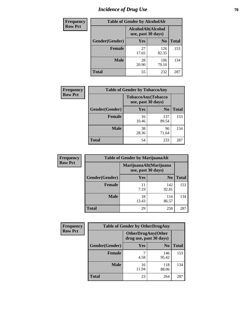# *Incidence of Drug Use* **70**

| <b>Frequency</b> | <b>Table of Gender by AlcoholAlt</b> |                                          |                |              |
|------------------|--------------------------------------|------------------------------------------|----------------|--------------|
| <b>Row Pct</b>   |                                      | AlcoholAlt(Alcohol<br>use, past 30 days) |                |              |
|                  | Gender(Gender)                       | Yes                                      | N <sub>0</sub> | <b>Total</b> |
|                  | <b>Female</b>                        | 27<br>17.65                              | 126<br>82.35   | 153          |
|                  | <b>Male</b>                          | 28<br>20.90                              | 106<br>79.10   | 134          |
|                  | <b>Total</b>                         | 55                                       | 232            | 287          |

| <b>Frequency</b> | <b>Table of Gender by TobaccoAny</b> |                    |                    |              |  |
|------------------|--------------------------------------|--------------------|--------------------|--------------|--|
| <b>Row Pct</b>   |                                      | use, past 30 days) | TobaccoAny(Tobacco |              |  |
|                  | Gender(Gender)                       | Yes                | N <sub>0</sub>     | <b>Total</b> |  |
|                  | <b>Female</b>                        | 16<br>10.46        | 137<br>89.54       | 153          |  |
|                  | <b>Male</b>                          | 38<br>28.36        | 96<br>71.64        | 134          |  |
|                  | <b>Total</b>                         | 54                 | 233                | 287          |  |

| <b>Frequency</b> | <b>Table of Gender by MarijuanaAlt</b> |             |                                              |       |
|------------------|----------------------------------------|-------------|----------------------------------------------|-------|
| <b>Row Pct</b>   |                                        |             | MarijuanaAlt(Marijuana<br>use, past 30 days) |       |
|                  | Gender(Gender)                         | <b>Yes</b>  | N <sub>0</sub>                               | Total |
|                  | <b>Female</b>                          | 11<br>7.19  | 142<br>92.81                                 | 153   |
|                  | <b>Male</b>                            | 18<br>13.43 | 116<br>86.57                                 | 134   |
|                  | <b>Total</b>                           | 29          | 258                                          | 287   |

| <b>Frequency</b> | <b>Table of Gender by OtherDrugAny</b> |                                                      |                |              |  |
|------------------|----------------------------------------|------------------------------------------------------|----------------|--------------|--|
| <b>Row Pct</b>   |                                        | <b>OtherDrugAny(Other</b><br>drug use, past 30 days) |                |              |  |
|                  | Gender(Gender)                         | <b>Yes</b>                                           | N <sub>0</sub> | <b>Total</b> |  |
|                  | <b>Female</b>                          | 4.58                                                 | 146<br>95.42   | 153          |  |
|                  | <b>Male</b>                            | 16<br>11.94                                          | 118<br>88.06   | 134          |  |
|                  | <b>Total</b>                           | 23                                                   | 264            | 287          |  |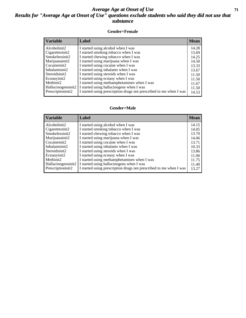#### *Average Age at Onset of Use* **71** *Results for "Average Age at Onset of Use" questions exclude students who said they did not use that substance*

#### **Gender=Female**

| <b>Variable</b>                 | Label                                                              | <b>Mean</b> |
|---------------------------------|--------------------------------------------------------------------|-------------|
| Alcoholinit2                    | I started using alcohol when I was                                 | 14.28       |
| Cigarettesinit2                 | I started smoking tobacco when I was                               | 13.69       |
| Smokelessinit2                  | I started chewing tobacco when I was                               | 14.25       |
| Marijuanainit2                  | I started using marijuana when I was                               | 14.50       |
| Cocaineinit2                    | I started using cocaine when I was                                 | 13.33       |
| Inhalantsinit2                  | I started using inhalants when I was                               | 13.67       |
| Steroidsinit2                   | I started using steroids when I was                                | 11.50       |
| Ecstasyinit2                    | I started using ecstasy when I was                                 | 11.50       |
| Methinit2                       | I started using methamphetamines when I was                        | 11.67       |
| Hallucinogensinit2              | I started using hallucinogens when I was                           | 11.50       |
| Prescription in it <sub>2</sub> | I started using prescription drugs not prescribed to me when I was | 14.53       |

#### **Gender=Male**

| <b>Variable</b>    | Label                                                              | <b>Mean</b> |
|--------------------|--------------------------------------------------------------------|-------------|
| Alcoholinit2       | I started using alcohol when I was                                 | 14.15       |
| Cigarettesinit2    | I started smoking tobacco when I was                               | 14.05       |
| Smokelessinit2     | I started chewing tobacco when I was                               | 13.70       |
| Marijuanainit2     | I started using marijuana when I was                               | 14.06       |
| Cocaineinit2       | I started using cocaine when I was                                 | 13.71       |
| Inhalantsinit2     | I started using inhalants when I was                               | 10.33       |
| Steroidsinit2      | I started using steroids when I was                                | 13.86       |
| Ecstasyinit2       | I started using ecstasy when I was                                 | 11.00       |
| Methinit2          | I started using methamphetamines when I was                        | 11.75       |
| Hallucinogensinit2 | I started using hallucinogens when I was                           | 11.40       |
| Prescriptioninit2  | I started using prescription drugs not prescribed to me when I was | 13.27       |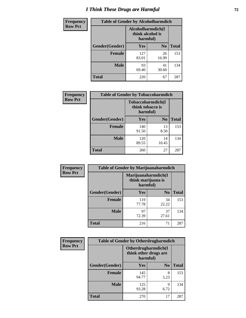# *I Think These Drugs are Harmful* **72**

| <b>Frequency</b> | <b>Table of Gender by Alcoholharmdich</b> |                                                   |                |              |  |
|------------------|-------------------------------------------|---------------------------------------------------|----------------|--------------|--|
| <b>Row Pct</b>   |                                           | Alcoholharmdich(I<br>think alcohol is<br>harmful) |                |              |  |
|                  | Gender(Gender)                            | <b>Yes</b>                                        | N <sub>0</sub> | <b>Total</b> |  |
|                  | <b>Female</b>                             | 127<br>83.01                                      | 26<br>16.99    | 153          |  |
|                  | <b>Male</b>                               | 93<br>69.40                                       | 41<br>30.60    | 134          |  |
|                  | <b>Total</b>                              | 220                                               | 67             | 287          |  |

| Frequency      | <b>Table of Gender by Tobaccoharmdich</b> |                                                   |                |              |  |
|----------------|-------------------------------------------|---------------------------------------------------|----------------|--------------|--|
| <b>Row Pct</b> |                                           | Tobaccoharmdich(I<br>think tobacco is<br>harmful) |                |              |  |
|                | Gender(Gender)                            | Yes                                               | N <sub>0</sub> | <b>Total</b> |  |
|                | <b>Female</b>                             | 140<br>91.50                                      | 13<br>8.50     | 153          |  |
|                | <b>Male</b>                               | 120<br>89.55                                      | 14<br>10.45    | 134          |  |
|                | <b>Total</b>                              | 260                                               | 27             | 287          |  |

| Frequency      | <b>Table of Gender by Marijuanaharmdich</b> |                                                       |                |              |  |
|----------------|---------------------------------------------|-------------------------------------------------------|----------------|--------------|--|
| <b>Row Pct</b> |                                             | Marijuanaharmdich(I<br>think marijuana is<br>harmful) |                |              |  |
|                | Gender(Gender)                              | <b>Yes</b>                                            | N <sub>0</sub> | <b>Total</b> |  |
|                | <b>Female</b>                               | 119<br>77.78                                          | 34<br>22.22    | 153          |  |
|                | <b>Male</b>                                 | 97<br>72.39                                           | 37<br>27.61    | 134          |  |
|                | <b>Total</b>                                | 216                                                   | 71             | 287          |  |

| Frequency      | <b>Table of Gender by Otherdrugharmdich</b> |                                                          |                |              |  |
|----------------|---------------------------------------------|----------------------------------------------------------|----------------|--------------|--|
| <b>Row Pct</b> |                                             | Otherdrugharmdich(I<br>think other drugs are<br>harmful) |                |              |  |
|                | Gender(Gender)                              | <b>Yes</b>                                               | N <sub>0</sub> | <b>Total</b> |  |
|                | <b>Female</b>                               | 145<br>94.77                                             | 8<br>5.23      | 153          |  |
|                | <b>Male</b>                                 | 125<br>93.28                                             | 9<br>6.72      | 134          |  |
|                | <b>Total</b>                                | 270                                                      | 17             | 287          |  |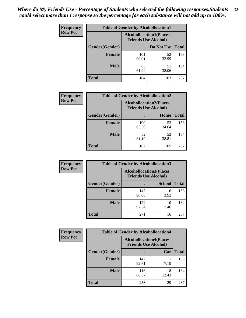| <b>Frequency</b> | <b>Table of Gender by Alcohollocation1</b> |                                                               |             |              |
|------------------|--------------------------------------------|---------------------------------------------------------------|-------------|--------------|
| <b>Row Pct</b>   |                                            | <b>Alcohollocation1(Places</b><br><b>Friends Use Alcohol)</b> |             |              |
|                  | Gender(Gender)                             |                                                               | Do Not Use  | <b>Total</b> |
|                  | <b>Female</b>                              | 101<br>66.01                                                  | 52<br>33.99 | 153          |
|                  | <b>Male</b>                                | 83<br>61.94                                                   | 51<br>38.06 | 134          |
|                  | <b>Total</b>                               | 184                                                           | 103         | 287          |

| <b>Frequency</b> | <b>Table of Gender by Alcohollocation2</b> |              |                                                               |              |
|------------------|--------------------------------------------|--------------|---------------------------------------------------------------|--------------|
| <b>Row Pct</b>   |                                            |              | <b>Alcohollocation2(Places</b><br><b>Friends Use Alcohol)</b> |              |
|                  | Gender(Gender)                             |              | Home                                                          | <b>Total</b> |
|                  | <b>Female</b>                              | 100<br>65.36 | 53<br>34.64                                                   | 153          |
|                  | <b>Male</b>                                | 82<br>61.19  | 52<br>38.81                                                   | 134          |
|                  | <b>Total</b>                               | 182          | 105                                                           | 287          |

| Frequency      | <b>Table of Gender by Alcohollocation3</b> |              |                                                               |              |
|----------------|--------------------------------------------|--------------|---------------------------------------------------------------|--------------|
| <b>Row Pct</b> |                                            |              | <b>Alcohollocation3(Places</b><br><b>Friends Use Alcohol)</b> |              |
|                | Gender(Gender)                             |              | <b>School</b>                                                 | <b>Total</b> |
|                | <b>Female</b>                              | 147<br>96.08 | 6<br>3.92                                                     | 153          |
|                | <b>Male</b>                                | 124<br>92.54 | 10<br>7.46                                                    | 134          |
|                | <b>Total</b>                               | 271          | 16                                                            | 287          |

| Frequency      | <b>Table of Gender by Alcohollocation4</b> |                                                               |             |              |
|----------------|--------------------------------------------|---------------------------------------------------------------|-------------|--------------|
| <b>Row Pct</b> |                                            | <b>Alcohollocation4(Places</b><br><b>Friends Use Alcohol)</b> |             |              |
|                | <b>Gender</b> (Gender)                     |                                                               | Car         | <b>Total</b> |
|                | <b>Female</b>                              | 142<br>92.81                                                  | 11<br>7.19  | 153          |
|                | <b>Male</b>                                | 116<br>86.57                                                  | 18<br>13.43 | 134          |
|                | <b>Total</b>                               | 258                                                           | 29          | 287          |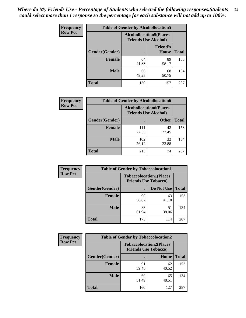| <b>Frequency</b> |                | <b>Table of Gender by Alcohollocation5</b>                     |                                 |              |
|------------------|----------------|----------------------------------------------------------------|---------------------------------|--------------|
| <b>Row Pct</b>   |                | <b>Alcohollocation5</b> (Places<br><b>Friends Use Alcohol)</b> |                                 |              |
|                  | Gender(Gender) | $\bullet$                                                      | <b>Friend's</b><br><b>House</b> | <b>Total</b> |
|                  | <b>Female</b>  | 64<br>41.83                                                    | 89<br>58.17                     | 153          |
|                  | <b>Male</b>    | 66<br>49.25                                                    | 68<br>50.75                     | 134          |
|                  | <b>Total</b>   | 130                                                            | 157                             | 287          |

| Frequency      | <b>Table of Gender by Alcohollocation6</b> |                                                               |              |              |
|----------------|--------------------------------------------|---------------------------------------------------------------|--------------|--------------|
| <b>Row Pct</b> |                                            | <b>Alcohollocation6(Places</b><br><b>Friends Use Alcohol)</b> |              |              |
|                | <b>Gender</b> (Gender)                     |                                                               | <b>Other</b> | <b>Total</b> |
|                | <b>Female</b>                              | 111<br>72.55                                                  | 42<br>27.45  | 153          |
|                | <b>Male</b>                                | 102<br>76.12                                                  | 32<br>23.88  | 134          |
|                | <b>Total</b>                               | 213                                                           | 74           | 287          |

| Frequency      | <b>Table of Gender by Tobaccolocation1</b> |                                                               |             |              |  |
|----------------|--------------------------------------------|---------------------------------------------------------------|-------------|--------------|--|
| <b>Row Pct</b> |                                            | <b>Tobaccolocation1(Places</b><br><b>Friends Use Tobacco)</b> |             |              |  |
|                | Gender(Gender)                             |                                                               | Do Not Use  | <b>Total</b> |  |
|                | <b>Female</b>                              | 90<br>58.82                                                   | 63<br>41.18 | 153          |  |
|                | <b>Male</b>                                | 83<br>61.94                                                   | 51<br>38.06 | 134          |  |
|                | <b>Total</b>                               | 173                                                           | 114         | 287          |  |

| <b>Frequency</b> | <b>Table of Gender by Tobaccolocation2</b> |                             |                                |              |
|------------------|--------------------------------------------|-----------------------------|--------------------------------|--------------|
| <b>Row Pct</b>   |                                            | <b>Friends Use Tobacco)</b> | <b>Tobaccolocation2(Places</b> |              |
|                  | Gender(Gender)                             |                             | Home                           | <b>Total</b> |
|                  | Female                                     | 91<br>59.48                 | 62<br>40.52                    | 153          |
|                  | <b>Male</b>                                | 69<br>51.49                 | 65<br>48.51                    | 134          |
|                  | <b>Total</b>                               | 160                         | 127                            | 287          |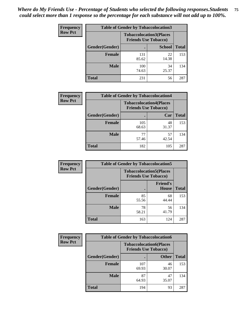| <b>Frequency</b> | <b>Table of Gender by Tobaccolocation3</b> |              |                                                               |              |
|------------------|--------------------------------------------|--------------|---------------------------------------------------------------|--------------|
| <b>Row Pct</b>   |                                            |              | <b>Tobaccolocation3(Places</b><br><b>Friends Use Tobacco)</b> |              |
|                  | Gender(Gender)                             |              | <b>School</b>                                                 | <b>Total</b> |
|                  | Female                                     | 131<br>85.62 | 22<br>14.38                                                   | 153          |
|                  | <b>Male</b>                                | 100<br>74.63 | 34<br>25.37                                                   | 134          |
|                  | <b>Total</b>                               | 231          | 56                                                            | 287          |

| <b>Frequency</b> | <b>Table of Gender by Tobaccolocation4</b> |                             |                                |              |
|------------------|--------------------------------------------|-----------------------------|--------------------------------|--------------|
| <b>Row Pct</b>   |                                            | <b>Friends Use Tobacco)</b> | <b>Tobaccolocation4(Places</b> |              |
|                  | Gender(Gender)                             |                             | Car                            | <b>Total</b> |
|                  | <b>Female</b>                              | 105<br>68.63                | 48<br>31.37                    | 153          |
|                  | <b>Male</b>                                | 57.46                       | 57<br>42.54                    | 134          |
|                  | <b>Total</b>                               | 182                         | 105                            | 287          |

| <b>Frequency</b> | <b>Table of Gender by Tobaccolocation5</b> |                                                               |                                 |              |
|------------------|--------------------------------------------|---------------------------------------------------------------|---------------------------------|--------------|
| <b>Row Pct</b>   |                                            | <b>Tobaccolocation5(Places</b><br><b>Friends Use Tobacco)</b> |                                 |              |
|                  | <b>Gender</b> (Gender)                     |                                                               | <b>Friend's</b><br><b>House</b> | <b>Total</b> |
|                  | <b>Female</b>                              | 85<br>55.56                                                   | 68<br>44.44                     | 153          |
|                  | <b>Male</b>                                | 78<br>58.21                                                   | 56<br>41.79                     | 134          |
|                  | <b>Total</b>                               | 163                                                           | 124                             | 287          |

| <b>Frequency</b> | <b>Table of Gender by Tobaccolocation6</b> |                                                               |              |              |
|------------------|--------------------------------------------|---------------------------------------------------------------|--------------|--------------|
| <b>Row Pct</b>   |                                            | <b>Tobaccolocation6(Places</b><br><b>Friends Use Tobacco)</b> |              |              |
|                  | Gender(Gender)                             |                                                               | <b>Other</b> | <b>Total</b> |
|                  | Female                                     | 107<br>69.93                                                  | 46<br>30.07  | 153          |
|                  | <b>Male</b>                                | 87<br>64.93                                                   | 47<br>35.07  | 134          |
|                  | <b>Total</b>                               | 194                                                           | 93           | 287          |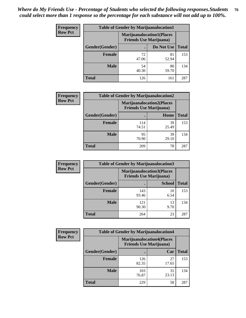| <b>Frequency</b> | <b>Table of Gender by Marijuanalocation1</b> |                                                                    |             |              |
|------------------|----------------------------------------------|--------------------------------------------------------------------|-------------|--------------|
| <b>Row Pct</b>   |                                              | <b>Marijuanalocation1(Places</b><br><b>Friends Use Marijuana</b> ) |             |              |
|                  | Gender(Gender)                               |                                                                    | Do Not Use  | <b>Total</b> |
|                  | <b>Female</b>                                | 72<br>47.06                                                        | 81<br>52.94 | 153          |
|                  | <b>Male</b>                                  | 54<br>40.30                                                        | 80<br>59.70 | 134          |
|                  | <b>Total</b>                                 | 126                                                                | 161         | 287          |

| <b>Frequency</b> | <b>Table of Gender by Marijuanalocation2</b> |                                                                    |             |              |  |
|------------------|----------------------------------------------|--------------------------------------------------------------------|-------------|--------------|--|
| <b>Row Pct</b>   |                                              | <b>Marijuanalocation2(Places</b><br><b>Friends Use Marijuana</b> ) |             |              |  |
|                  | Gender(Gender)                               |                                                                    | Home        | <b>Total</b> |  |
|                  | <b>Female</b>                                | 114<br>74.51                                                       | 39<br>25.49 | 153          |  |
|                  | <b>Male</b>                                  | 95<br>70.90                                                        | 39<br>29.10 | 134          |  |
|                  | <b>Total</b>                                 | 209                                                                | 78          | 287          |  |

| Frequency      | <b>Table of Gender by Marijuanalocation3</b> |              |                                                                     |              |  |
|----------------|----------------------------------------------|--------------|---------------------------------------------------------------------|--------------|--|
| <b>Row Pct</b> |                                              |              | <b>Marijuanalocation3(Places)</b><br><b>Friends Use Marijuana</b> ) |              |  |
|                | Gender(Gender)                               |              | <b>School</b>                                                       | <b>Total</b> |  |
|                | Female                                       | 143<br>93.46 | 10<br>6.54                                                          | 153          |  |
|                | <b>Male</b>                                  | 121<br>90.30 | 13<br>9.70                                                          | 134          |  |
|                | <b>Total</b>                                 | 264          | 23                                                                  | 287          |  |

| <b>Frequency</b> | <b>Table of Gender by Marijuanalocation4</b> |                                |                                  |              |
|------------------|----------------------------------------------|--------------------------------|----------------------------------|--------------|
| <b>Row Pct</b>   |                                              | <b>Friends Use Marijuana</b> ) | <b>Marijuanalocation4(Places</b> |              |
|                  | Gender(Gender)                               |                                | Car                              | <b>Total</b> |
|                  | <b>Female</b>                                | 126<br>82.35                   | 27<br>17.65                      | 153          |
|                  | <b>Male</b>                                  | 103<br>76.87                   | 31<br>23.13                      | 134          |
|                  | <b>Total</b>                                 | 229                            | 58                               | 287          |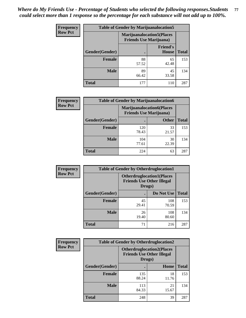| <b>Frequency</b> | <b>Table of Gender by Marijuanalocation5</b> |                                                                     |                                 |              |
|------------------|----------------------------------------------|---------------------------------------------------------------------|---------------------------------|--------------|
| <b>Row Pct</b>   |                                              | <b>Marijuanalocation5</b> (Places<br><b>Friends Use Marijuana</b> ) |                                 |              |
|                  | Gender(Gender)                               |                                                                     | <b>Friend's</b><br><b>House</b> | <b>Total</b> |
|                  | <b>Female</b>                                | 88<br>57.52                                                         | 65<br>42.48                     | 153          |
|                  | <b>Male</b>                                  | 89<br>66.42                                                         | 45<br>33.58                     | 134          |
|                  | <b>Total</b>                                 | 177                                                                 | 110                             | 287          |

| <b>Frequency</b> | <b>Table of Gender by Marijuanalocation6</b> |                                                                    |              |              |
|------------------|----------------------------------------------|--------------------------------------------------------------------|--------------|--------------|
| <b>Row Pct</b>   |                                              | <b>Marijuanalocation6(Places</b><br><b>Friends Use Marijuana</b> ) |              |              |
|                  | Gender(Gender)                               |                                                                    | <b>Other</b> | <b>Total</b> |
|                  | <b>Female</b>                                | 120<br>78.43                                                       | 33<br>21.57  | 153          |
|                  | <b>Male</b>                                  | 104<br>77.61                                                       | 30<br>22.39  | 134          |
|                  | <b>Total</b>                                 | 224                                                                | 63           | 287          |

| Frequency      | <b>Table of Gender by Otherdruglocation1</b> |                                            |                                  |              |
|----------------|----------------------------------------------|--------------------------------------------|----------------------------------|--------------|
| <b>Row Pct</b> |                                              | <b>Friends Use Other Illegal</b><br>Drugs) | <b>Otherdruglocation1(Places</b> |              |
|                | Gender(Gender)                               |                                            | Do Not Use                       | <b>Total</b> |
|                | Female                                       | 45<br>29.41                                | 108<br>70.59                     | 153          |
|                | <b>Male</b>                                  | 26<br>19.40                                | 108<br>80.60                     | 134          |
|                | <b>Total</b>                                 | 71                                         | 216                              | 287          |

| <b>Frequency</b> | <b>Table of Gender by Otherdruglocation2</b>                                   |              |             |              |
|------------------|--------------------------------------------------------------------------------|--------------|-------------|--------------|
| <b>Row Pct</b>   | <b>Otherdruglocation2(Places</b><br><b>Friends Use Other Illegal</b><br>Drugs) |              |             |              |
|                  | Gender(Gender)                                                                 |              | Home        | <b>Total</b> |
|                  | <b>Female</b>                                                                  | 135<br>88.24 | 18<br>11.76 | 153          |
|                  | <b>Male</b>                                                                    | 113<br>84.33 | 21<br>15.67 | 134          |
|                  | <b>Total</b>                                                                   | 248          | 39          | 287          |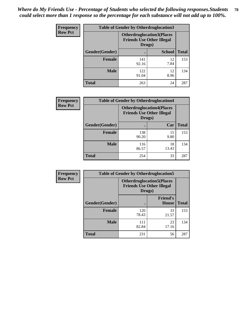| <b>Frequency</b> | <b>Table of Gender by Otherdruglocation3</b> |                                                                                |               |              |
|------------------|----------------------------------------------|--------------------------------------------------------------------------------|---------------|--------------|
| <b>Row Pct</b>   |                                              | <b>Otherdruglocation3(Places</b><br><b>Friends Use Other Illegal</b><br>Drugs) |               |              |
|                  | Gender(Gender)                               |                                                                                | <b>School</b> | <b>Total</b> |
|                  | <b>Female</b>                                | 141<br>92.16                                                                   | 12<br>7.84    | 153          |
|                  | <b>Male</b>                                  | 122<br>91.04                                                                   | 12<br>8.96    | 134          |
|                  | <b>Total</b>                                 | 263                                                                            | 24            | 287          |

| Frequency      | <b>Table of Gender by Otherdruglocation4</b> |                                                                                |             |              |
|----------------|----------------------------------------------|--------------------------------------------------------------------------------|-------------|--------------|
| <b>Row Pct</b> |                                              | <b>Otherdruglocation4(Places</b><br><b>Friends Use Other Illegal</b><br>Drugs) |             |              |
|                | Gender(Gender)                               |                                                                                | Car         | <b>Total</b> |
|                | <b>Female</b>                                | 138<br>90.20                                                                   | 15<br>9.80  | 153          |
|                | <b>Male</b>                                  | 116<br>86.57                                                                   | 18<br>13.43 | 134          |
|                | <b>Total</b>                                 | 254                                                                            | 33          | 287          |

| <b>Frequency</b> | <b>Table of Gender by Otherdruglocation5</b> |                                                                                |                                 |              |
|------------------|----------------------------------------------|--------------------------------------------------------------------------------|---------------------------------|--------------|
| <b>Row Pct</b>   |                                              | <b>Otherdruglocation5(Places</b><br><b>Friends Use Other Illegal</b><br>Drugs) |                                 |              |
|                  | Gender(Gender)                               |                                                                                | <b>Friend's</b><br><b>House</b> | <b>Total</b> |
|                  | <b>Female</b>                                | 120<br>78.43                                                                   | 33<br>21.57                     | 153          |
|                  | <b>Male</b>                                  | 111<br>82.84                                                                   | 23<br>17.16                     | 134          |
|                  | <b>Total</b>                                 | 231                                                                            | 56                              | 287          |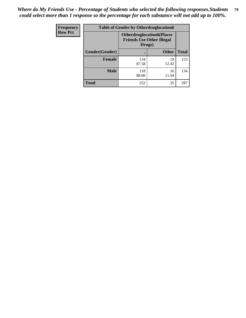| Frequency      | <b>Table of Gender by Otherdruglocation6</b> |                                                                                |              |              |
|----------------|----------------------------------------------|--------------------------------------------------------------------------------|--------------|--------------|
| <b>Row Pct</b> |                                              | <b>Otherdruglocation6(Places</b><br><b>Friends Use Other Illegal</b><br>Drugs) |              |              |
|                | Gender(Gender)                               |                                                                                | <b>Other</b> | <b>Total</b> |
|                | Female                                       | 134<br>87.58                                                                   | 19<br>12.42  | 153          |
|                | <b>Male</b>                                  | 118<br>88.06                                                                   | 16<br>11.94  | 134          |
|                | <b>Total</b>                                 | 252                                                                            | 35           | 287          |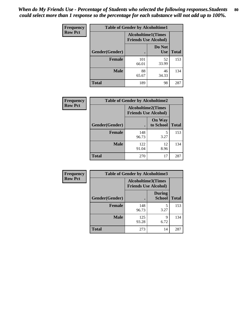| <b>Frequency</b> | <b>Table of Gender by Alcoholtime1</b> |                                                          |                      |              |
|------------------|----------------------------------------|----------------------------------------------------------|----------------------|--------------|
| <b>Row Pct</b>   |                                        | <b>Alcoholtime1(Times</b><br><b>Friends Use Alcohol)</b> |                      |              |
|                  | Gender(Gender)                         |                                                          | Do Not<br><b>Use</b> | <b>Total</b> |
|                  | <b>Female</b>                          | 101<br>66.01                                             | 52<br>33.99          | 153          |
|                  | <b>Male</b>                            | 88<br>65.67                                              | 46<br>34.33          | 134          |
|                  | <b>Total</b>                           | 189                                                      | 98                   | 287          |

| Frequency      | <b>Table of Gender by Alcoholtime2</b> |                                                          |                            |              |
|----------------|----------------------------------------|----------------------------------------------------------|----------------------------|--------------|
| <b>Row Pct</b> |                                        | <b>Alcoholtime2(Times</b><br><b>Friends Use Alcohol)</b> |                            |              |
|                | Gender(Gender)                         |                                                          | <b>On Way</b><br>to School | <b>Total</b> |
|                | <b>Female</b>                          | 148<br>96.73                                             | 5<br>3.27                  | 153          |
|                | <b>Male</b>                            | 122<br>91.04                                             | 12<br>8.96                 | 134          |
|                | <b>Total</b>                           | 270                                                      | 17                         | 287          |

| Frequency      | <b>Table of Gender by Alcoholtime3</b> |                                                          |                                |              |
|----------------|----------------------------------------|----------------------------------------------------------|--------------------------------|--------------|
| <b>Row Pct</b> |                                        | <b>Alcoholtime3(Times</b><br><b>Friends Use Alcohol)</b> |                                |              |
|                | Gender(Gender)                         |                                                          | <b>During</b><br><b>School</b> | <b>Total</b> |
|                | Female                                 | 148<br>96.73                                             | 5<br>3.27                      | 153          |
|                | <b>Male</b>                            | 125<br>93.28                                             | 9<br>6.72                      | 134          |
|                | <b>Total</b>                           | 273                                                      | 14                             | 287          |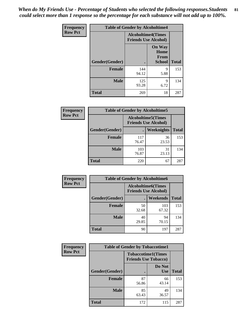*When do My Friends Use - Percentage of Students who selected the following responses.Students could select more than 1 response so the percentage for each substance will not add up to 100%.* **81**

| <b>Frequency</b> | <b>Table of Gender by Alcoholtime4</b> |                                                          |                                                |              |
|------------------|----------------------------------------|----------------------------------------------------------|------------------------------------------------|--------------|
| <b>Row Pct</b>   |                                        | <b>Alcoholtime4(Times</b><br><b>Friends Use Alcohol)</b> |                                                |              |
|                  | Gender(Gender)                         |                                                          | <b>On Way</b><br>Home<br>From<br><b>School</b> | <b>Total</b> |
|                  | <b>Female</b>                          | 144<br>94.12                                             | 9<br>5.88                                      | 153          |
|                  | <b>Male</b>                            | 125<br>93.28                                             | 9<br>6.72                                      | 134          |
|                  | <b>Total</b>                           | 269                                                      | 18                                             | 287          |

| <b>Frequency</b> | <b>Table of Gender by Alcoholtime5</b> |                                                           |             |              |
|------------------|----------------------------------------|-----------------------------------------------------------|-------------|--------------|
| <b>Row Pct</b>   |                                        | <b>Alcoholtime5</b> (Times<br><b>Friends Use Alcohol)</b> |             |              |
|                  | Gender(Gender)                         |                                                           | Weeknights  | <b>Total</b> |
|                  | <b>Female</b>                          | 117<br>76.47                                              | 36<br>23.53 | 153          |
|                  | <b>Male</b>                            | 103<br>76.87                                              | 31<br>23.13 | 134          |
|                  | <b>Total</b>                           | 220                                                       | 67          | 287          |

| <b>Frequency</b> | <b>Table of Gender by Alcoholtime6</b> |             |                                                           |              |
|------------------|----------------------------------------|-------------|-----------------------------------------------------------|--------------|
| <b>Row Pct</b>   |                                        |             | <b>Alcoholtime6</b> (Times<br><b>Friends Use Alcohol)</b> |              |
|                  | Gender(Gender)                         |             | <b>Weekends</b>                                           | <b>Total</b> |
|                  | Female                                 | 50<br>32.68 | 103<br>67.32                                              | 153          |
|                  | <b>Male</b>                            | 40<br>29.85 | 94<br>70.15                                               | 134          |
|                  | Total                                  | 90          | 197                                                       | 287          |

| Frequency      | <b>Table of Gender by Tobaccotime1</b> |                                                          |                      |              |
|----------------|----------------------------------------|----------------------------------------------------------|----------------------|--------------|
| <b>Row Pct</b> |                                        | <b>Tobaccotime1(Times</b><br><b>Friends Use Tobacco)</b> |                      |              |
|                | Gender(Gender)                         |                                                          | Do Not<br><b>Use</b> | <b>Total</b> |
|                | <b>Female</b>                          | 87<br>56.86                                              | 66<br>43.14          | 153          |
|                | <b>Male</b>                            | 85<br>63.43                                              | 49<br>36.57          | 134          |
|                | <b>Total</b>                           | 172                                                      | 115                  | 287          |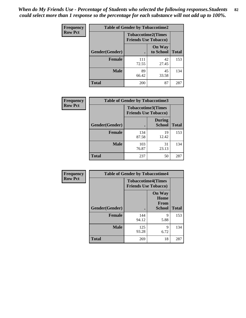| <b>Frequency</b> | <b>Table of Gender by Tobaccotime2</b> |                                                          |                            |              |
|------------------|----------------------------------------|----------------------------------------------------------|----------------------------|--------------|
| <b>Row Pct</b>   |                                        | <b>Tobaccotime2(Times</b><br><b>Friends Use Tobacco)</b> |                            |              |
|                  | Gender(Gender)                         |                                                          | <b>On Way</b><br>to School | <b>Total</b> |
|                  | <b>Female</b>                          | 111<br>72.55                                             | 42<br>27.45                | 153          |
|                  | <b>Male</b>                            | 89<br>66.42                                              | 45<br>33.58                | 134          |
|                  | <b>Total</b>                           | 200                                                      | 87                         | 287          |

| <b>Frequency</b> | <b>Table of Gender by Tobaccotime3</b> |                             |                                |              |
|------------------|----------------------------------------|-----------------------------|--------------------------------|--------------|
| <b>Row Pct</b>   |                                        | <b>Friends Use Tobacco)</b> | <b>Tobaccotime3(Times</b>      |              |
|                  | Gender(Gender)                         |                             | <b>During</b><br><b>School</b> | <b>Total</b> |
|                  | <b>Female</b>                          | 134<br>87.58                | 19<br>12.42                    | 153          |
|                  | <b>Male</b>                            | 103<br>76.87                | 31<br>23.13                    | 134          |
|                  | <b>Total</b>                           | 237                         | 50                             | 287          |

| <b>Frequency</b> | <b>Table of Gender by Tobaccotime4</b> |                                                          |                                                       |              |
|------------------|----------------------------------------|----------------------------------------------------------|-------------------------------------------------------|--------------|
| <b>Row Pct</b>   |                                        | <b>Tobaccotime4(Times</b><br><b>Friends Use Tobacco)</b> |                                                       |              |
|                  | Gender(Gender)                         |                                                          | <b>On Way</b><br>Home<br><b>From</b><br><b>School</b> | <b>Total</b> |
|                  | <b>Female</b>                          | 144<br>94.12                                             | 9<br>5.88                                             | 153          |
|                  | <b>Male</b>                            | 125<br>93.28                                             | 9<br>6.72                                             | 134          |
|                  | <b>Total</b>                           | 269                                                      | 18                                                    | 287          |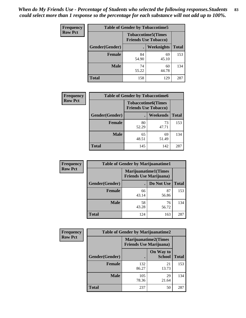| <b>Frequency</b> | <b>Table of Gender by Tobaccotime5</b> |             |                                                           |              |
|------------------|----------------------------------------|-------------|-----------------------------------------------------------|--------------|
| <b>Row Pct</b>   |                                        |             | <b>Tobaccotime5</b> (Times<br><b>Friends Use Tobacco)</b> |              |
|                  | Gender(Gender)                         |             | Weeknights                                                | <b>Total</b> |
|                  | <b>Female</b>                          | 84<br>54.90 | 69<br>45.10                                               | 153          |
|                  | <b>Male</b>                            | 74<br>55.22 | 60<br>44.78                                               | 134          |
|                  | <b>Total</b>                           | 158         | 129                                                       | 287          |

| <b>Frequency</b> | <b>Table of Gender by Tobaccotime6</b> |                                                          |             |              |
|------------------|----------------------------------------|----------------------------------------------------------|-------------|--------------|
| <b>Row Pct</b>   |                                        | <b>Tobaccotime6(Times</b><br><b>Friends Use Tobacco)</b> |             |              |
|                  | Gender(Gender)                         |                                                          | Weekends    | <b>Total</b> |
|                  | Female                                 | 80<br>52.29                                              | 73<br>47.71 | 153          |
|                  | <b>Male</b>                            | 65<br>48.51                                              | 69<br>51.49 | 134          |
|                  | <b>Total</b>                           | 145                                                      | 142         | 287          |

| <b>Frequency</b> | <b>Table of Gender by Marijuanatime1</b> |                                                               |             |              |
|------------------|------------------------------------------|---------------------------------------------------------------|-------------|--------------|
| <b>Row Pct</b>   |                                          | <b>Marijuanatime1(Times</b><br><b>Friends Use Marijuana</b> ) |             |              |
|                  | Gender(Gender)                           |                                                               | Do Not Use  | <b>Total</b> |
|                  | <b>Female</b>                            | 66<br>43.14                                                   | 87<br>56.86 | 153          |
|                  | <b>Male</b>                              | 58<br>43.28                                                   | 76<br>56.72 | 134          |
|                  | <b>Total</b>                             | 124                                                           | 163         | 287          |

| <b>Frequency</b> | <b>Table of Gender by Marijuanatime2</b> |                                                               |                            |              |
|------------------|------------------------------------------|---------------------------------------------------------------|----------------------------|--------------|
| <b>Row Pct</b>   |                                          | <b>Marijuanatime2(Times</b><br><b>Friends Use Marijuana</b> ) |                            |              |
|                  | Gender(Gender)                           |                                                               | On Way to<br><b>School</b> | <b>Total</b> |
|                  | Female                                   | 132<br>86.27                                                  | 21<br>13.73                | 153          |
|                  | <b>Male</b>                              | 105<br>78.36                                                  | 29<br>21.64                | 134          |
|                  | <b>Total</b>                             | 237                                                           | 50                         | 287          |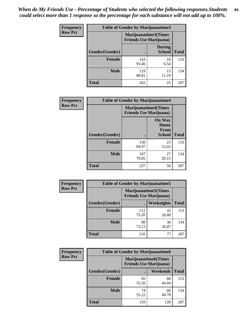*When do My Friends Use - Percentage of Students who selected the following responses.Students could select more than 1 response so the percentage for each substance will not add up to 100%.* **84**

| <b>Frequency</b> | Table of Gender by Marijuanatime3 |                                                        |                                |              |
|------------------|-----------------------------------|--------------------------------------------------------|--------------------------------|--------------|
| <b>Row Pct</b>   |                                   | Marijuanatime3(Times<br><b>Friends Use Marijuana</b> ) |                                |              |
|                  | Gender(Gender)                    |                                                        | <b>During</b><br><b>School</b> | <b>Total</b> |
|                  | <b>Female</b>                     | 143<br>93.46                                           | 10<br>6.54                     | 153          |
|                  | <b>Male</b>                       | 119<br>88.81                                           | 15<br>11.19                    | 134          |
|                  | <b>Total</b>                      | 262                                                    | 25                             | 287          |

| Frequency      | <b>Table of Gender by Marijuanatime4</b> |                                                               |                                                       |              |
|----------------|------------------------------------------|---------------------------------------------------------------|-------------------------------------------------------|--------------|
| <b>Row Pct</b> |                                          | <b>Marijuanatime4(Times</b><br><b>Friends Use Marijuana</b> ) |                                                       |              |
|                | Gender(Gender)                           |                                                               | <b>On Way</b><br>Home<br><b>From</b><br><b>School</b> | <b>Total</b> |
|                | <b>Female</b>                            | 130<br>84.97                                                  | 23<br>15.03                                           | 153          |
|                | <b>Male</b>                              | 107<br>79.85                                                  | 27<br>20.15                                           | 134          |
|                | <b>Total</b>                             | 237                                                           | 50                                                    | 287          |

| Frequency      | <b>Table of Gender by Marijuanatime5</b> |                                                                |             |              |  |
|----------------|------------------------------------------|----------------------------------------------------------------|-------------|--------------|--|
| <b>Row Pct</b> |                                          | <b>Marijuanatime5</b> (Times<br><b>Friends Use Marijuana</b> ) |             |              |  |
|                | Gender(Gender)                           | ٠                                                              | Weeknights  | <b>Total</b> |  |
|                | <b>Female</b>                            | 112<br>73.20                                                   | 41<br>26.80 | 153          |  |
|                | <b>Male</b>                              | 98<br>73.13                                                    | 36<br>26.87 | 134          |  |
|                | <b>Total</b>                             | 210                                                            | 77          | 287          |  |

| Frequency      |                | <b>Table of Gender by Marijuanatime6</b>                      |                 |              |  |
|----------------|----------------|---------------------------------------------------------------|-----------------|--------------|--|
| <b>Row Pct</b> |                | <b>Marijuanatime6(Times</b><br><b>Friends Use Marijuana</b> ) |                 |              |  |
|                | Gender(Gender) |                                                               | <b>Weekends</b> | <b>Total</b> |  |
|                | <b>Female</b>  | 85<br>55.56                                                   | 68<br>44.44     | 153          |  |
|                | <b>Male</b>    | 74<br>55.22                                                   | 60<br>44.78     | 134          |  |
|                | <b>Total</b>   | 159                                                           | 128             | 287          |  |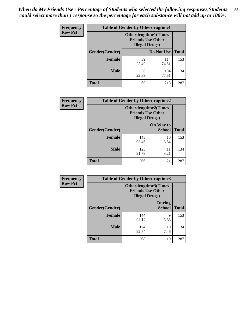*When do My Friends Use - Percentage of Students who selected the following responses.Students could select more than 1 response so the percentage for each substance will not add up to 100%.* **85**

| <b>Frequency</b> | <b>Table of Gender by Otherdrugtime1</b> |                                                                                   |                    |     |  |
|------------------|------------------------------------------|-----------------------------------------------------------------------------------|--------------------|-----|--|
| <b>Row Pct</b>   |                                          | <b>Otherdrugtime1(Times</b><br><b>Friends Use Other</b><br><b>Illegal Drugs</b> ) |                    |     |  |
|                  | Gender(Gender)                           |                                                                                   | Do Not Use   Total |     |  |
|                  | <b>Female</b>                            | 39<br>25.49                                                                       | 114<br>74.51       | 153 |  |
|                  | <b>Male</b>                              | 30<br>22.39                                                                       | 104<br>77.61       | 134 |  |
|                  | <b>Total</b>                             | 69                                                                                | 218                | 287 |  |

| Frequency      | <b>Table of Gender by Otherdrugtime2</b> |                                                                                   |                            |              |
|----------------|------------------------------------------|-----------------------------------------------------------------------------------|----------------------------|--------------|
| <b>Row Pct</b> |                                          | <b>Otherdrugtime2(Times</b><br><b>Friends Use Other</b><br><b>Illegal Drugs</b> ) |                            |              |
|                | Gender(Gender)                           |                                                                                   | On Way to<br><b>School</b> | <b>Total</b> |
|                | <b>Female</b>                            | 143<br>93.46                                                                      | 10<br>6.54                 | 153          |
|                | <b>Male</b>                              | 123<br>91.79                                                                      | 11<br>8.21                 | 134          |
|                | <b>Total</b>                             | 266                                                                               | 21                         | 287          |

| <b>Frequency</b> | <b>Table of Gender by Otherdrugtime3</b> |                                                    |                                |              |
|------------------|------------------------------------------|----------------------------------------------------|--------------------------------|--------------|
| <b>Row Pct</b>   |                                          | <b>Friends Use Other</b><br><b>Illegal Drugs</b> ) | Otherdrugtime3(Times           |              |
|                  | Gender(Gender)                           |                                                    | <b>During</b><br><b>School</b> | <b>Total</b> |
|                  | <b>Female</b>                            | 144<br>94.12                                       | 9<br>5.88                      | 153          |
|                  | <b>Male</b>                              | 124<br>92.54                                       | 10<br>7.46                     | 134          |
|                  | <b>Total</b>                             | 268                                                | 19                             | 287          |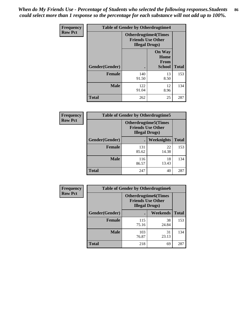*When do My Friends Use - Percentage of Students who selected the following responses.Students could select more than 1 response so the percentage for each substance will not add up to 100%.* **86**

| <b>Frequency</b> | <b>Table of Gender by Otherdrugtime4</b> |                                                    |                                                |              |
|------------------|------------------------------------------|----------------------------------------------------|------------------------------------------------|--------------|
| <b>Row Pct</b>   |                                          | <b>Friends Use Other</b><br><b>Illegal Drugs</b> ) | <b>Otherdrugtime4(Times</b>                    |              |
|                  | Gender(Gender)                           |                                                    | <b>On Way</b><br>Home<br><b>From</b><br>School | <b>Total</b> |
|                  | <b>Female</b>                            | 140<br>91.50                                       | 13<br>8.50                                     | 153          |
|                  | <b>Male</b>                              | 122<br>91.04                                       | 12<br>8.96                                     | 134          |
|                  | <b>Total</b>                             | 262                                                | 25                                             | 287          |

| <b>Frequency</b> | <b>Table of Gender by Otherdrugtime5</b> |              |                                                                                    |              |
|------------------|------------------------------------------|--------------|------------------------------------------------------------------------------------|--------------|
| <b>Row Pct</b>   |                                          |              | <b>Otherdrugtime5</b> (Times<br><b>Friends Use Other</b><br><b>Illegal Drugs</b> ) |              |
|                  | Gender(Gender)                           |              | Weeknights                                                                         | <b>Total</b> |
|                  | <b>Female</b>                            | 131<br>85.62 | 22<br>14.38                                                                        | 153          |
|                  | <b>Male</b>                              | 116<br>86.57 | 18<br>13.43                                                                        | 134          |
|                  | <b>Total</b>                             | 247          | 40                                                                                 | 287          |

| Frequency      | <b>Table of Gender by Otherdrugtime6</b> |                                                                                   |             |              |  |
|----------------|------------------------------------------|-----------------------------------------------------------------------------------|-------------|--------------|--|
| <b>Row Pct</b> |                                          | <b>Otherdrugtime6(Times</b><br><b>Friends Use Other</b><br><b>Illegal Drugs</b> ) |             |              |  |
|                | Gender(Gender)                           |                                                                                   | Weekends    | <b>Total</b> |  |
|                | <b>Female</b>                            | 115<br>75.16                                                                      | 38<br>24.84 | 153          |  |
|                | <b>Male</b>                              | 103<br>76.87                                                                      | 31<br>23.13 | 134          |  |
|                | <b>Total</b>                             | 218                                                                               | 69          | 287          |  |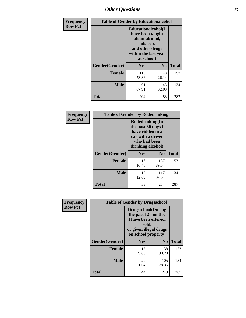## *Other Questions* **87**

| <b>Frequency</b> | <b>Table of Gender by Educationalcohol</b> |                                                                                                                                       |                |              |  |
|------------------|--------------------------------------------|---------------------------------------------------------------------------------------------------------------------------------------|----------------|--------------|--|
| <b>Row Pct</b>   |                                            | <b>Educationalcohol</b> (I<br>have been taught<br>about alcohol,<br>tobacco,<br>and other drugs<br>within the last year<br>at school) |                |              |  |
|                  | Gender(Gender)                             | <b>Yes</b>                                                                                                                            | N <sub>0</sub> | <b>Total</b> |  |
|                  | <b>Female</b>                              | 113<br>73.86                                                                                                                          | 40<br>26.14    | 153          |  |
|                  | <b>Male</b>                                | 91<br>67.91                                                                                                                           | 43<br>32.09    | 134          |  |
|                  | <b>Total</b>                               | 204                                                                                                                                   | 83             | 287          |  |

| Frequency      | <b>Table of Gender by Rodedrinking</b> |                                                                                                                     |              |              |  |
|----------------|----------------------------------------|---------------------------------------------------------------------------------------------------------------------|--------------|--------------|--|
| <b>Row Pct</b> |                                        | Rodedrinking(In<br>the past 30 days I<br>have ridden in a<br>car with a driver<br>who had been<br>drinking alcohol) |              |              |  |
|                | Gender(Gender)                         | Yes                                                                                                                 | $\bf N_0$    | <b>Total</b> |  |
|                | <b>Female</b>                          | 16<br>10.46                                                                                                         | 137<br>89.54 | 153          |  |
|                | <b>Male</b>                            | 17<br>12.69                                                                                                         | 117<br>87.31 | 134          |  |
|                | <b>Total</b>                           | 33                                                                                                                  | 254          | 287          |  |

| Frequency      | <b>Table of Gender by Drugsschool</b> |                                                                                                                                     |                |              |  |
|----------------|---------------------------------------|-------------------------------------------------------------------------------------------------------------------------------------|----------------|--------------|--|
| <b>Row Pct</b> |                                       | <b>Drugsschool</b> (During<br>the past 12 months,<br>I have been offered,<br>sold,<br>or given illegal drugs<br>on school property) |                |              |  |
|                | Gender(Gender)                        | <b>Yes</b>                                                                                                                          | N <sub>0</sub> | <b>Total</b> |  |
|                | <b>Female</b>                         | 15<br>9.80                                                                                                                          | 138<br>90.20   | 153          |  |
|                | <b>Male</b>                           | 29<br>21.64                                                                                                                         | 105<br>78.36   | 134          |  |
|                | <b>Total</b>                          | 44                                                                                                                                  | 243            | 287          |  |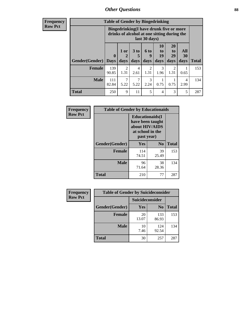### *Other Questions* **88**

**Frequency Row Pct**

| <b>Table of Gender by Bingedrinking</b> |                         |                                                                                                         |                   |                       |                        |                               |                   |              |
|-----------------------------------------|-------------------------|---------------------------------------------------------------------------------------------------------|-------------------|-----------------------|------------------------|-------------------------------|-------------------|--------------|
|                                         |                         | Bingedrinking(I have drunk five or more<br>drinks of alcohol at one sitting during the<br>last 30 days) |                   |                       |                        |                               |                   |              |
| <b>Gender</b> (Gender)                  | $\bf{0}$<br><b>Days</b> | 1 or<br>days                                                                                            | 3 to<br>5<br>days | 6 to<br>9<br>days     | 10<br>to<br>19<br>days | <b>20</b><br>to<br>29<br>days | All<br>30<br>days | <b>Total</b> |
| <b>Female</b>                           | 139<br>90.85            | 1.31                                                                                                    | 4<br>2.61         | $\mathcal{D}$<br>1.31 | 3<br>1.96              | 2<br>1.31                     | 0.65              | 153          |
| <b>Male</b>                             | 111<br>82.84            | 7<br>5.22                                                                                               | 7<br>5.22         | 3<br>2.24             | 0.75                   | 0.75                          | 4<br>2.99         | 134          |
| <b>Total</b>                            |                         |                                                                                                         |                   |                       |                        |                               |                   |              |

| Frequency      | <b>Table of Gender by Educationaids</b> |                                                                                                 |             |              |  |
|----------------|-----------------------------------------|-------------------------------------------------------------------------------------------------|-------------|--------------|--|
| <b>Row Pct</b> |                                         | <b>Educationaids</b> (I<br>have been taught<br>about HIV/AIDS<br>at school in the<br>past year) |             |              |  |
|                | Gender(Gender)                          | Yes                                                                                             | $\bf N_0$   | <b>Total</b> |  |
|                | <b>Female</b>                           | 114<br>74.51                                                                                    | 39<br>25.49 | 153          |  |
|                | <b>Male</b>                             | 96<br>71.64                                                                                     | 38<br>28.36 | 134          |  |
|                | <b>Total</b>                            | 210                                                                                             | 77          | 287          |  |

| Frequency      | <b>Table of Gender by Suicideconsider</b> |                 |                |              |  |
|----------------|-------------------------------------------|-----------------|----------------|--------------|--|
| <b>Row Pct</b> |                                           | Suicideconsider |                |              |  |
|                | Gender(Gender)                            | Yes             | N <sub>0</sub> | <b>Total</b> |  |
|                | <b>Female</b>                             | 20<br>13.07     | 133<br>86.93   | 153          |  |
|                | <b>Male</b>                               | 10<br>7.46      | 124<br>92.54   | 134          |  |
|                | <b>Total</b>                              | 30              | 257            | 287          |  |